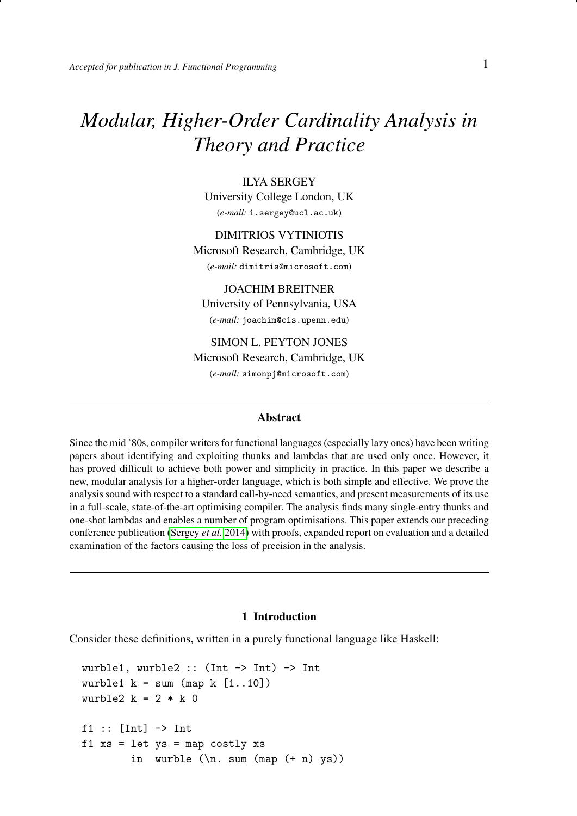# *Modular, Higher-Order Cardinality Analysis in Theory and Practice*

ILYA SERGEY University College London, UK (*e-mail:* i.sergey@ucl.ac.uk)

DIMITRIOS VYTINIOTIS Microsoft Research, Cambridge, UK (*e-mail:* dimitris@microsoft.com)

JOACHIM BREITNER University of Pennsylvania, USA (*e-mail:* joachim@cis.upenn.edu)

SIMON L. PEYTON JONES Microsoft Research, Cambridge, UK (*e-mail:* simonpj@microsoft.com)

## Abstract

Since the mid '80s, compiler writers for functional languages (especially lazy ones) have been writing papers about identifying and exploiting thunks and lambdas that are used only once. However, it has proved difficult to achieve both power and simplicity in practice. In this paper we describe a new, modular analysis for a higher-order language, which is both simple and effective. We prove the analysis sound with respect to a standard call-by-need semantics, and present measurements of its use in a full-scale, state-of-the-art optimising compiler. The analysis finds many single-entry thunks and one-shot lambdas and enables a number of program optimisations. This paper extends our preceding conference publication [\(Sergey](#page-41-0) *et al.* [2014\)](#page-41-0) with proofs, expanded report on evaluation and a detailed examination of the factors causing the loss of precision in the analysis.

#### 1 Introduction

Consider these definitions, written in a purely functional language like Haskell:

```
wurble1, wurble2 :: (Int -> Int) -> Int
wurble1 k = sum (map k [1..10])wurble2 k = 2 * k 0f1 :: [Int] \rightarrow Int
f1 xs = let ys = map costly xs
         in wurble (\n\lambda \text{ sum } (map (+ n) ys))
```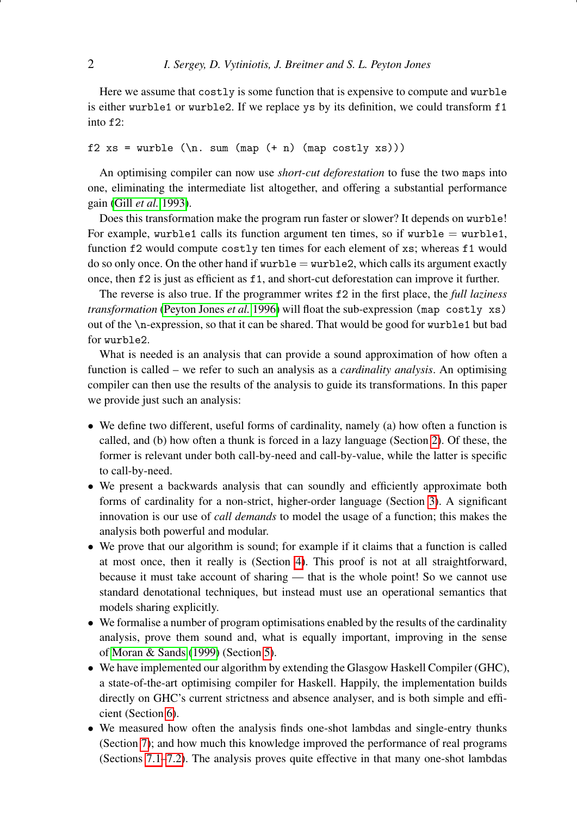Here we assume that costly is some function that is expensive to compute and wurble is either wurble1 or wurble2. If we replace ys by its definition, we could transform f1 into f2:

# f2 xs = wurble  $(\n\cdot)$  sum (map  $(+ n)$  (map costly xs)))

An optimising compiler can now use *short-cut deforestation* to fuse the two maps into one, eliminating the intermediate list altogether, and offering a substantial performance gain (Gill *[et al.](#page-40-0)* [1993\)](#page-40-0).

Does this transformation make the program run faster or slower? It depends on wurble! For example, wurble1 calls its function argument ten times, so if wurble  $=$  wurble1, function f2 would compute costly ten times for each element of xs; whereas f1 would do so only once. On the other hand if wurble  $=$  wurble 2, which calls its argument exactly once, then f2 is just as efficient as f1, and short-cut deforestation can improve it further.

The reverse is also true. If the programmer writes f2 in the first place, the *full laziness transformation* [\(Peyton Jones](#page-41-1) *et al.* [1996\)](#page-41-1) will float the sub-expression (map costly xs) out of the \n-expression, so that it can be shared. That would be good for wurble1 but bad for wurble2.

What is needed is an analysis that can provide a sound approximation of how often a function is called – we refer to such an analysis as a *cardinality analysis*. An optimising compiler can then use the results of the analysis to guide its transformations. In this paper we provide just such an analysis:

- We define two different, useful forms of cardinality, namely (a) how often a function is called, and (b) how often a thunk is forced in a lazy language (Section [2\)](#page-2-0). Of these, the former is relevant under both call-by-need and call-by-value, while the latter is specific to call-by-need.
- We present a backwards analysis that can soundly and efficiently approximate both forms of cardinality for a non-strict, higher-order language (Section [3\)](#page-5-0). A significant innovation is our use of *call demands* to model the usage of a function; this makes the analysis both powerful and modular.
- We prove that our algorithm is sound; for example if it claims that a function is called at most once, then it really is (Section [4\)](#page-14-0). This proof is not at all straightforward, because it must take account of sharing — that is the whole point! So we cannot use standard denotational techniques, but instead must use an operational semantics that models sharing explicitly.
- We formalise a number of program optimisations enabled by the results of the cardinality analysis, prove them sound and, what is equally important, improving in the sense of [Moran & Sands](#page-41-2) [\(1999\)](#page-41-2) (Section [5\)](#page-18-0).
- We have implemented our algorithm by extending the Glasgow Haskell Compiler (GHC), a state-of-the-art optimising compiler for Haskell. Happily, the implementation builds directly on GHC's current strictness and absence analyser, and is both simple and efficient (Section [6\)](#page-22-0).
- We measured how often the analysis finds one-shot lambdas and single-entry thunks (Section [7\)](#page-27-0); and how much this knowledge improved the performance of real programs (Sections [7.1–](#page-27-1)[7.2\)](#page-30-0). The analysis proves quite effective in that many one-shot lambdas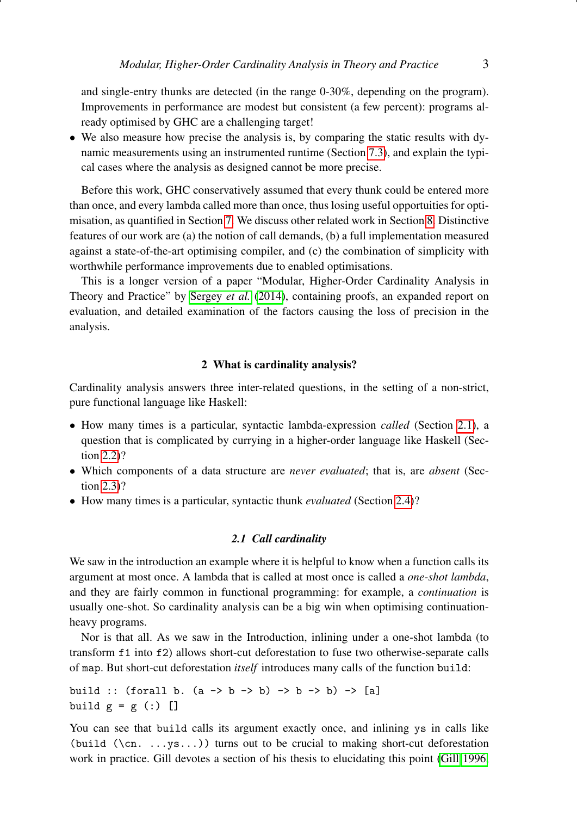and single-entry thunks are detected (in the range 0-30%, depending on the program). Improvements in performance are modest but consistent (a few percent): programs already optimised by GHC are a challenging target!

• We also measure how precise the analysis is, by comparing the static results with dynamic measurements using an instrumented runtime (Section [7.3\)](#page-30-1), and explain the typical cases where the analysis as designed cannot be more precise.

Before this work, GHC conservatively assumed that every thunk could be entered more than once, and every lambda called more than once, thus losing useful opportuities for optimisation, as quantified in Section [7.](#page-27-0) We discuss other related work in Section [8.](#page-36-0) Distinctive features of our work are (a) the notion of call demands, (b) a full implementation measured against a state-of-the-art optimising compiler, and (c) the combination of simplicity with worthwhile performance improvements due to enabled optimisations.

This is a longer version of a paper "Modular, Higher-Order Cardinality Analysis in Theory and Practice" by [Sergey](#page-41-0) *et al.* [\(2014\)](#page-41-0), containing proofs, an expanded report on evaluation, and detailed examination of the factors causing the loss of precision in the analysis.

#### 2 What is cardinality analysis?

<span id="page-2-0"></span>Cardinality analysis answers three inter-related questions, in the setting of a non-strict, pure functional language like Haskell:

- How many times is a particular, syntactic lambda-expression *called* (Section [2.1\)](#page-2-1), a question that is complicated by currying in a higher-order language like Haskell (Section [2.2\)](#page-3-0)?
- Which components of a data structure are *never evaluated*; that is, are *absent* (Section [2.3\)](#page-3-1)?
- How many times is a particular, syntactic thunk *evaluated* (Section [2.4\)](#page-4-0)?

#### *2.1 Call cardinality*

<span id="page-2-1"></span>We saw in the introduction an example where it is helpful to know when a function calls its argument at most once. A lambda that is called at most once is called a *one-shot lambda*, and they are fairly common in functional programming: for example, a *continuation* is usually one-shot. So cardinality analysis can be a big win when optimising continuationheavy programs.

Nor is that all. As we saw in the Introduction, inlining under a one-shot lambda (to transform f1 into f2) allows short-cut deforestation to fuse two otherwise-separate calls of map. But short-cut deforestation *itself* introduces many calls of the function build:

```
build :: (forall b. (a \rightarrow b \rightarrow b) \rightarrow b \rightarrow b) \rightarrow [a]
build g = g (:) []
```
You can see that build calls its argument exactly once, and inlining ys in calls like (build  $(\cn, \ldots, \ns...)$ ) turns out to be crucial to making short-cut deforestation work in practice. Gill devotes a section of his thesis to elucidating this point [\(Gill 1996,](#page-40-1)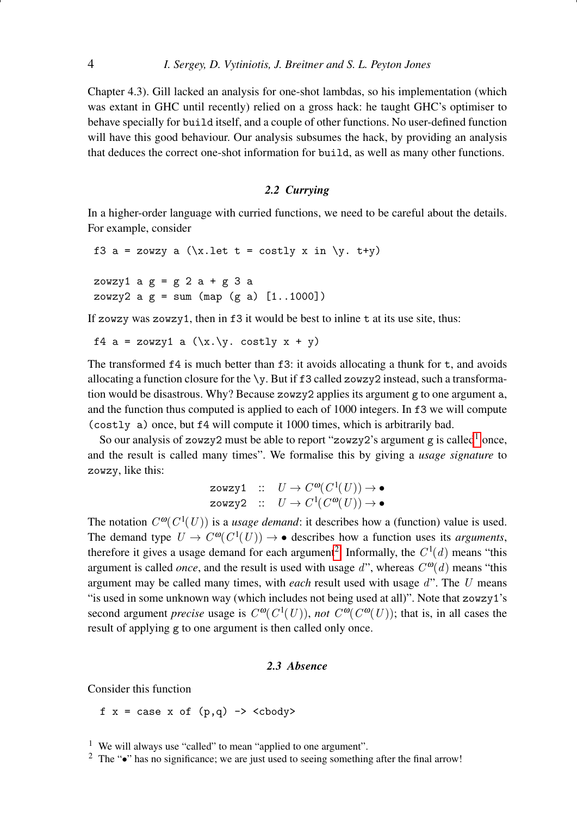Chapter 4.3). Gill lacked an analysis for one-shot lambdas, so his implementation (which was extant in GHC until recently) relied on a gross hack: he taught GHC's optimiser to behave specially for build itself, and a couple of other functions. No user-defined function will have this good behaviour. Our analysis subsumes the hack, by providing an analysis that deduces the correct one-shot information for build, as well as many other functions.

# *2.2 Currying*

<span id="page-3-0"></span>In a higher-order language with curried functions, we need to be careful about the details. For example, consider

```
f3 a = zowzy a (\xi x.1et t = costly x in \xi y. t+y)zowzy1 a \, g = g \, 2 \, a + g \, 3 \, azowzy2 a g = sum (map (g a) [1..1000])
```
If zowzy was zowzy1, then in f3 it would be best to inline t at its use site, thus:

```
f4 a = zowzy1 a (\x\cdot \y. \cos t)y x + y)
```
The transformed  $f4$  is much better than  $f3$ : it avoids allocating a thunk for  $t$ , and avoids allocating a function closure for the  $\y$ . But if f3 called zowzy2 instead, such a transformation would be disastrous. Why? Because zowzy2 applies its argument g to one argument a, and the function thus computed is applied to each of 1000 integers. In f3 we will compute (costly a) once, but f4 will compute it 1000 times, which is arbitrarily bad.

So our analysis of zowzy2 must be able to report "zowzy2's argument g is called<sup>[1](#page-3-2)</sup> once, and the result is called many times". We formalise this by giving a *usage signature* to zowzy, like this:

$$
\begin{array}{lll}\texttt{zowzy1} & :: & U \to C^{\omega}(C^1(U)) \to \bullet\\ \texttt{zowzy2} & :: & U \to C^1(C^{\omega}(U)) \to \bullet \end{array}
$$

The notation  $C^{00}(C^1(U))$  is a *usage demand*: it describes how a (function) value is used. The demand type  $U \to C^{\omega}(C^1(U)) \to \bullet$  describes how a function uses its *arguments*, therefore it gives a usage demand for each argument<sup>[2](#page-3-3)</sup>. Informally, the  $C^1(d)$  means "this argument is called *once*, and the result is used with usage  $d$ ", whereas  $C^{ \omega}(d)$  means "this argument may be called many times, with *each* result used with usage d". The U means "is used in some unknown way (which includes not being used at all)". Note that zowzy1's second argument *precise* usage is  $C^{00}(C^{1}(U))$ , *not*  $C^{00}(C^{00}(U))$ ; that is, in all cases the result of applying g to one argument is then called only once.

# *2.3 Absence*

<span id="page-3-1"></span>Consider this function

f  $x = \text{case } x \text{ of } (p,q) \rightarrow \text{$ 

<span id="page-3-2"></span><sup>&</sup>lt;sup>1</sup> We will always use "called" to mean "applied to one argument".

<span id="page-3-3"></span><sup>&</sup>lt;sup>2</sup> The " $\bullet$ " has no significance; we are just used to seeing something after the final arrow!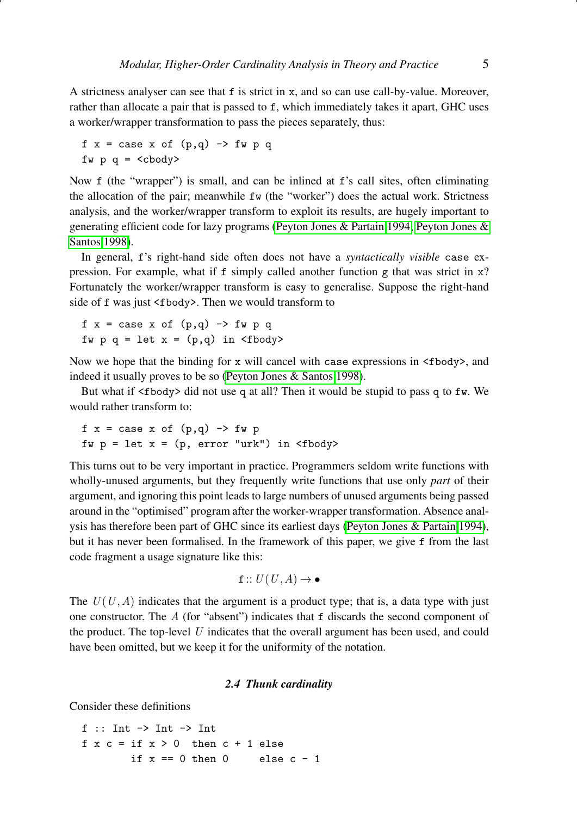A strictness analyser can see that f is strict in x, and so can use call-by-value. Moreover, rather than allocate a pair that is passed to f, which immediately takes it apart, GHC uses a worker/wrapper transformation to pass the pieces separately, thus:

```
f x = case x of (p,q) \rightarrow fw p qfw p q =  <cbody>
```
Now f (the "wrapper") is small, and can be inlined at f's call sites, often eliminating the allocation of the pair; meanwhile fw (the "worker") does the actual work. Strictness analysis, and the worker/wrapper transform to exploit its results, are hugely important to generating efficient code for lazy programs [\(Peyton Jones & Partain 1994;](#page-41-3) [Peyton Jones &](#page-41-4) [Santos 1998\)](#page-41-4).

In general, f's right-hand side often does not have a *syntactically visible* case expression. For example, what if  $f$  simply called another function  $g$  that was strict in  $x$ ? Fortunately the worker/wrapper transform is easy to generalise. Suppose the right-hand side of f was just <fbody>. Then we would transform to

 $f x = case x of (p,q) \rightarrow fw p q$ fw  $p q = let x = (p,q) in *Stody*$ 

Now we hope that the binding for x will cancel with case expressions in  $\lt$ fbody>, and indeed it usually proves to be so [\(Peyton Jones & Santos 1998\)](#page-41-4).

But what if <fbody> did not use q at all? Then it would be stupid to pass q to fw. We would rather transform to:

$$
f x = case x of (p,q) \rightarrow fw p
$$
  

$$
fw p = let x = (p, error "urk") in (fbody>
$$

This turns out to be very important in practice. Programmers seldom write functions with wholly-unused arguments, but they frequently write functions that use only *part* of their argument, and ignoring this point leads to large numbers of unused arguments being passed around in the "optimised" program after the worker-wrapper transformation. Absence analysis has therefore been part of GHC since its earliest days [\(Peyton Jones & Partain 1994\)](#page-41-3), but it has never been formalised. In the framework of this paper, we give f from the last code fragment a usage signature like this:

 $f :: U(U, A) \rightarrow \bullet$ 

The  $U(U, A)$  indicates that the argument is a product type; that is, a data type with just one constructor. The  $A$  (for "absent") indicates that  $f$  discards the second component of the product. The top-level  $U$  indicates that the overall argument has been used, and could have been omitted, but we keep it for the uniformity of the notation.

#### *2.4 Thunk cardinality*

<span id="page-4-0"></span>Consider these definitions

 $f$  :: Int  $\rightarrow$  Int  $\rightarrow$  Int  $f \times c = if \times > 0$  then  $c + 1$  else if  $x == 0$  then  $0$  else  $c - 1$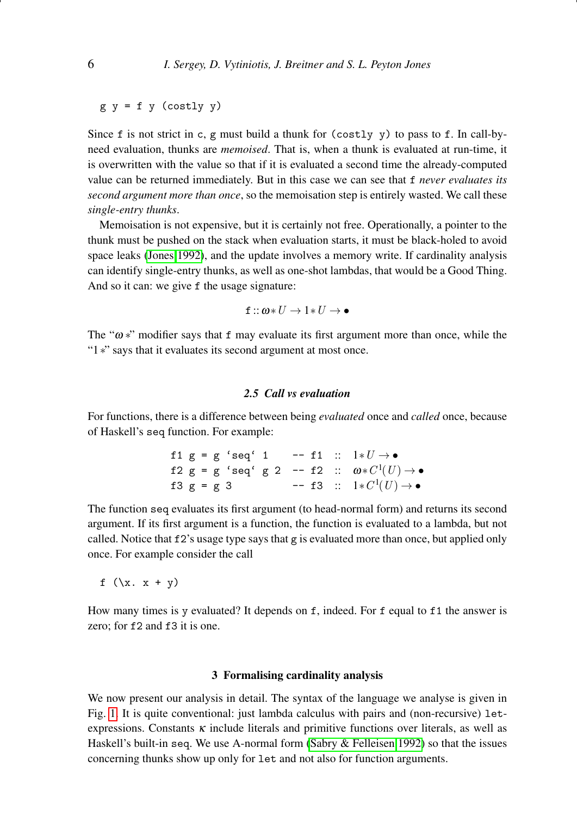$g y = f y (costly y)$ 

Since f is not strict in c, g must build a thunk for (costly y) to pass to f. In call-byneed evaluation, thunks are *memoised*. That is, when a thunk is evaluated at run-time, it is overwritten with the value so that if it is evaluated a second time the already-computed value can be returned immediately. But in this case we can see that f *never evaluates its second argument more than once*, so the memoisation step is entirely wasted. We call these *single-entry thunks*.

Memoisation is not expensive, but it is certainly not free. Operationally, a pointer to the thunk must be pushed on the stack when evaluation starts, it must be black-holed to avoid space leaks [\(Jones 1992\)](#page-41-5), and the update involves a memory write. If cardinality analysis can identify single-entry thunks, as well as one-shot lambdas, that would be a Good Thing. And so it can: we give f the usage signature:

$$
\texttt{f}::\pmb{\omega}*U\rightarrow 1*U\rightarrow \bullet
$$

The " $\omega$  \*" modifier says that f may evaluate its first argument more than once, while the "1∗" says that it evaluates its second argument at most once.

# *2.5 Call vs evaluation*

For functions, there is a difference between being *evaluated* once and *called* once, because of Haskell's seq function. For example:

> f1 g = g 'seq' 1 -- f1  $:: 1*U \rightarrow \bullet$ f2 g = g 'seq' g 2 -- f2 ::  $\omega * C^1(U) \rightarrow \bullet$ f3 g = g 3 -- f3 ::  $1*C<sup>1</sup>(U) \to \bullet$

The function seq evaluates its first argument (to head-normal form) and returns its second argument. If its first argument is a function, the function is evaluated to a lambda, but not called. Notice that f2's usage type says that g is evaluated more than once, but applied only once. For example consider the call

f  $(\x, x + y)$ 

How many times is y evaluated? It depends on f, indeed. For f equal to f1 the answer is zero: for f2 and f3 it is one.

## 3 Formalising cardinality analysis

<span id="page-5-0"></span>We now present our analysis in detail. The syntax of the language we analyse is given in Fig. [1.](#page-6-0) It is quite conventional: just lambda calculus with pairs and (non-recursive) letexpressions. Constants  $\kappa$  include literals and primitive functions over literals, as well as Haskell's built-in seq. We use A-normal form [\(Sabry & Felleisen 1992\)](#page-41-6) so that the issues concerning thunks show up only for let and not also for function arguments.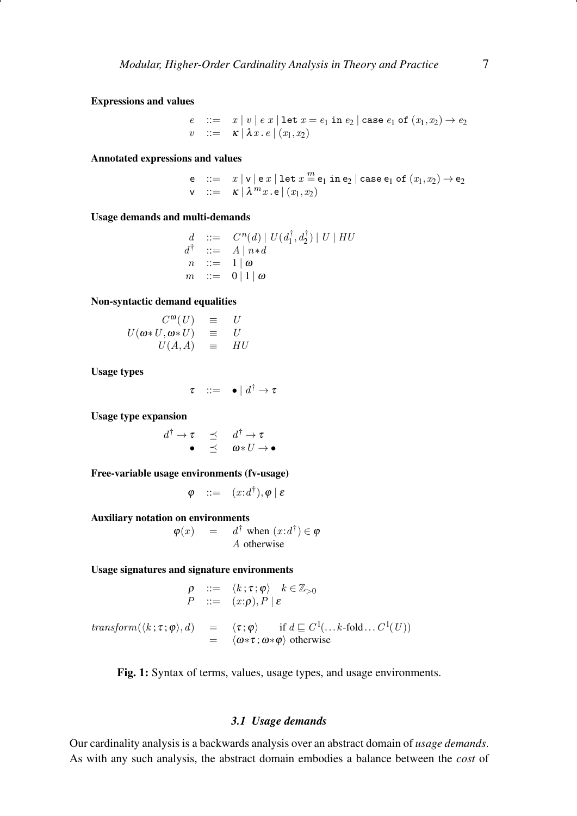<span id="page-6-0"></span>Expressions and values

e ::=  $x | v | e x |$ let  $x = e_1$  in  $e_2 |$  case  $e_1$  of  $(x_1, x_2) \rightarrow e_2$  $v$  ::=  $\kappa |\lambda x. e|(x_1, x_2)$ 

Annotated expressions and values

e  $::= x |v|$ e  $x | \text{let } x \stackrel{m}{=} e_1 \text{ in } e_2 | \text{ case } e_1 \text{ of } (x_1, x_2) \rightarrow e_2$  $\mathsf{v}$  ::=  $\kappa \, | \, \lambda^m x \, . \, \mathsf{e} \, | \, (x_1, x_2)$ 

Usage demands and multi-demands

 $d : := C^n(d) | U(d_1^{\dagger}, d_2^{\dagger}) | U | H U$  $d^{\dagger}$  ::=  $A \mid n * d$  $n ::= 1 | \omega$  $m$  ::= 0 | 1 | ω

Non-syntactic demand equalities

$$
U(\omega * U, \omega * U) = U
$$
  

$$
U(\omega * U, \omega * U) = U
$$
  

$$
U(A, A) = HU
$$

Usage types

 $\tau$  ::=  $\bullet$  |  $d^{\dagger} \rightarrow \tau$ 

Usage type expansion

$$
\begin{array}{ccccc}\n\ddot{\uparrow} & \rightarrow & \tau & \preceq & d^{\dagger} \rightarrow \tau \\
\bullet & \preceq & \omega * U \rightarrow \bullet\n\end{array}
$$

Free-variable usage environments (fv-usage)

$$
\varphi \quad ::= \quad (x{:}d^{\dagger}), \varphi \mid \varepsilon
$$

Auxiliary notation on environments

 $d^{\dagger}$ 

 $\varphi(x) = d^{\dagger}$  when  $(x:d^{\dagger}) \in \varphi$ A otherwise

Usage signatures and signature environments

$$
\rho ::= \langle k; \tau; \varphi \rangle \quad k \in \mathbb{Z}_{>0}
$$
  

$$
P ::= (x; \rho), P \mid \varepsilon
$$

 $\mathit{transform}(\langle k\,;\tau;\pmb{\varphi}\rangle,d) \quad = \quad \langle \tau;\pmb{\varphi}\rangle \qquad \text{if $d\sqsubseteq C^1(\ldots k\text{-fold}\ldots C^1(U))$}$  $= \langle \omega \ast \tau ; \omega \ast \varphi \rangle$  otherwise

Fig. 1: Syntax of terms, values, usage types, and usage environments.

#### *3.1 Usage demands*

Our cardinality analysis is a backwards analysis over an abstract domain of *usage demands*. As with any such analysis, the abstract domain embodies a balance between the *cost* of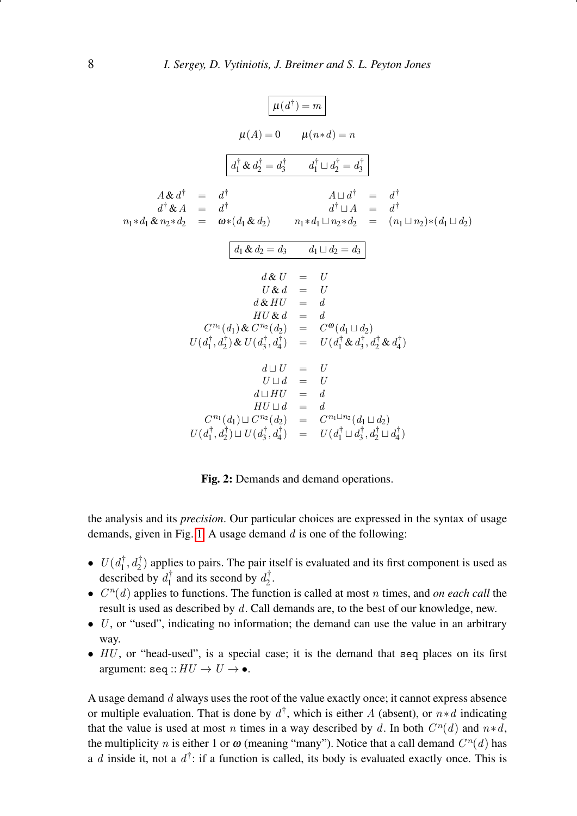<span id="page-7-0"></span>
$$
\mu(A) = 0 \qquad \mu(n*d) = n
$$
\n
$$
\mu(A) = 0 \qquad \mu(n*d) = n
$$
\n
$$
\boxed{d_1^{\dagger} \& d_2^{\dagger} = d_3^{\dagger} \qquad d_1^{\dagger} \sqcup d_2^{\dagger} = d_3^{\dagger}}
$$
\n
$$
A \& d^{\dagger} = d^{\dagger} \qquad A \sqcup d^{\dagger} = d^{\dagger}
$$
\n
$$
d^{\dagger} \& A = d^{\dagger} \qquad d^{\dagger} \sqcup A = d^{\dagger}
$$
\n
$$
n_1 * d_1 \& n_2 * d_2 = \omega * (d_1 \& d_2) \qquad n_1 * d_1 \sqcup n_2 * d_2 = (n_1 \sqcup n_2) * (d_1 \sqcup d_2)
$$
\n
$$
\boxed{d_1 \& d_2 = d_3 \qquad d_1 \sqcup d_2 = d_3}
$$
\n
$$
d \& U = U
$$
\n
$$
U \& d = U
$$
\n
$$
H U \& d = d
$$
\n
$$
U u_1^{\dagger} u_1^{\dagger} u_2^{\dagger} u_3^{\dagger} u_4^{\dagger} u_1^{\dagger} u_2^{\dagger} u_3^{\dagger} u_4^{\dagger} u_4^{\dagger}
$$
\n
$$
d \sqcup U = U
$$
\n
$$
U \sqcup d = U
$$
\n
$$
U \sqcup d = U
$$
\n
$$
d \sqcup H U = d
$$
\n
$$
H U \sqcup d = d
$$
\n
$$
C^{n_1}(d_1) \sqcup C^{n_2}(d_2) = C^{n_1} \sqcup n_2(d_1 \sqcup d_2)
$$
\n
$$
U(d_1^{\dagger} d_2^{\dagger}) \sqcup U(d_3^{\dagger} d_4^{\dagger}) = U(d_1^{\dagger} u_3^{\dagger} d_2^{\dagger} d_4^{\dagger})
$$

Fig. 2: Demands and demand operations.

the analysis and its *precision*. Our particular choices are expressed in the syntax of usage demands, given in Fig. [1.](#page-6-0) A usage demand  $d$  is one of the following:

- $U(d_1^{\dagger}, d_2^{\dagger})$  applies to pairs. The pair itself is evaluated and its first component is used as described by  $d_1^{\dagger}$  and its second by  $d_2^{\dagger}$ .
- $\bullet$   $C<sup>n</sup>(d)$  applies to functions. The function is called at most *n* times, and *on each call* the result is used as described by d. Call demands are, to the best of our knowledge, new.
- $\bullet$  U, or "used", indicating no information; the demand can use the value in an arbitrary way.
- $\bullet$  HU, or "head-used", is a special case; it is the demand that seq places on its first argument: seq  $:HU \to U \to \bullet$ .

A usage demand  $d$  always uses the root of the value exactly once; it cannot express absence or multiple evaluation. That is done by  $d^{\dagger}$ , which is either A (absent), or  $n*d$  indicating that the value is used at most n times in a way described by d. In both  $C<sup>n</sup>(d)$  and  $n*d$ , the multiplicity *n* is either 1 or  $\omega$  (meaning "many"). Notice that a call demand  $C^n(d)$  has a d inside it, not a  $d^{\dagger}$ : if a function is called, its body is evaluated exactly once. This is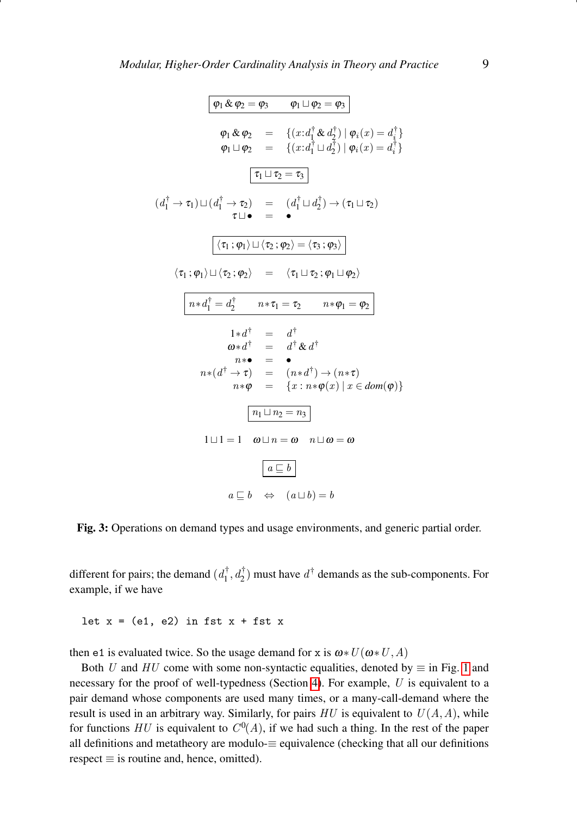<span id="page-8-0"></span>
$$
\boxed{\varphi_1 \& \varphi_2 = \varphi_3 \qquad \varphi_1 \sqcup \varphi_2 = \varphi_3}
$$
\n
$$
\varphi_1 \& \varphi_2 = \{ (x : d_1^{\dagger} \& d_2^{\dagger}) \mid \varphi_i(x) = d_i^{\dagger} \}
$$
\n
$$
\varphi_1 \sqcup \varphi_2 = \{ (x : d_1^{\dagger} \sqcup d_2^{\dagger}) \mid \varphi_i(x) = d_i^{\dagger} \}
$$
\n
$$
\boxed{\tau_1 \sqcup \tau_2 = \tau_3}
$$
\n
$$
(d_1^{\dagger} \rightarrow \tau_1) \sqcup (d_1^{\dagger} \rightarrow \tau_2) = (d_1^{\dagger} \sqcup d_2^{\dagger}) \rightarrow (\tau_1 \sqcup \tau_2)
$$
\n
$$
\tau \sqcup \bullet = \bullet
$$
\n
$$
\boxed{\langle \tau_1; \varphi_1 \rangle \sqcup \langle \tau_2; \varphi_2 \rangle = \langle \tau_3; \varphi_3 \rangle}
$$
\n
$$
\langle \tau_1; \varphi_1 \rangle \sqcup \langle \tau_2; \varphi_2 \rangle = \langle \tau_1 \sqcup \tau_2; \varphi_1 \sqcup \varphi_2 \rangle}
$$
\n
$$
\boxed{n * d_1^{\dagger} = d_2^{\dagger} \qquad n * \tau_1 = \tau_2 \qquad n * \varphi_1 = \varphi_2}
$$
\n
$$
1 * d^{\dagger} = d^{\dagger} \& d^{\dagger}
$$
\n
$$
n * \bullet = \bullet
$$
\n
$$
n * (d^{\dagger} \rightarrow \tau) = (n * d^{\dagger}) \rightarrow (n * \tau)
$$
\n
$$
n * \varphi = \{ x : n * \varphi(x) \mid x \in dom(\varphi) \}
$$
\n
$$
\boxed{n_1 \sqcup n_2 = n_3}
$$
\n
$$
1 \sqcup 1 = 1 \quad \omega \sqcup n = \omega \quad n \sqcup \omega = \omega
$$
\n
$$
\boxed{a \sqsubseteq b}
$$
\n
$$
a \sqsubseteq b \Leftrightarrow (a \sqcup b) = b
$$

Fig. 3: Operations on demand types and usage environments, and generic partial order.

different for pairs; the demand  $(d_1^{\dagger}, d_2^{\dagger})$  must have  $d^{\dagger}$  demands as the sub-components. For example, if we have

let  $x = (e1, e2)$  in fst  $x + f$ st x

then e1 is evaluated twice. So the usage demand for x is  $\omega * U(\omega * U, A)$ 

Both U and HU come with some non-syntactic equalities, denoted by  $\equiv$  in Fig. [1](#page-6-0) and necessary for the proof of well-typedness (Section [4\)](#page-14-0). For example,  $U$  is equivalent to a pair demand whose components are used many times, or a many-call-demand where the result is used in an arbitrary way. Similarly, for pairs  $HU$  is equivalent to  $U(A, A)$ , while for functions HU is equivalent to  $C^0(A)$ , if we had such a thing. In the rest of the paper all definitions and metatheory are modulo- $\equiv$  equivalence (checking that all our definitions  $respect \equiv is routine and, hence, omitted).$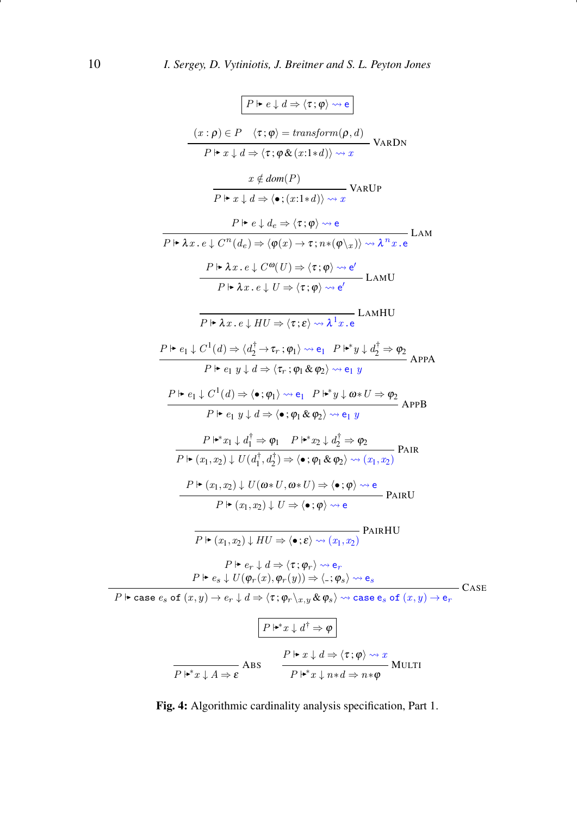<span id="page-9-0"></span>
$$
\boxed{P \mapsto e \downarrow d \Rightarrow \langle \tau; \varphi \rangle \rightsquigarrow e}
$$
\n
$$
\frac{(x:\rho) \in P \quad \langle \tau; \varphi \rangle = \text{transform}(\rho, d)}{P \mapsto x \downarrow d \Rightarrow \langle \tau; \varphi \& (x:1*d) \rangle \rightsquigarrow x} \quad \text{VaNDN}
$$
\n
$$
\frac{x \notin \text{dom}(P)}{P \mapsto x \downarrow d \Rightarrow \langle \bullet; (x:1*d) \rangle \rightsquigarrow x} \quad \text{VaNDP}
$$
\n
$$
\frac{P \mapsto e \downarrow d_e \Rightarrow \langle \tau; \varphi \rangle \rightsquigarrow e}{P \mapsto x \downarrow d \Rightarrow \langle \bullet; (x:1*d) \rangle \rightsquigarrow x} \quad \text{LAM}
$$
\n
$$
\frac{P \mapsto \lambda x \cdot e \downarrow C^n(d_e) \Rightarrow \langle \varphi(x) \rightarrow \tau; n * (\varphi \setminus x) \rangle \rightsquigarrow \lambda^n x \cdot e}{P \mapsto \lambda x \cdot e \downarrow C^0(U) \Rightarrow \langle \tau; \varphi \rangle \rightsquigarrow e'} \quad \text{LAMHU}
$$
\n
$$
\frac{P \mapsto \lambda x \cdot e \downarrow C^0(U) \Rightarrow \langle \tau; \varphi \rangle \rightsquigarrow e'}{P \mapsto \lambda x \cdot e \downarrow HU \Rightarrow \langle \tau; \varphi \rangle \rightsquigarrow e'} \quad \text{LAMHU}
$$
\n
$$
\frac{P \mapsto e_1 \downarrow C^1(d) \Rightarrow \langle d_2 \downarrow \rightarrow \tau; \varphi_1 \rangle \rightsquigarrow e_1 \quad P \mapsto y \downarrow d_2^{\dagger} \Rightarrow \varphi_2}{P \mapsto e_1 \downarrow C^1(d) \Rightarrow \langle \bullet; \varphi_1 \rangle \rightsquigarrow e_1 \quad P \mapsto y \downarrow \varphi_2 \Rightarrow e_1 \quad y \quad \text{APPA}
$$
\n
$$
\frac{P \mapsto e_1 \downarrow C^1(d) \Rightarrow \langle \bullet; \varphi_1 \rangle \rightsquigarrow e_1 \quad P \mapsto y \downarrow \varphi_2 \Rightarrow \varphi_2}{P \mapsto (x_1, x_2) \downarrow U(d_1^{\dagger}, d_2^{\dagger}) \Rightarrow \langle \bullet; \varphi_1 \& \varphi_2 \rangle \rightsquigarrow e_1 \quad y \quad \text{APPB}
$$

Fig. 4: Algorithmic cardinality analysis specification, Part 1.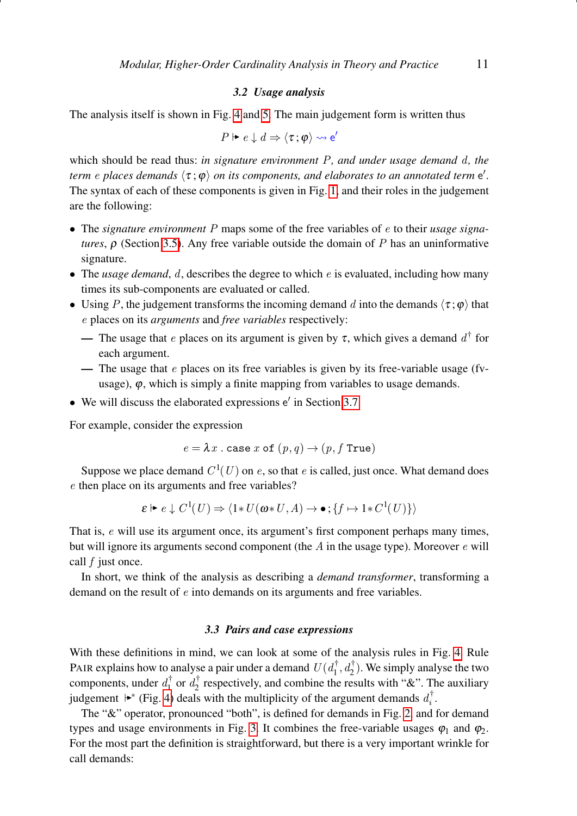## *3.2 Usage analysis*

The analysis itself is shown in Fig. [4](#page-9-0) and [5.](#page-11-0) The main judgement form is written thus

$$
P \Vdash e \downarrow d \Rightarrow \langle \tau, \varphi \rangle \leadsto e'
$$

which should be read thus: *in signature environment* P*, and under usage demand* d*, the term*  $e$  *places demands*  $\langle \tau ; \phi \rangle$  *on its components, and elaborates to an annotated term*  $e'$ . The syntax of each of these components is given in Fig. [1,](#page-6-0) and their roles in the judgement are the following:

- The *signature environment* P maps some of the free variables of e to their *usage signatures*, ρ (Section [3.5\)](#page-12-0). Any free variable outside the domain of P has an uninformative signature.
- The *usage demand*, d, describes the degree to which e is evaluated, including how many times its sub-components are evaluated or called.
- Using P, the judgement transforms the incoming demand d into the demands  $\langle \tau; \varphi \rangle$  that e places on its *arguments* and *free variables* respectively:
	- The usage that *e* places on its argument is given by  $\tau$ , which gives a demand  $d^{\dagger}$  for each argument.
	- The usage that  $e$  places on its free variables is given by its free-variable usage (fvusage),  $\varphi$ , which is simply a finite mapping from variables to usage demands.
- $\bullet$  We will discuss the elaborated expressions  $e'$  in Section [3.7.](#page-13-0)

For example, consider the expression

$$
e = \lambda x \text{ . case } x \text{ of } (p, q) \rightarrow (p, f \text{ True})
$$

Suppose we place demand  $C^1(U)$  on e, so that e is called, just once. What demand does e then place on its arguments and free variables?

$$
\varepsilon \vdash e \downarrow C^1(U) \Rightarrow \langle 1 * U(\omega * U, A) \to \bullet ; \{ f \mapsto 1 * C^1(U) \} \rangle
$$

That is, e will use its argument once, its argument's first component perhaps many times, but will ignore its arguments second component (the  $A$  in the usage type). Moreover  $e$  will call  $f$  just once.

In short, we think of the analysis as describing a *demand transformer*, transforming a demand on the result of e into demands on its arguments and free variables.

# *3.3 Pairs and case expressions*

With these definitions in mind, we can look at some of the analysis rules in Fig. [4.](#page-9-0) Rule PAIR explains how to analyse a pair under a demand  $U(d_1^{\dagger}, d_2^{\dagger})$ . We simply analyse the two components, under  $d_1^{\dagger}$  or  $d_2^{\dagger}$  respectively, and combine the results with "&". The auxiliary judgement  $\blacktriangleright^*$  (Fig. [4\)](#page-9-0) deals with the multiplicity of the argument demands  $d_i^{\dagger}$ .

The "&" operator, pronounced "both", is defined for demands in Fig. [2,](#page-7-0) and for demand types and usage environments in Fig. [3.](#page-8-0) It combines the free-variable usages  $\varphi_1$  and  $\varphi_2$ . For the most part the definition is straightforward, but there is a very important wrinkle for call demands: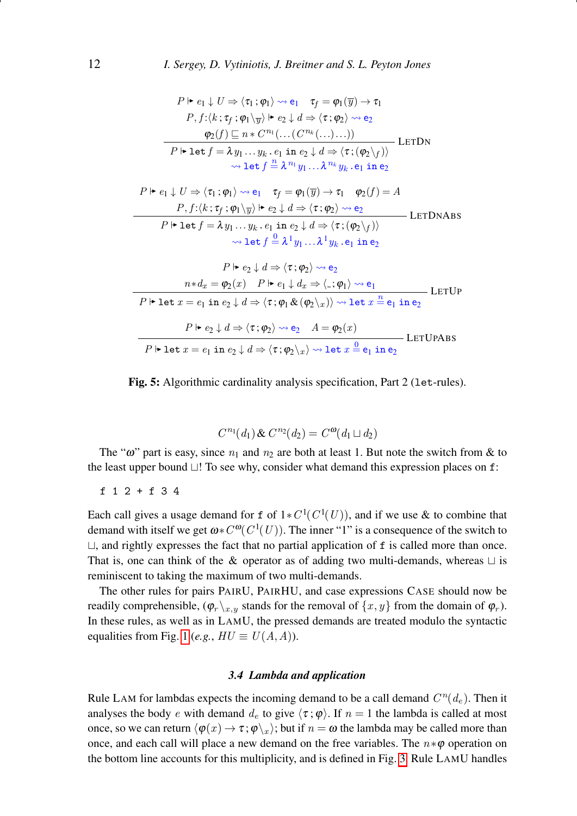<span id="page-11-0"></span>
$$
P \rightharpoonup e_1 \downarrow U \Rightarrow \langle \tau_1; \varphi_1 \rangle \rightsquigarrow e_1 \quad \tau_f = \varphi_1(\overline{y}) \rightarrow \tau_1
$$
\n
$$
P, f: \langle k; \tau_f; \varphi_1 \rangle_{\overline{y}} \rangle \rightharpoonup e_2 \downarrow d \Rightarrow \langle \tau; \varphi_2 \rangle \rightsquigarrow e_2
$$
\n
$$
\frac{\varphi_2(f) \sqsubseteq n \cdot C^{n_1}(\dots (C^{n_k}(\dots \dots)))}{P \rightharpoonup \det f = \lambda y_1 \dots y_k \cdot e_1 \text{ in } e_2 \downarrow d \Rightarrow \langle \tau; (\varphi_2 \setminus f) \rangle} \rightharpoonup \det f \stackrel{n}{=} \lambda^{n_1} y_1 \dots \lambda^{n_k} y_k \cdot e_1 \text{ in } e_2
$$
\n
$$
P \rightharpoonup e_1 \downarrow U \Rightarrow \langle \tau_1; \varphi_1 \rangle \rightsquigarrow e_1 \quad \tau_f = \varphi_1(\overline{y}) \rightarrow \tau_1 \quad \varphi_2(f) = A
$$
\n
$$
P, f: \langle k; \tau_f; \varphi_1 \rangle_{\overline{y}} \rangle \rightharpoonup e_2 \downarrow d \Rightarrow \langle \tau; \varphi_2 \rangle \rightsquigarrow e_2
$$
\n
$$
P \rightharpoonup \det f = \lambda y_1 \dots y_k \cdot e_1 \text{ in } e_2 \downarrow d \Rightarrow \langle \tau; (\varphi_2 \setminus f) \rangle
$$
\n
$$
\Rightarrow \det f \stackrel{0}{=} \lambda^1 y_1 \dots \lambda^1 y_k \cdot e_1 \text{ in } e_2
$$
\n
$$
P \rightharpoonup e_2 \downarrow d \Rightarrow \langle \tau; \varphi_2 \rangle \rightsquigarrow e_2
$$
\n
$$
n * d_x = \varphi_2(x) \quad P \rightharpoonup e_1 \downarrow d_x \Rightarrow \langle \cdot; \varphi_1 \rangle \rightsquigarrow e_1
$$
\n
$$
P \rightharpoonup \det x = e_1 \text{ in } e_2 \downarrow d \Rightarrow \langle \tau; \varphi_1 \land \varphi_2 \rangle_{\overline{y}} \rangle \rightarrow \det x \stackrel{n}{=} e_1 \text{ in } e_2
$$
\n



$$
C^{n_1}(d_1) \& C^{n_2}(d_2) = C^{\omega}(d_1 \sqcup d_2)
$$

The " $\omega$ " part is easy, since  $n_1$  and  $n_2$  are both at least 1. But note the switch from & to the least upper bound  $\sqcup$ ! To see why, consider what demand this expression places on f:

f 1 2 + f 3 4

Each call gives a usage demand for f of  $1*C^1(C^1(U))$ , and if we use & to combine that demand with itself we get  $\omega * C^{\omega}(C^1(U))$ . The inner "1" is a consequence of the switch to  $\Box$ , and rightly expresses the fact that no partial application of f is called more than once. That is, one can think of the & operator as of adding two multi-demands, whereas  $\sqcup$  is reminiscent to taking the maximum of two multi-demands.

The other rules for pairs PAIRU, PAIRHU, and case expressions CASE should now be readily comprehensible,  $(\varphi_r \backslash_{x,y}$  stands for the removal of  $\{x, y\}$  from the domain of  $\varphi_r$ ). In these rules, as well as in LAMU, the pressed demands are treated modulo the syntactic equalities from Fig. [1](#page-6-0) (*e.g.*,  $HU \equiv U(A, A)$ ).

## *3.4 Lambda and application*

Rule LAM for lambdas expects the incoming demand to be a call demand  $C^n(d_e)$ . Then it analyses the body e with demand  $d_e$  to give  $\langle \tau ; \varphi \rangle$ . If  $n = 1$  the lambda is called at most once, so we can return  $\langle \varphi(x) \to \tau; \varphi \rangle_x$ ; but if  $n = \omega$  the lambda may be called more than once, and each call will place a new demand on the free variables. The  $n * \varphi$  operation on the bottom line accounts for this multiplicity, and is defined in Fig. [3.](#page-8-0) Rule LAMU handles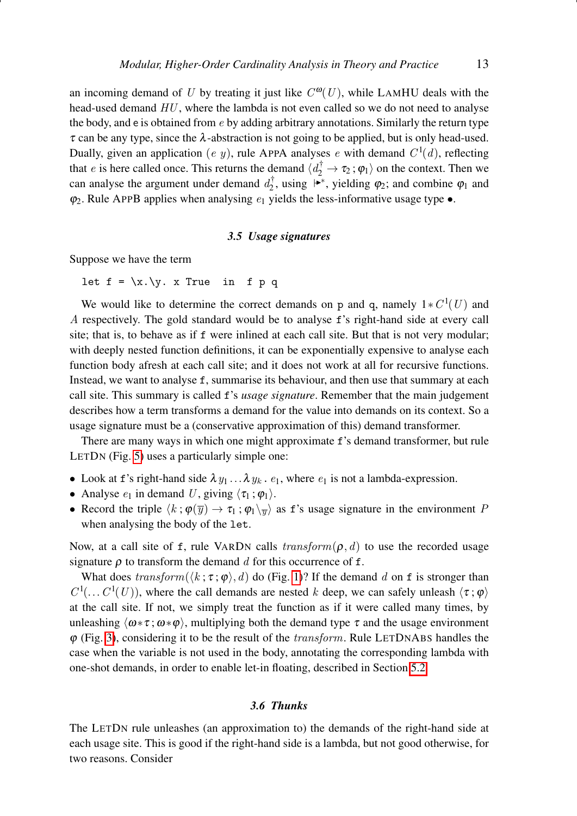an incoming demand of U by treating it just like  $C^{0}(U)$ , while LAMHU deals with the head-used demand  $HU$ , where the lambda is not even called so we do not need to analyse the body, and e is obtained from  $e$  by adding arbitrary annotations. Similarly the return type  $\tau$  can be any type, since the  $\lambda$ -abstraction is not going to be applied, but is only head-used. Dually, given an application (e y), rule APPA analyses e with demand  $C^1(d)$ , reflecting that *e* is here called once. This returns the demand  $\langle d_2^{\dagger} \to \tau_2 : \varphi_1 \rangle$  on the context. Then we can analyse the argument under demand  $d_2^{\dagger}$ , using  $\blacktriangleright^*$ , yielding  $\varphi_2$ ; and combine  $\varphi_1$  and  $\varphi_2$ . Rule APPB applies when analysing  $e_1$  yields the less-informative usage type  $\bullet$ .

## *3.5 Usage signatures*

<span id="page-12-0"></span>Suppose we have the term

let  $f = \x\cdot y$ . x True in f p q

We would like to determine the correct demands on p and q, namely  $1*C^1(U)$  and A respectively. The gold standard would be to analyse f's right-hand side at every call site; that is, to behave as if f were inlined at each call site. But that is not very modular; with deeply nested function definitions, it can be exponentially expensive to analyse each function body afresh at each call site; and it does not work at all for recursive functions. Instead, we want to analyse f, summarise its behaviour, and then use that summary at each call site. This summary is called f's *usage signature*. Remember that the main judgement describes how a term transforms a demand for the value into demands on its context. So a usage signature must be a (conservative approximation of this) demand transformer.

There are many ways in which one might approximate f's demand transformer, but rule LETDN (Fig. [5\)](#page-11-0) uses a particularly simple one:

- Look at f's right-hand side  $\lambda y_1 \ldots \lambda y_k$ .  $e_1$ , where  $e_1$  is not a lambda-expression.
- Analyse  $e_1$  in demand U, giving  $\langle \tau_1 ; \varphi_1 \rangle$ .
- Record the triple  $\langle k : \varphi(\overline{y}) \to \tau_1 : \varphi_1 \setminus \overline{\Psi} \rangle$  as f's usage signature in the environment P when analysing the body of the let.

Now, at a call site of f, rule VARDN calls  $transform(\rho, d)$  to use the recorded usage signature  $\rho$  to transform the demand d for this occurrence of f.

What does  $transform(\langle k; \tau; \varphi \rangle, d)$  do (Fig. [1\)](#page-6-0)? If the demand d on f is stronger than  $C^1(\ldots C^1(U))$ , where the call demands are nested k deep, we can safely unleash  $\langle \tau, \varphi \rangle$ at the call site. If not, we simply treat the function as if it were called many times, by unleashing  $\langle \omega * \tau; \omega * \varphi \rangle$ , multiplying both the demand type  $\tau$  and the usage environment  $\varphi$  (Fig. [3\)](#page-8-0), considering it to be the result of the *transform*. Rule LETDNABS handles the case when the variable is not used in the body, annotating the corresponding lambda with one-shot demands, in order to enable let-in floating, described in Section [5.2.](#page-21-0)

# *3.6 Thunks*

The LETDN rule unleashes (an approximation to) the demands of the right-hand side at each usage site. This is good if the right-hand side is a lambda, but not good otherwise, for two reasons. Consider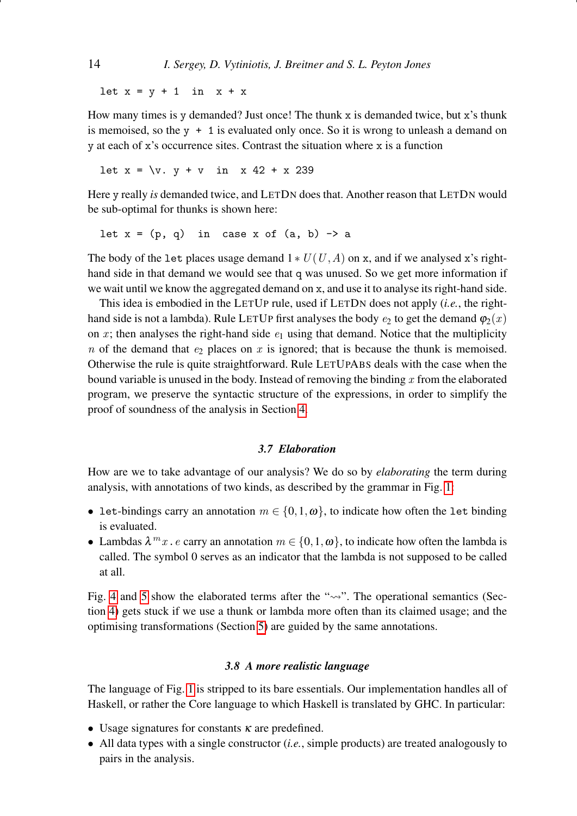let  $x = y + 1$  in  $x + x$ 

How many times is y demanded? Just once! The thunk x is demanded twice, but x's thunk is memoised, so the  $y + 1$  is evaluated only once. So it is wrong to unleash a demand on y at each of x's occurrence sites. Contrast the situation where x is a function

let  $x = \{v. y + v \in x \mid 42 + x \mid 239\}$ 

Here y really *is* demanded twice, and LETDN does that. Another reason that LETDN would be sub-optimal for thunks is shown here:

let  $x = (p, q)$  in case x of  $(a, b) \rightarrow a$ 

The body of the let places usage demand  $1 * U(U, A)$  on x, and if we analysed x's righthand side in that demand we would see that q was unused. So we get more information if we wait until we know the aggregated demand on x, and use it to analyse its right-hand side.

This idea is embodied in the LETUP rule, used if LETDN does not apply (*i.e.*, the righthand side is not a lambda). Rule LETUP first analyses the body  $e_2$  to get the demand  $\varphi_2(x)$ on x; then analyses the right-hand side  $e_1$  using that demand. Notice that the multiplicity n of the demand that  $e_2$  places on x is ignored; that is because the thunk is memoised. Otherwise the rule is quite straightforward. Rule LETUPABS deals with the case when the bound variable is unused in the body. Instead of removing the binding  $x$  from the elaborated program, we preserve the syntactic structure of the expressions, in order to simplify the proof of soundness of the analysis in Section [4.](#page-14-0)

# *3.7 Elaboration*

<span id="page-13-0"></span>How are we to take advantage of our analysis? We do so by *elaborating* the term during analysis, with annotations of two kinds, as described by the grammar in Fig. [1:](#page-6-0)

- let-bindings carry an annotation  $m \in \{0, 1, \omega\}$ , to indicate how often the let binding is evaluated.
- Lambdas  $\lambda^m x$ . *e* carry an annotation  $m \in \{0, 1, \omega\}$ , to indicate how often the lambda is called. The symbol 0 serves as an indicator that the lambda is not supposed to be called at all.

Fig. [4](#page-9-0) and [5](#page-11-0) show the elaborated terms after the " $\sim$ ". The operational semantics (Section [4\)](#page-14-0) gets stuck if we use a thunk or lambda more often than its claimed usage; and the optimising transformations (Section [5\)](#page-18-0) are guided by the same annotations.

# *3.8 A more realistic language*

The language of Fig. [1](#page-6-0) is stripped to its bare essentials. Our implementation handles all of Haskell, or rather the Core language to which Haskell is translated by GHC. In particular:

- Usage signatures for constants  $\kappa$  are predefined.
- All data types with a single constructor (*i.e.*, simple products) are treated analogously to pairs in the analysis.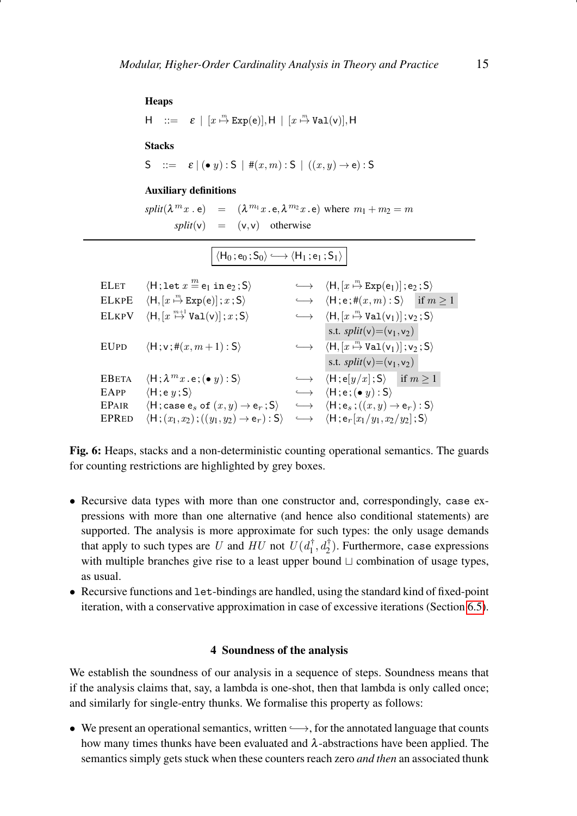# <span id="page-14-1"></span>Heaps

```
H ::= \varepsilon \mid [x \stackrel{m}{\mapsto} \text{Exp}(e)], H \mid [x \stackrel{m}{\mapsto} \text{Val}(v)], HStacks
S ::= \varepsilon | (\bullet \ y) : S | \#(x, m) : S | ((x, y) \rightarrow e) : S
```
# Auxiliary definitions

 $split(\lambda^{m}x \cdot \mathbf{e}) = (\lambda^{m_1}x \cdot \mathbf{e}, \lambda^{m_2}x \cdot \mathbf{e})$  where  $m_1 + m_2 = m$  $split(v) = (v, v)$  otherwise

$$
\langle \mathsf{H}_0\, ; \mathsf{e}_0\, ; \mathsf{S}_0\rangle \longleftrightarrow \langle \mathsf{H}_1\, ; \mathsf{e}_1\, ; \mathsf{S}_1\rangle
$$

| <b>ELET</b>  | $\langle H; \text{let } x \stackrel{m}{=} e_1 \text{ in } e_2; S \rangle$                      | $\longleftrightarrow \langle H, [x \stackrel{m}{\mapsto} Exp(e_1) ]$ ; e <sub>2</sub> ; S)                       |
|--------------|------------------------------------------------------------------------------------------------|------------------------------------------------------------------------------------------------------------------|
| <b>ELKPE</b> | $\langle H, [x \stackrel{m}{\mapsto} \text{Exp}(e)]; x ; S \rangle$                            | $\longleftrightarrow$ $\langle H; e; \#(x, m) : S \rangle$ if $m \ge 1$                                          |
| <b>ELKPV</b> | $\langle H, [x \stackrel{m+1}{\mapsto} \text{Val}(v) ]$ ; $x$ ; S)                             | $\longleftrightarrow$ $\langle H, [x \stackrel{m}{\mapsto} \text{Val}(v_1)] ; v_2 ; S \rangle$                   |
|              |                                                                                                | s.t. $split(v)=(v_1,v_2)$                                                                                        |
| <b>EUPD</b>  | $\langle H; v; \#(x, m+1):S\rangle$                                                            | $\longleftrightarrow$ $\langle H, [x \stackrel{m}{\mapsto} \text{Val}(v_1)] ; v_2 ; S \rangle$                   |
|              |                                                                                                | s.t. $split(v) = (v_1, v_2)$                                                                                     |
| <b>EBETA</b> | $\langle H; \lambda^m x . e; (\bullet y) : S \rangle$                                          | $\leftrightarrow$ $\langle H; e[y/x]; S \rangle$ if $m \ge 1$                                                    |
| EAPP         | $\langle H; e y; S \rangle$                                                                    | $\longleftrightarrow$ $\langle H; e; (• y) : S \rangle$                                                          |
| <b>EPAIR</b> | $\langle H; \text{case } e_s \text{ of } (x, y) \rightarrow e_r; S \rangle$                    | $\longleftrightarrow$ $\langle \mathsf{H}; \mathsf{e}_s; ((x, y) \rightarrow \mathsf{e}_r) : \mathsf{S} \rangle$ |
| <b>EPRED</b> | $\langle \mathsf{H} ; (x_1, x_2) ; ((y_1, y_2) \rightarrow \mathsf{e}_r) : \mathsf{S} \rangle$ | $\leftrightarrow$ $\langle H; e_r[x_1/y_1, x_2/y_2]; S \rangle$                                                  |

Fig. 6: Heaps, stacks and a non-deterministic counting operational semantics. The guards for counting restrictions are highlighted by grey boxes.

- Recursive data types with more than one constructor and, correspondingly, case expressions with more than one alternative (and hence also conditional statements) are supported. The analysis is more approximate for such types: the only usage demands that apply to such types are U and  $HU$  not  $U(d_1^{\dagger}, d_2^{\dagger})$ . Furthermore, case expressions with multiple branches give rise to a least upper bound  $\sqcup$  combination of usage types, as usual.
- Recursive functions and let-bindings are handled, using the standard kind of fixed-point iteration, with a conservative approximation in case of excessive iterations (Section [6.5\)](#page-24-0).

## 4 Soundness of the analysis

<span id="page-14-0"></span>We establish the soundness of our analysis in a sequence of steps. Soundness means that if the analysis claims that, say, a lambda is one-shot, then that lambda is only called once; and similarly for single-entry thunks. We formalise this property as follows:

• We present an operational semantics, written  $\longrightarrow$ , for the annotated language that counts how many times thunks have been evaluated and  $\lambda$ -abstractions have been applied. The semantics simply gets stuck when these counters reach zero *and then* an associated thunk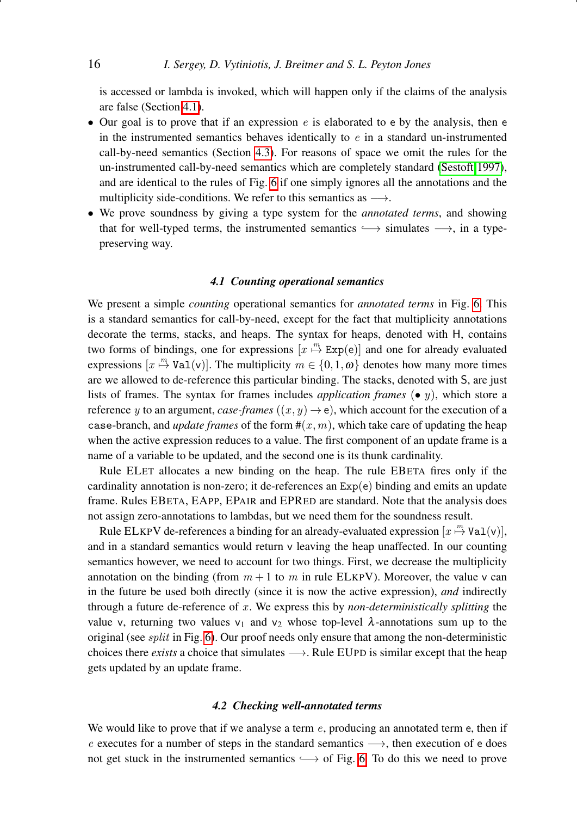is accessed or lambda is invoked, which will happen only if the claims of the analysis are false (Section [4.1\)](#page-15-0).

- Our goal is to prove that if an expression  $e$  is elaborated to e by the analysis, then e in the instrumented semantics behaves identically to  $e$  in a standard un-instrumented call-by-need semantics (Section [4.3\)](#page-17-0). For reasons of space we omit the rules for the un-instrumented call-by-need semantics which are completely standard [\(Sestoft 1997\)](#page-41-7), and are identical to the rules of Fig. [6](#page-14-1) if one simply ignores all the annotations and the multiplicity side-conditions. We refer to this semantics as  $\rightarrow$ .
- We prove soundness by giving a type system for the *annotated terms*, and showing that for well-typed terms, the instrumented semantics  $\longrightarrow$  simulates  $\longrightarrow$ , in a typepreserving way.

# *4.1 Counting operational semantics*

<span id="page-15-0"></span>We present a simple *counting* operational semantics for *annotated terms* in Fig. [6.](#page-14-1) This is a standard semantics for call-by-need, except for the fact that multiplicity annotations decorate the terms, stacks, and heaps. The syntax for heaps, denoted with H, contains two forms of bindings, one for expressions  $[x \stackrel{m}{\mapsto} \text{Exp}(e)]$  and one for already evaluated expressions  $[x \stackrel{m}{\mapsto} \text{Val}(v)]$ . The multiplicity  $m \in \{0, 1, \omega\}$  denotes how many more times are we allowed to de-reference this particular binding. The stacks, denoted with S, are just lists of frames. The syntax for frames includes *application frames*  $\left(\bullet q\right)$ , which store a reference y to an argument, *case-frames*  $((x, y) \rightarrow e)$ , which account for the execution of a case-branch, and *update frames* of the form  $\#(x, m)$ , which take care of updating the heap when the active expression reduces to a value. The first component of an update frame is a name of a variable to be updated, and the second one is its thunk cardinality.

Rule ELET allocates a new binding on the heap. The rule EBETA fires only if the cardinality annotation is non-zero; it de-references an  $Exp(e)$  binding and emits an update frame. Rules EBETA, EAPP, EPAIR and EPRED are standard. Note that the analysis does not assign zero-annotations to lambdas, but we need them for the soundness result.

Rule ELKPV de-references a binding for an already-evaluated expression  $[x \stackrel{m}{\mapsto} \text{Val}(v)]$ , and in a standard semantics would return v leaving the heap unaffected. In our counting semantics however, we need to account for two things. First, we decrease the multiplicity annotation on the binding (from  $m + 1$  to m in rule ELKPV). Moreover, the value v can in the future be used both directly (since it is now the active expression), *and* indirectly through a future de-reference of x . We express this by *non-deterministically splitting* the value v, returning two values v<sub>1</sub> and v<sub>2</sub> whose top-level  $\lambda$ -annotations sum up to the original (see *split* in Fig.  $6$ ). Our proof needs only ensure that among the non-deterministic choices there *exists* a choice that simulates →. Rule EUPD is similar except that the heap gets updated by an update frame.

# *4.2 Checking well-annotated terms*

We would like to prove that if we analyse a term  $e$ , producing an annotated term e, then if e executes for a number of steps in the standard semantics  $\longrightarrow$ , then execution of e does not get stuck in the instrumented semantics  $\longrightarrow$  of Fig. [6.](#page-14-1) To do this we need to prove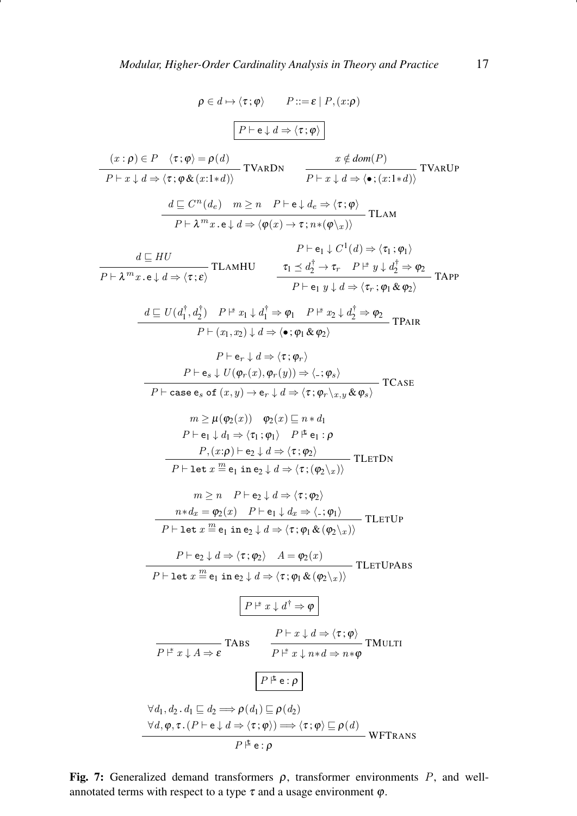<span id="page-16-0"></span>
$$
\rho \in d \mapsto \langle \tau; \varphi \rangle \qquad P ::= \varepsilon | P, (x; \rho)
$$
\n
$$
\boxed{P \vdash e \downarrow d \Rightarrow \langle \tau; \varphi \rangle}
$$
\n
$$
\boxed{(x:p) \in P \quad \langle \tau; \varphi \rangle = \rho(d)} \qquad \boxed{Y \land RDN} \qquad \boxed{x \notin dom(P)}
$$
\n
$$
\frac{d \subseteq C^n(d_e) \quad m \ge n \quad P \vdash e \downarrow d_e \Rightarrow \langle \tau; \varphi \rangle}{P \vdash x \downarrow d \Rightarrow \langle \tau; (x! \land d) \rangle} \text{TVARUP}
$$
\n
$$
\frac{d \subseteq C^n(d_e) \quad m \ge n \quad P \vdash e \downarrow d_e \Rightarrow \langle \tau; \varphi \rangle}{P \vdash x \downarrow d \Rightarrow \langle \tau; (\varphi) \rangle} \text{TLAM}
$$
\n
$$
\frac{d \subseteq HU \qquad P \vdash e_1 \downarrow C^1(d) \Rightarrow \langle \tau_1; \varphi_1 \rangle}{P \vdash e_1 \, y \downarrow d \Rightarrow \langle \tau; \varphi_1 \rangle} \text{TLAMHU} \qquad \frac{\tau_1 \le d_2^+ \rightarrow \tau_1 \quad P \vdash y \downarrow d_2^+ \Rightarrow \varphi_2}{P \vdash e_1 \, y \downarrow d \Rightarrow \langle \tau; \varphi_1 \land \varphi_2 \rangle} \text{TAPP}
$$
\n
$$
\frac{d \subseteq U(d_1^{\dagger}, d_2^{\dagger}) \quad P \vdash x_1 \downarrow d_1^{\dagger} \Rightarrow \varphi_1 \quad P \vdash x_2 \downarrow d_2^{\dagger} \Rightarrow \varphi_2}{P \vdash e_1 \, y \downarrow d \Rightarrow \langle \tau; \varphi_r \rangle} \qquad \frac{P \vdash e_r \downarrow d}{P \vdash (x_1, x_2) \downarrow d \Rightarrow \langle \tau; \varphi_r \rangle} \qquad \text{TCASE}
$$
\n
$$
\frac{d \subseteq U(d_1^{\dagger}, d_2^{\dagger}) \quad P \vdash x_1 \downarrow d_1^{\dagger} \Rightarrow \varphi_1 \quad P \vdash x_2 \downarrow d_2^{\dagger} \Rightarrow \varphi_2}{P \vdash \langle \tau; \varphi_r \rangle} \qquad \text{TCASE}
$$
\n
$$
\frac{P \vdash e
$$

Fig. 7: Generalized demand transformers  $\rho$ , transformer environments  $P$ , and wellannotated terms with respect to a type  $\tau$  and a usage environment  $\varphi$ .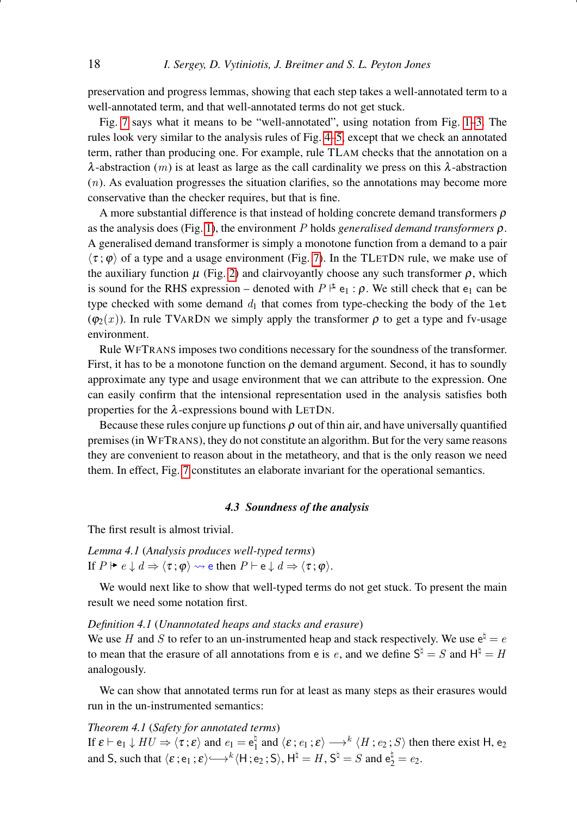preservation and progress lemmas, showing that each step takes a well-annotated term to a well-annotated term, and that well-annotated terms do not get stuck.

Fig. [7](#page-16-0) says what it means to be "well-annotated", using notation from Fig. [1](#page-6-0)[–3.](#page-8-0) The rules look very similar to the analysis rules of Fig. [4–](#page-9-0)[5,](#page-11-0) except that we check an annotated term, rather than producing one. For example, rule TLAM checks that the annotation on a  $\lambda$ -abstraction (*m*) is at least as large as the call cardinality we press on this  $\lambda$ -abstraction  $(n)$ . As evaluation progresses the situation clarifies, so the annotations may become more conservative than the checker requires, but that is fine.

A more substantial difference is that instead of holding concrete demand transformers  $\rho$ as the analysis does (Fig. [1\)](#page-6-0), the environment P holds *generalised demand transformers* ρ. A generalised demand transformer is simply a monotone function from a demand to a pair  $\langle \tau; \varphi \rangle$  of a type and a usage environment (Fig. [7\)](#page-16-0). In the TLETDN rule, we make use of the auxiliary function  $\mu$  (Fig. [2\)](#page-7-0) and clairvoyantly choose any such transformer  $\rho$ , which is sound for the RHS expression – denoted with  $P \not\models e_1 : \rho$ . We still check that  $e_1$  can be type checked with some demand  $d_1$  that comes from type-checking the body of the let  $(\varphi_2(x))$ . In rule TVARDN we simply apply the transformer  $\rho$  to get a type and fv-usage environment.

Rule WFTRANS imposes two conditions necessary for the soundness of the transformer. First, it has to be a monotone function on the demand argument. Second, it has to soundly approximate any type and usage environment that we can attribute to the expression. One can easily confirm that the intensional representation used in the analysis satisfies both properties for the  $\lambda$ -expressions bound with LETDN.

Because these rules conjure up functions  $\rho$  out of thin air, and have universally quantified premises (in WFTRANS), they do not constitute an algorithm. But for the very same reasons they are convenient to reason about in the metatheory, and that is the only reason we need them. In effect, Fig. [7](#page-16-0) constitutes an elaborate invariant for the operational semantics.

# *4.3 Soundness of the analysis*

<span id="page-17-1"></span><span id="page-17-0"></span>The first result is almost trivial.

*Lemma 4.1* (*Analysis produces well-typed terms*) If  $P \vDash e \downarrow d \Rightarrow \langle \tau ; \varphi \rangle \rightsquigarrow$  e then  $P \vdash e \downarrow d \Rightarrow \langle \tau ; \varphi \rangle$ .

We would next like to show that well-typed terms do not get stuck. To present the main result we need some notation first.

# *Definition 4.1* (*Unannotated heaps and stacks and erasure*)

We use H and S to refer to an un-instrumented heap and stack respectively. We use  $e^{\frac{t}{2}} = e$ to mean that the erasure of all annotations from e is e, and we define  $S^{\natural} = S$  and  $H^{\natural} = H$ analogously.

We can show that annotated terms run for at least as many steps as their erasures would run in the un-instrumented semantics:

# <span id="page-17-2"></span>*Theorem 4.1* (*Safety for annotated terms*)

If  $\varepsilon \vdash e_1 \downarrow HU \Rightarrow \langle \tau : \varepsilon \rangle$  and  $e_1 = e_1^{\natural}$  $\frac{1}{1}$  and  $\langle \varepsilon : e_1 : \varepsilon \rangle \longrightarrow^k \langle H : e_2 : S \rangle$  then there exist H, e<sub>2</sub> and S, such that  $\langle \varepsilon ; e_1 ; \varepsilon \rangle \longrightarrow^k \langle H ; e_2 ; S \rangle$ ,  $H^{\natural} = H$ ,  $S^{\natural} = S$  and  $e_2^{\natural} = e_2$ .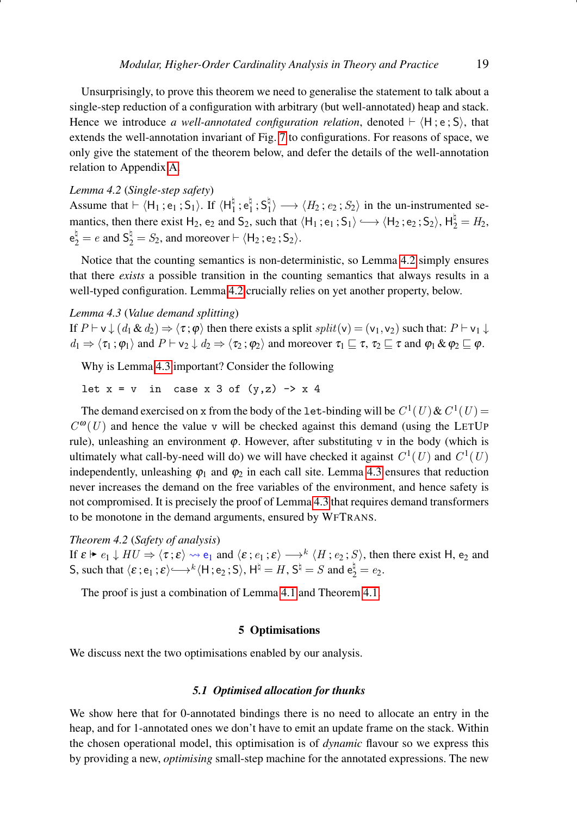Unsurprisingly, to prove this theorem we need to generalise the statement to talk about a single-step reduction of a configuration with arbitrary (but well-annotated) heap and stack. Hence we introduce *a well-annotated configuration relation*, denoted  $\vdash \langle H; e; S \rangle$ , that extends the well-annotation invariant of Fig. [7](#page-16-0) to configurations. For reasons of space, we only give the statement of the theorem below, and defer the details of the well-annotation relation to Appendix [A.](#page-42-0)

# <span id="page-18-1"></span>*Lemma 4.2* (*Single-step safety*)

Assume that  $\vdash \langle H_1 ; e_1 ; S_1 \rangle$ . If  $\langle H_1^{\natural}$  $\frac{1}{1}$ ;  $e_1^{\natural}$  $\frac{1}{1}$ ; S<sub>1</sub>  $\langle H_1 \rangle \longrightarrow \langle H_2 : e_2 : S_2 \rangle$  in the un-instrumented semantics, then there exist H<sub>2</sub>, e<sub>2</sub> and S<sub>2</sub>, such that  $\langle H_1; e_1; S_1 \rangle \longrightarrow \langle H_2; e_2; S_2 \rangle$ ,  $H_2^{\dagger} = H_2$ ,  $e_2^{\natural} = e$  and  $S_2^{\natural} = S_2$ , and moreover  $\vdash \langle H_2; e_2; S_2 \rangle$ .

Notice that the counting semantics is non-deterministic, so Lemma [4.2](#page-18-1) simply ensures that there *exists* a possible transition in the counting semantics that always results in a well-typed configuration. Lemma [4.2](#page-18-1) crucially relies on yet another property, below.

#### <span id="page-18-2"></span>*Lemma 4.3* (*Value demand splitting*)

If  $P \vdash v \downarrow (d_1 \& d_2) \Rightarrow \langle \tau; \varphi \rangle$  then there exists a split  $split(v) = (v_1, v_2)$  such that:  $P \vdash v_1 \downarrow$  $d_1 \Rightarrow \langle \tau_1 ; \varphi_1 \rangle$  and  $P \vdash v_2 \downarrow d_2 \Rightarrow \langle \tau_2 ; \varphi_2 \rangle$  and moreover  $\tau_1 \sqsubseteq \tau$ ,  $\tau_2 \sqsubseteq \tau$  and  $\varphi_1 \& \varphi_2 \sqsubseteq \varphi$ .

Why is Lemma [4.3](#page-18-2) important? Consider the following

let  $x = v$  in case x 3 of  $(y, z) \rightarrow x$  4

The demand exercised on x from the body of the let-binding will be  $C^1(U)$  &  $C^1(U)$  =  $C^{ \omega}(U)$  and hence the value v will be checked against this demand (using the LETUP rule), unleashing an environment  $\varphi$ . However, after substituting v in the body (which is ultimately what call-by-need will do) we will have checked it against  $C^1(U)$  and  $C^1(U)$ independently, unleashing  $\varphi_1$  and  $\varphi_2$  in each call site. Lemma [4.3](#page-18-2) ensures that reduction never increases the demand on the free variables of the environment, and hence safety is not compromised. It is precisely the proof of Lemma [4.3](#page-18-2) that requires demand transformers to be monotone in the demand arguments, ensured by WFTRANS.

#### <span id="page-18-3"></span>*Theorem 4.2* (*Safety of analysis*)

If  $\varepsilon \vdash e_1 \downarrow HU \Rightarrow \langle \tau; \varepsilon \rangle \leadsto e_1$  and  $\langle \varepsilon; e_1; \varepsilon \rangle \longrightarrow^k \langle H; e_2; S \rangle$ , then there exist H,  $e_2$  and S, such that  $\langle \varepsilon, e_1; \varepsilon \rangle \longrightarrow^k \langle H; e_2; S \rangle$ ,  $H^{\dagger} = H$ ,  $S^{\dagger} = S$  and  $e_2^{\dagger} = e_2$ .

The proof is just a combination of Lemma [4.1](#page-17-1) and Theorem [4.1.](#page-17-2)

# 5 Optimisations

<span id="page-18-0"></span>We discuss next the two optimisations enabled by our analysis.

## *5.1 Optimised allocation for thunks*

We show here that for 0-annotated bindings there is no need to allocate an entry in the heap, and for 1-annotated ones we don't have to emit an update frame on the stack. Within the chosen operational model, this optimisation is of *dynamic* flavour so we express this by providing a new, *optimising* small-step machine for the annotated expressions. The new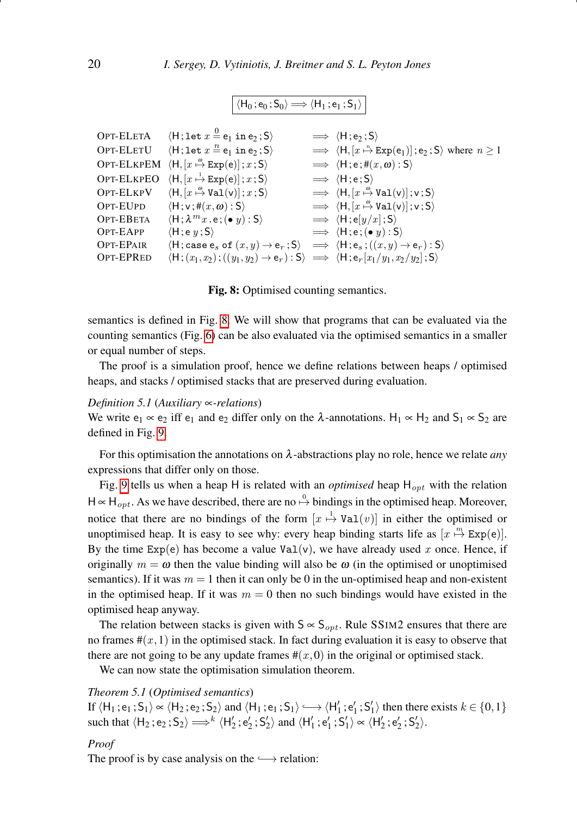$\overline{\langle H_0; e_0; S_0 \rangle \Longrightarrow \langle H_1; e_1; S_1 \rangle}$ 

```
OPT-ELETA
                                   \langle H; \text{let } x \stackrel{0}{=} e_1 \text{ in } e_2 ; S \rangle \longrightarrow \langle H; e_2 ; S \rangleOPT-ELETU
                                   \langle H;\texttt{let } x \stackrel{n}{=} e_1 \texttt{ in } e_2 ;S \rangle\stackrel{n}{\mapsto} \text{Exp}(e_1) ; e_2 ; S where n \geq 1OPT-ELKPEM \langle H, [x \stackrel{\omega}{\vdash}\implies \langle H; e; \#(x, \omega) : S \rangle\text{OPT-ELKPEO}\ \ \ \langle \textsf{H}, [x\stackrel{1}{\mapsto} \texttt{Exp}(\textsf{e})] \, ; x \, ; \textsf{S} \rangle \qquad \qquad \Longrightarrow \ \ \langle \textsf{H}\, ; \textsf{e}\, ; \textsf{S} \rangleOPT-ELKPV
                                                 \stackrel{\omega}{\mapsto} Val(\mathsf{v})] ; x ; S\rangle \qquad \implies \langle \mathsf{H},[x]\stackrel{\omega}{\mapsto} Val(v)]; v; S)
OPT-EUPD \langle H; v; \#(x, \omega) : S \rangle\stackrel{\omega}{\mapsto} Val(v)]; v; S)
OPT-EBETA \langle H; \lambda^m x . e ; (\bullet y) : S \rangle \Rightarrow \langle H; e[y/x] ; S \rangle<br>OPT-EAPP \langle H; e y ; S \rangle \Rightarrow \langle H; e ; (\bullet y) : S \rangleOPT-EAPP \langle H; e y ; S \rangle \implies \langle H; e ; (\bullet y) : S \rangle\text{OPT-EPAIR} \qquad \langle \mathsf{H}; \text{case } \mathsf{e}_s \text{ of } (x,y) \rightarrow \mathsf{e}_r ; \mathsf{S} \rangle \quad \Longrightarrow \; \langle \mathsf{H}; \mathsf{e}_s : ((x,y) \rightarrow \mathsf{e}_r) : \mathsf{S} \rangleOPT-EPRED \langle H; (x_1,x_2);((y_1,y_2) \rightarrow e_r) : S \rangle \implies \langle H; e_r [x_1/y_1,x_2/y_2] ; S \rangle
```
Fig. 8: Optimised counting semantics.

semantics is defined in Fig. [8.](#page-19-0) We will show that programs that can be evaluated via the counting semantics (Fig. [6\)](#page-14-1) can be also evaluated via the optimised semantics in a smaller or equal number of steps.

The proof is a simulation proof, hence we define relations between heaps / optimised heaps, and stacks / optimised stacks that are preserved during evaluation.

## *Definition 5.1* (*Auxiliary* ∝*-relations*)

We write  $e_1 \propto e_2$  iff  $e_1$  and  $e_2$  differ only on the  $\lambda$ -annotations. H<sub>1</sub>  $\propto$  H<sub>2</sub> and S<sub>1</sub>  $\propto$  S<sub>2</sub> are defined in Fig. [9.](#page-20-0)

For this optimisation the annotations on λ-abstractions play no role, hence we relate *any* expressions that differ only on those.

Fig. [9](#page-20-0) tells us when a heap H is related with an *optimised* heap  $H_{opt}$  with the relation  $H \propto H_{opt}$ . As we have described, there are no  $\stackrel{0}{\mapsto}$  bindings in the optimised heap. Moreover, notice that there are no bindings of the form  $[x \stackrel{1}{\mapsto} \text{Val}(v)]$  in either the optimised or unoptimised heap. It is easy to see why: every heap binding starts life as  $[x \stackrel{m}{\mapsto} \text{Exp}(e)]$ . By the time  $Exp(e)$  has become a value  $Val(v)$ , we have already used x once. Hence, if originally  $m = \omega$  then the value binding will also be  $\omega$  (in the optimised or unoptimised semantics). If it was  $m = 1$  then it can only be 0 in the un-optimised heap and non-existent in the optimised heap. If it was  $m = 0$  then no such bindings would have existed in the optimised heap anyway.

The relation between stacks is given with  $S \propto S_{opt}$ . Rule SSIM2 ensures that there are no frames  $\#(x,1)$  in the optimised stack. In fact during evaluation it is easy to observe that there are not going to be any update frames  $\#(x,0)$  in the original or optimised stack.

We can now state the optimisation simulation theorem.

# <span id="page-19-1"></span>*Theorem 5.1* (*Optimised semantics*)

If  $\langle H_1; e_1; S_1\rangle \propto \langle H_2; e_2; S_2\rangle$  and  $\langle H_1; e_1; S_1\rangle \longrightarrow \langle H_1'; e_1'; S_1'\rangle$  then there exists  $k \in \{0, 1\}$ such that  $\langle H_2; e_2; S_2 \rangle \Longrightarrow^k \langle H'_2; e'_2; S'_2 \rangle$  and  $\langle H'_1; e'_1; S'_1 \rangle \propto \langle H'_2; e'_2; S'_2 \rangle$ .

#### *Proof*

The proof is by case analysis on the  $\longrightarrow$  relation: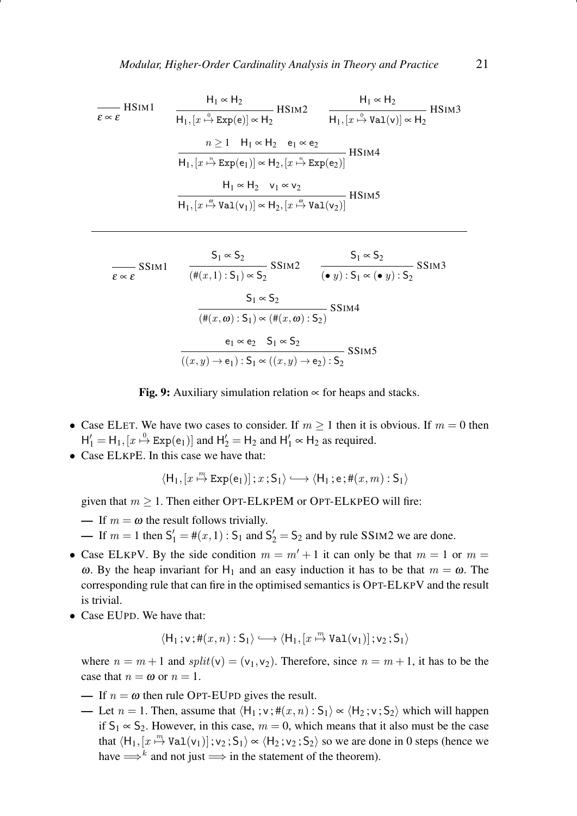<span id="page-20-0"></span>
$$
\frac{H_1 \propto H_2}{\epsilon \propto \epsilon}
$$
HSIM1  
\n
$$
\frac{H_1 \propto H_2}{H_1, [x \stackrel{0}{\rightarrow} Exp(e)] \propto H_2}
$$
HSIM2  
\n
$$
\frac{n \ge 1 \quad H_1 \propto H_2 \quad e_1 \propto e_2}{H_1, [x \stackrel{0}{\rightarrow} Val(v)] \propto H_2}
$$
HSIM4  
\n
$$
\frac{H_1 \propto H_2 \quad e_1 \propto e_2}{H_1, [x \stackrel{n}{\rightarrow} Exp(e_1)] \propto H_2, [x \stackrel{n}{\rightarrow} Exp(e_2)]}
$$
HSIM4  
\n
$$
\frac{H_1 \propto H_2 \quad v_1 \propto v_2}{H_1, [x \stackrel{0}{\rightarrow} Val(v_1)] \propto H_2, [x \stackrel{0}{\rightarrow} Val(v_2)]}
$$
HSIM5

$$
\frac{S_1 \propto S_2}{\epsilon \propto \epsilon} SSIM1
$$
\n
$$
\frac{S_1 \propto S_2}{(\#(x,1):S_1) \propto S_2} SSIM2
$$
\n
$$
\frac{S_1 \propto S_2}{(\bullet y):S_1 \propto (\bullet y):S_2} SSIM3
$$
\n
$$
\frac{S_1 \propto S_2}{(\#(x,\omega):S_1) \propto (\#(x,\omega):S_2)} SSIM4
$$
\n
$$
\frac{e_1 \propto e_2 \quad S_1 \propto S_2}{((x,y) \to e_1):S_1 \propto ((x,y) \to e_2):S_2} SSIM5
$$

Fig. 9: Auxiliary simulation relation  $\infty$  for heaps and stacks.

- Case ELET. We have two cases to consider. If  $m \ge 1$  then it is obvious. If  $m = 0$  then  $H'_1 = H_1$ ,  $[x \stackrel{0}{\mapsto} Exp(e_1)]$  and  $H'_2 = H_2$  and  $H'_1 \propto H_2$  as required.
- Case ELKPE. In this case we have that:

$$
\langle \mathsf{H}_1, [x \stackrel{\mathit{m}}{\mapsto} \mathtt{Exp}(e_1) ] \, ; x \, ; \mathsf{S}_1 \rangle \longleftrightarrow \langle \mathsf{H}_1 \, ; e \, ; \mathsf{\#}(x,m) \, : \mathsf{S}_1 \rangle
$$

given that  $m \geq 1$ . Then either OPT-ELKPEM or OPT-ELKPEO will fire:

- If  $m = \omega$  the result follows trivially.
- $\blacksquare$  If  $m = 1$  then  $S_1' = #(x, 1)$ :  $S_1$  and  $S_2' = S_2$  and by rule SSIM2 we are done.
- Case ELKPV. By the side condition  $m = m' + 1$  it can only be that  $m = 1$  or  $m =$ ω. By the heap invariant for H<sub>1</sub> and an easy induction it has to be that  $m = ω$ . The corresponding rule that can fire in the optimised semantics is OPT-ELKPV and the result is trivial.
- Case EUPD. We have that:

$$
\langle \mathsf{H}_1\,;\mathsf{v}\,;\mathsf{\#}(x,n): \mathsf{S}_1\rangle \mathchoice{\longrightarrow}{\rightarrow}{\rightarrow}{\rightarrow} \langle \mathsf{H}_1, [x\stackrel{\mathit{m}}{\mapsto}\text{Val}(\mathsf{v}_1)]\,;\mathsf{v}_2\,;\mathsf{S}_1\rangle
$$

where  $n = m + 1$  and  $split(v) = (v_1, v_2)$ . Therefore, since  $n = m + 1$ , it has to be the case that  $n = \omega$  or  $n = 1$ .

- If  $n = \omega$  then rule OPT-EUPD gives the result.
- Let  $n = 1$ . Then, assume that  $\langle H_1; v; #(x, n) : S_1 \rangle \propto \langle H_2; v; S_2 \rangle$  which will happen if  $S_1 \propto S_2$ . However, in this case,  $m = 0$ , which means that it also must be the case that  $\langle H_1, [x \stackrel{m}{\mapsto} \text{Val}(v_1)]$ ;  $v_2$ ;  $S_1 \rangle \propto \langle H_2$ ;  $v_2$ ;  $S_2 \rangle$  so we are done in 0 steps (hence we have  $\Longrightarrow^k$  and not just  $\Longrightarrow$  in the statement of the theorem).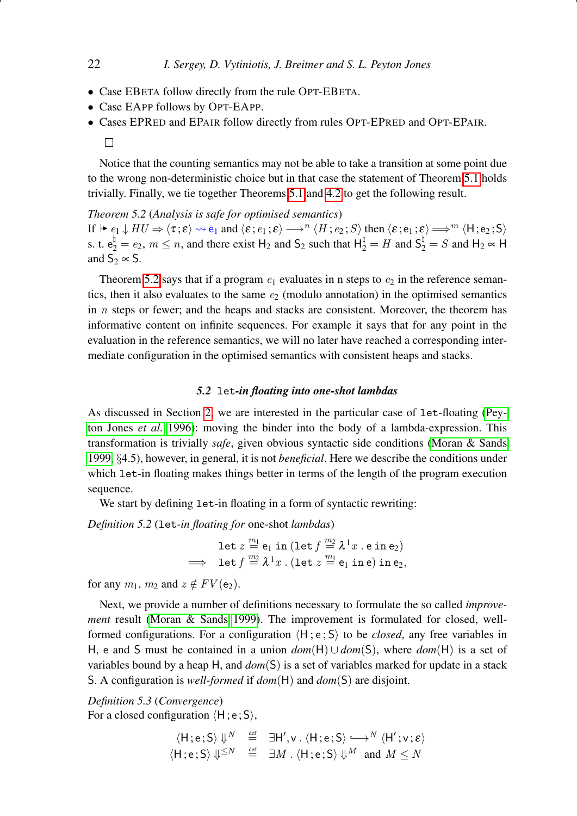- Case EBETA follow directly from the rule OPT-EBETA.
- Case EAPP follows by OPT-EAPP.
- Cases EPRED and EPAIR follow directly from rules OPT-EPRED and OPT-EPAIR.
	- $\Box$

Notice that the counting semantics may not be able to take a transition at some point due to the wrong non-deterministic choice but in that case the statement of Theorem [5.1](#page-19-1) holds trivially. Finally, we tie together Theorems [5.1](#page-19-1) and [4.2](#page-18-3) to get the following result.

<span id="page-21-1"></span>*Theorem 5.2* (*Analysis is safe for optimised semantics*) If  $\blacktriangleright e_1 \downarrow HU \Rightarrow \langle \tau; \varepsilon \rangle \rightsquigarrow e_1$  and  $\langle \varepsilon; e_1; \varepsilon \rangle \longrightarrow^n \langle H; e_2; S \rangle$  then  $\langle \varepsilon; e_1; \varepsilon \rangle \Longrightarrow^m \langle H; e_2; S \rangle$ s. t.  $e_2^{\natural} = e_2$ ,  $m \le n$ , and there exist H<sub>2</sub> and S<sub>2</sub> such that  $H_2^{\natural} = H$  and  $S_2^{\natural} = S$  and H<sub>2</sub>  $\propto$  H and  $S_2 \propto S$ .

Theorem [5.2](#page-21-1) says that if a program  $e_1$  evaluates in n steps to  $e_2$  in the reference semantics, then it also evaluates to the same  $e_2$  (modulo annotation) in the optimised semantics in  $n$  steps or fewer; and the heaps and stacks are consistent. Moreover, the theorem has informative content on infinite sequences. For example it says that for any point in the evaluation in the reference semantics, we will no later have reached a corresponding intermediate configuration in the optimised semantics with consistent heaps and stacks.

# *5.2* let*-in floating into one-shot lambdas*

<span id="page-21-0"></span>As discussed in Section [2,](#page-2-0) we are interested in the particular case of let-floating [\(Pey](#page-41-1)[ton Jones](#page-41-1) *et al.* [1996\)](#page-41-1): moving the binder into the body of a lambda-expression. This transformation is trivially *safe*, given obvious syntactic side conditions [\(Moran & Sands](#page-41-2) [1999,](#page-41-2) §4.5), however, in general, it is not *beneficial*. Here we describe the conditions under which let-in floating makes things better in terms of the length of the program execution sequence.

We start by defining let-in floating in a form of syntactic rewriting:

*Definition 5.2* (let*-in floating for* one-shot *lambdas*)

let  $z \stackrel{m_1}{=} \mathsf{e}_1$  in  $(\texttt{let} \, f \stackrel{m_2}{=} \lambda^1 x$  .  $\texttt{e}$  in  $\texttt{e}_2)$  $\implies$  let  $f \stackrel{m_2}{=} \lambda^1 x$ . (let  $z \stackrel{m_1}{=} \mathsf{e}_1$  in  $\mathsf{e}_2$ ) in  $\mathsf{e}_2$ ,

for any  $m_1$ ,  $m_2$  and  $z \notin FV(e_2)$ .

Next, we provide a number of definitions necessary to formulate the so called *improvement* result [\(Moran & Sands 1999\)](#page-41-2). The improvement is formulated for closed, wellformed configurations. For a configuration  $\langle H; e; S \rangle$  to be *closed*, any free variables in H, e and S must be contained in a union *dom*(H) ∪ *dom*(S), where *dom*(H) is a set of variables bound by a heap H, and *dom*(S) is a set of variables marked for update in a stack S. A configuration is *well-formed* if *dom*(H) and *dom*(S) are disjoint.

*Definition 5.3* (*Convergence*) For a closed configuration  $\langle H; e; S \rangle$ ,

$$
\langle H; e; S \rangle \Downarrow^{N} \stackrel{\text{def}}{=} \exists H', v \cdot \langle H; e; S \rangle \longleftrightarrow^{N} \langle H'; v; \varepsilon \rangle
$$
  

$$
\langle H; e; S \rangle \Downarrow^{\leq N} \stackrel{\text{def}}{=} \exists M \cdot \langle H; e; S \rangle \Downarrow^{M} \text{ and } M \leq N
$$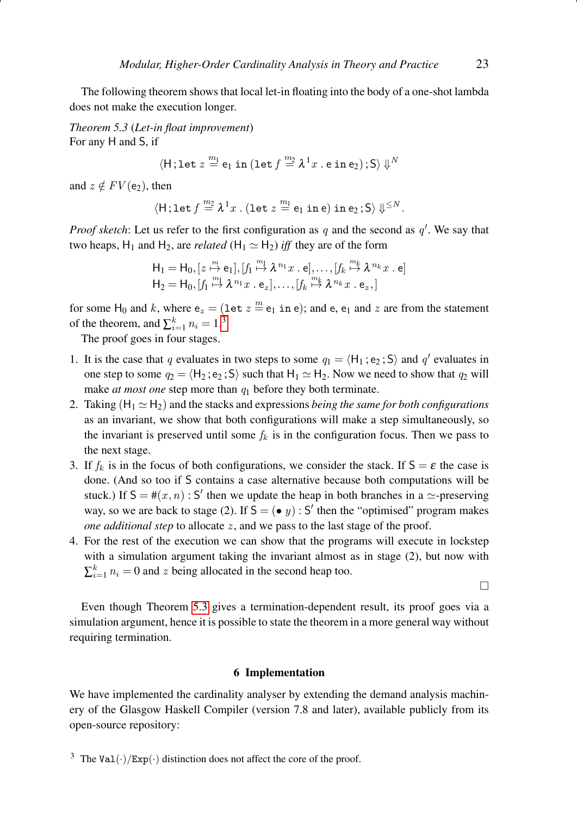The following theorem shows that local let-in floating into the body of a one-shot lambda does not make the execution longer.

<span id="page-22-2"></span>*Theorem 5.3* (*Let-in float improvement*) For any H and S, if

$$
\langle \mathsf{H}\,;\texttt{let}\; z \stackrel{m_1}{=} \mathsf{e}_1 \;\texttt{in}\;(\texttt{let}\; f \stackrel{m_2}{=} \lambda^1 x \;.\; \mathsf{e} \;\texttt{in}\; \mathsf{e}_2)\,;\mathsf{S}\rangle\; \mathbb{U}^N
$$

and  $z \notin FV(e_2)$ , then

$$
\langle \mathsf{H}\,;\texttt{let}\,f\stackrel{\textit{m}_2}{=}\lambda^1x\;.\;(\texttt{let}\;z\stackrel{\textit{m}_1}{=}\mathsf{e}_1\;\texttt{in}\,\mathsf{e})\;\texttt{in}\,\mathsf{e}_2\,;\mathsf{S}\rangle\Downarrow^{\leq N}.
$$

*Proof sketch*: Let us refer to the first configuration as  $q$  and the second as  $q'$ . We say that two heaps,  $H_1$  and  $H_2$ , are *related* ( $H_1 \simeq H_2$ ) *iff* they are of the form

$$
H_1 = H_0, [z \stackrel{m}{\mapsto} e_1], [f_1 \stackrel{m_1}{\mapsto} \lambda^{n_1} x \cdot e], \dots, [f_k \stackrel{m_k}{\mapsto} \lambda^{n_k} x \cdot e]
$$
  

$$
H_2 = H_0, [f_1 \stackrel{m_1}{\mapsto} \lambda^{n_1} x \cdot e_z], \dots, [f_k \stackrel{m_k}{\mapsto} \lambda^{n_k} x \cdot e_z, ]
$$

for some H<sub>0</sub> and k, where  $e_z = (\text{let } z \stackrel{m}{=} e_1 \text{ in } e)$ ; and e,  $e_1$  and z are from the statement of the theorem, and  $\sum_{i=1}^{k} n_i = 1$ .<sup>[3](#page-22-1)</sup>

The proof goes in four stages.

- 1. It is the case that q evaluates in two steps to some  $q_1 = \langle H_1; e_2; S \rangle$  and q' evaluates in one step to some  $q_2 = \langle H_2; e_2; S \rangle$  such that  $H_1 \simeq H_2$ . Now we need to show that  $q_2$  will make *at most one* step more than  $q_1$  before they both terminate.
- 2. Taking  $(H_1 \simeq H_2)$  and the stacks and expressions *being the same for both configurations* as an invariant, we show that both configurations will make a step simultaneously, so the invariant is preserved until some  $f_k$  is in the configuration focus. Then we pass to the next stage.
- 3. If  $f_k$  is in the focus of both configurations, we consider the stack. If  $S = \varepsilon$  the case is done. (And so too if S contains a case alternative because both computations will be stuck.) If  $S = \#(x, n)$ : S' then we update the heap in both branches in a  $\simeq$ -preserving way, so we are back to stage (2). If  $S = (\bullet y) : S'$  then the "optimised" program makes *one additional step* to allocate z, and we pass to the last stage of the proof.
- 4. For the rest of the execution we can show that the programs will execute in lockstep with a simulation argument taking the invariant almost as in stage (2), but now with  $\sum_{i=1}^{k} n_i = 0$  and z being allocated in the second heap too.

 $\Box$ 

Even though Theorem [5.3](#page-22-2) gives a termination-dependent result, its proof goes via a simulation argument, hence it is possible to state the theorem in a more general way without requiring termination.

## 6 Implementation

<span id="page-22-0"></span>We have implemented the cardinality analyser by extending the demand analysis machinery of the Glasgow Haskell Compiler (version 7.8 and later), available publicly from its open-source repository:

<span id="page-22-1"></span><sup>&</sup>lt;sup>3</sup> The Val(·)/Exp(·) distinction does not affect the core of the proof.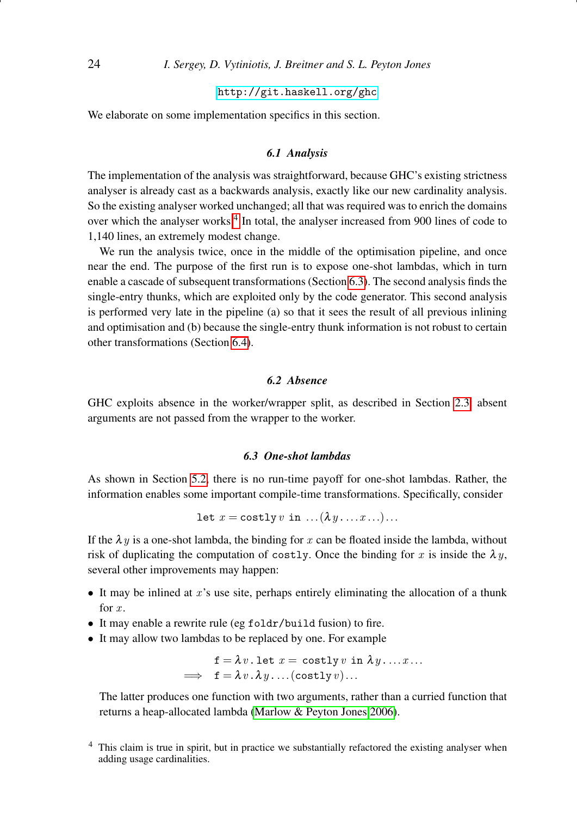# <http://git.haskell.org/ghc>

We elaborate on some implementation specifics in this section.

# *6.1 Analysis*

The implementation of the analysis was straightforward, because GHC's existing strictness analyser is already cast as a backwards analysis, exactly like our new cardinality analysis. So the existing analyser worked unchanged; all that was required was to enrich the domains over which the analyser works.<sup>[4](#page-23-0)</sup> In total, the analyser increased from 900 lines of code to 1,140 lines, an extremely modest change.

We run the analysis twice, once in the middle of the optimisation pipeline, and once near the end. The purpose of the first run is to expose one-shot lambdas, which in turn enable a cascade of subsequent transformations (Section [6.3\)](#page-23-1). The second analysis finds the single-entry thunks, which are exploited only by the code generator. This second analysis is performed very late in the pipeline (a) so that it sees the result of all previous inlining and optimisation and (b) because the single-entry thunk information is not robust to certain other transformations (Section [6.4\)](#page-24-1).

# *6.2 Absence*

GHC exploits absence in the worker/wrapper split, as described in Section [2.3:](#page-3-1) absent arguments are not passed from the wrapper to the worker.

## *6.3 One-shot lambdas*

<span id="page-23-1"></span>As shown in Section [5.2,](#page-21-0) there is no run-time payoff for one-shot lambdas. Rather, the information enables some important compile-time transformations. Specifically, consider

let 
$$
x = \text{costly } v \text{ in } ... (\lambda y ... x ...)
$$
...

If the  $\lambda y$  is a one-shot lambda, the binding for x can be floated inside the lambda, without risk of duplicating the computation of costly. Once the binding for x is inside the  $\lambda y$ , several other improvements may happen:

- It may be inlined at x's use site, perhaps entirely eliminating the allocation of a thunk for  $x$ .
- It may enable a rewrite rule (eg foldr/build fusion) to fire.
- It may allow two lambdas to be replaced by one. For example

$$
\hspace{0.5cm} \mathbf{f} = \lambda \, v \, . \, \texttt{let} \, \, x = \, \texttt{costly} \, v \, \, \texttt{in} \, \, \lambda \, y \, . \, . \, . \, . \, .
$$
 
$$
\implies \, \, \mathbf{f} = \lambda \, v \, . \, \lambda \, y \, . \, . \, . \, . \, (\texttt{costly} \, v) \, . \, .
$$

The latter produces one function with two arguments, rather than a curried function that returns a heap-allocated lambda [\(Marlow & Peyton Jones 2006\)](#page-41-8).

<span id="page-23-0"></span>This claim is true in spirit, but in practice we substantially refactored the existing analyser when adding usage cardinalities.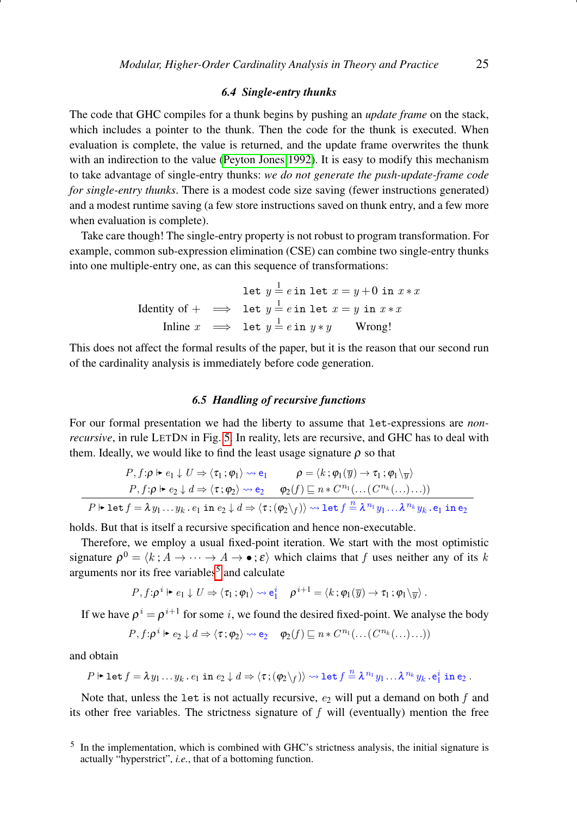# *6.4 Single-entry thunks*

<span id="page-24-1"></span>The code that GHC compiles for a thunk begins by pushing an *update frame* on the stack, which includes a pointer to the thunk. Then the code for the thunk is executed. When evaluation is complete, the value is returned, and the update frame overwrites the thunk with an indirection to the value [\(Peyton Jones 1992\)](#page-41-9). It is easy to modify this mechanism to take advantage of single-entry thunks: *we do not generate the push-update-frame code for single-entry thunks*. There is a modest code size saving (fewer instructions generated) and a modest runtime saving (a few store instructions saved on thunk entry, and a few more when evaluation is complete).

Take care though! The single-entry property is not robust to program transformation. For example, common sub-expression elimination (CSE) can combine two single-entry thunks into one multiple-entry one, as can this sequence of transformations:

> let  $y = e$  in let  $x = y + 0$  in  $x * x$ Identity of +  $\implies$  let  $y = e$  in let  $x = y$  in  $x * x$ Inline  $x \implies$  let  $y = e$  in  $y * y$  Wrong!

This does not affect the formal results of the paper, but it is the reason that our second run of the cardinality analysis is immediately before code generation.

# *6.5 Handling of recursive functions*

<span id="page-24-0"></span>For our formal presentation we had the liberty to assume that let-expressions are *nonrecursive*, in rule LETDN in Fig. [5.](#page-11-0) In reality, lets are recursive, and GHC has to deal with them. Ideally, we would like to find the least usage signature  $\rho$  so that

$$
P, f: \rho \vdash e_1 \downarrow U \Rightarrow \langle \tau_1; \varphi_1 \rangle \rightsquigarrow e_1 \qquad \rho = \langle k; \varphi_1(\overline{y}) \rightarrow \tau_1; \varphi_1 \setminus \overline{y} \rangle
$$
  
\n
$$
P, f: \rho \vdash e_2 \downarrow d \Rightarrow \langle \tau; \varphi_2 \rangle \rightsquigarrow e_2 \qquad \varphi_2(f) \sqsubseteq n * C^{n_1}(\dots (C^{n_k}(\dots \dots)))
$$
  
\n
$$
P \vdash \text{let } f = \lambda y_1 \dots y_k \dots e_1 \text{ in } e_2 \downarrow d \Rightarrow \langle \tau; (\varphi_2 \setminus f) \rangle \rightsquigarrow \text{let } f \stackrel{n}{=} \lambda^{n_1} y_1 \dots \lambda^{n_k} y_k \dots e_1 \text{ in } e_2
$$

holds. But that is itself a recursive specification and hence non-executable.

Therefore, we employ a usual fixed-point iteration. We start with the most optimistic signature  $\rho^0 = \langle k; A \to \cdots \to A \to \bullet; \varepsilon \rangle$  which claims that f uses neither any of its k arguments nor its free variables<sup>[5](#page-24-2)</sup> and calculate

$$
P, f \colon \rho^i \Vdash e_1 \downarrow U \Rightarrow \langle \tau_1 : \varphi_1 \rangle \rightsquigarrow e_1^i \quad \rho^{i+1} = \langle k : \varphi_1(\overline{y}) \rightarrow \tau_1 : \varphi_1 \setminus \overline{y} \rangle.
$$

If we have  $\rho^i = \rho^{i+1}$  for some i, we found the desired fixed-point. We analyse the body

$$
P, f: \rho^i \vdash e_2 \downarrow d \Rightarrow \langle \tau, \varphi_2 \rangle \rightsquigarrow e_2 \quad \varphi_2(f) \sqsubseteq n * C^{n_1}(\dots (C^{n_k}(\dots)\dots))
$$

and obtain

$$
P \Vdash \mathtt{let} \, f = \lambda \, y_1 \ldots y_k \, . \, e_1 \, \mathtt{in} \, \, e_2 \downarrow d \Rightarrow \langle \, \tau \, ; (\phi_2 \backslash_f) \rangle \leadsto \mathtt{let} \, f \stackrel{n}{=} \lambda^{\, n_1} y_1 \ldots \lambda^{\, n_k} y_k \, . \, e_1^i \, \mathtt{in} \, e_2 \, .
$$

Note that, unless the let is not actually recursive,  $e_2$  will put a demand on both  $f$  and its other free variables. The strictness signature of  $f$  will (eventually) mention the free

<span id="page-24-2"></span><sup>&</sup>lt;sup>5</sup> In the implementation, which is combined with GHC's strictness analysis, the initial signature is actually "hyperstrict", *i.e.*, that of a bottoming function.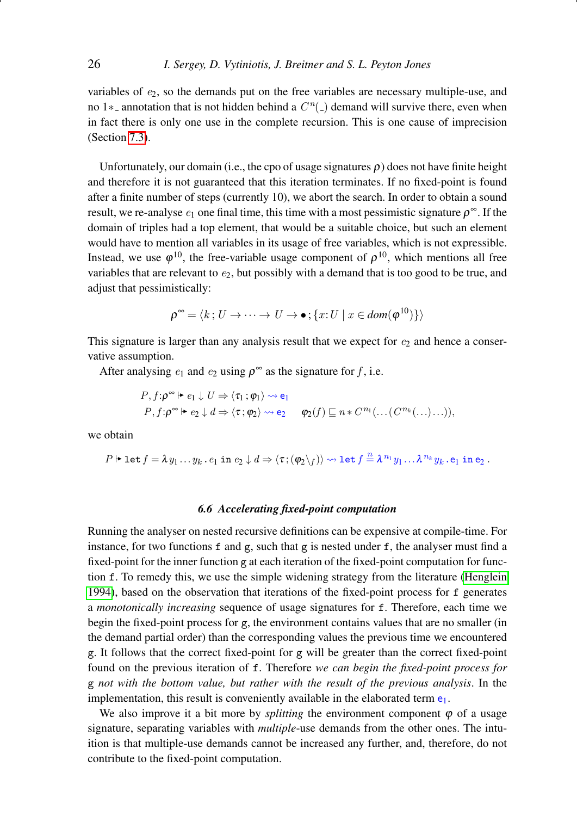variables of  $e<sub>2</sub>$ , so the demands put on the free variables are necessary multiple-use, and no 1<sup>\*</sup>- annotation that is not hidden behind a  $C<sup>n</sup>(.)$  demand will survive there, even when in fact there is only one use in the complete recursion. This is one cause of imprecision (Section [7.3\)](#page-30-1).

Unfortunately, our domain (i.e., the cpo of usage signatures  $\rho$ ) does not have finite height and therefore it is not guaranteed that this iteration terminates. If no fixed-point is found after a finite number of steps (currently 10), we abort the search. In order to obtain a sound result, we re-analyse  $e_1$  one final time, this time with a most pessimistic signature  $\rho^{\infty}$ . If the domain of triples had a top element, that would be a suitable choice, but such an element would have to mention all variables in its usage of free variables, which is not expressible. Instead, we use  $\varphi^{10}$ , the free-variable usage component of  $\rho^{10}$ , which mentions all free variables that are relevant to  $e_2$ , but possibly with a demand that is too good to be true, and adjust that pessimistically:

$$
\rho^{\infty} = \langle k : U \to \cdots \to U \to \bullet ; \{x : U \mid x \in \text{dom}(\varphi^{10})\} \rangle
$$

This signature is larger than any analysis result that we expect for  $e_2$  and hence a conservative assumption.

After analysing  $e_1$  and  $e_2$  using  $\rho^{\infty}$  as the signature for f, i.e.

$$
P, f: \rho^{\infty} \models e_1 \downarrow U \Rightarrow \langle \tau_1 : \varphi_1 \rangle \rightsquigarrow e_1
$$
  

$$
P, f: \rho^{\infty} \models e_2 \downarrow d \Rightarrow \langle \tau : \varphi_2 \rangle \rightsquigarrow e_2 \qquad \varphi_2(f) \sqsubseteq n * C^{n_1}(\dots (C^{n_k}(\dots)\dots)),
$$

we obtain

$$
P \Vdash \mathtt{let} \, f = \lambda \, y_1 \ldots y_k \, . \, e_1 \, \mathtt{in} \, \, e_2 \downarrow d \Rightarrow \langle \tau \, ; (\phi_2 \backslash_f) \rangle \leadsto \mathtt{let} \, f \stackrel{n}{=} \lambda^{\, n_1} \, y_1 \ldots \lambda^{\, n_k} \, y_k \, . \, e_1 \, \mathtt{in} \, e_2 \, .
$$

## *6.6 Accelerating fixed-point computation*

Running the analyser on nested recursive definitions can be expensive at compile-time. For instance, for two functions f and  $g$ , such that  $g$  is nested under f, the analyser must find a fixed-point for the inner function g at each iteration of the fixed-point computation for function f. To remedy this, we use the simple widening strategy from the literature [\(Henglein](#page-40-2) [1994\)](#page-40-2), based on the observation that iterations of the fixed-point process for f generates a *monotonically increasing* sequence of usage signatures for f. Therefore, each time we begin the fixed-point process for g, the environment contains values that are no smaller (in the demand partial order) than the corresponding values the previous time we encountered g. It follows that the correct fixed-point for g will be greater than the correct fixed-point found on the previous iteration of f. Therefore *we can begin the fixed-point process for* g *not with the bottom value, but rather with the result of the previous analysis*. In the implementation, this result is conveniently available in the elaborated term  $e_1$ .

We also improve it a bit more by *splitting* the environment component  $\varphi$  of a usage signature, separating variables with *multiple*-use demands from the other ones. The intuition is that multiple-use demands cannot be increased any further, and, therefore, do not contribute to the fixed-point computation.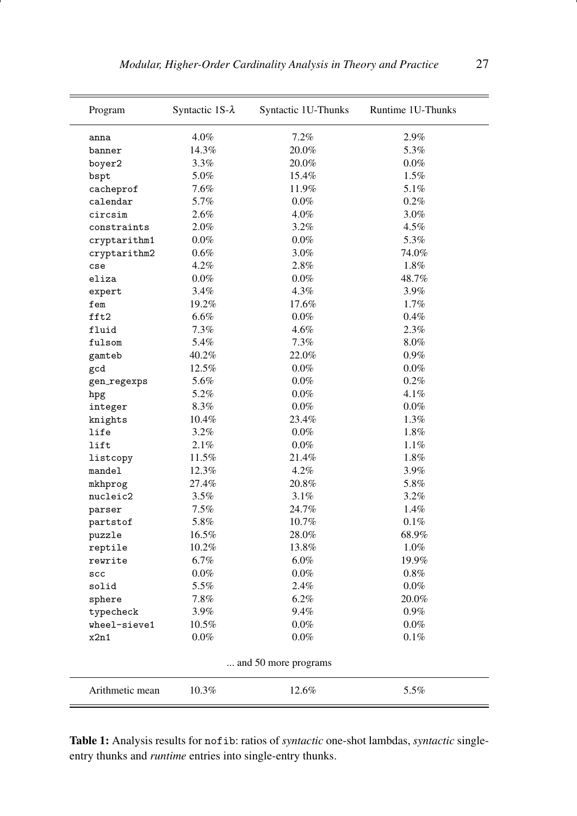<span id="page-26-0"></span>

| Program         | Syntactic 1S- $\lambda$ | Syntactic 1U-Thunks  | Runtime 1U-Thunks |
|-----------------|-------------------------|----------------------|-------------------|
| anna            | 4.0%                    | 7.2%                 | 2.9%              |
| banner          | 14.3%                   | 20.0%                | 5.3%              |
| boyer2          | 3.3%                    | 20.0%                | $0.0\%$           |
| bspt            | 5.0%                    | 15.4%                | 1.5%              |
| cacheprof       | 7.6%                    | 11.9%                | 5.1%              |
| calendar        | 5.7%                    | $0.0\%$              | 0.2%              |
| circsim         | 2.6%                    | 4.0%                 | 3.0%              |
| constraints     | 2.0%                    | 3.2%                 | 4.5%              |
| cryptarithm1    | $0.0\%$                 | $0.0\%$              | 5.3%              |
| cryptarithm2    | $0.6\%$                 | 3.0%                 | 74.0%             |
| cse             | 4.2%                    | 2.8%                 | 1.8%              |
| eliza           | $0.0\%$                 | $0.0\%$              | 48.7%             |
| expert          | 3.4%                    | 4.3%                 | 3.9%              |
| fem             | 19.2%                   | 17.6%                | 1.7%              |
| fft2            | 6.6%                    | $0.0\%$              | 0.4%              |
| fluid           | 7.3%                    | 4.6%                 | 2.3%              |
| fulsom          | 5.4%                    | 7.3%                 | $8.0\%$           |
| gamteb          | 40.2%                   | 22.0%                | 0.9%              |
| gcd             | 12.5%                   | $0.0\%$              | $0.0\%$           |
| gen_regexps     | 5.6%                    | $0.0\%$              | 0.2%              |
| hpg             | 5.2%                    | $0.0\%$              | 4.1%              |
| integer         | 8.3%                    | $0.0\%$              | $0.0\%$           |
| knights         | 10.4%                   | 23.4%                | 1.3%              |
| life            | 3.2%                    | $0.0\%$              | 1.8%              |
| lift            | 2.1%                    | $0.0\%$              | 1.1%              |
| listcopy        | 11.5%                   | 21.4%                | 1.8%              |
| mandel          | 12.3%                   | 4.2%                 | 3.9%              |
| mkhprog         | 27.4%                   | 20.8%                | 5.8%              |
| nucleic2        | 3.5%                    | 3.1%                 | 3.2%              |
| parser          | $7.5\%$                 | 24.7%                | 1.4%              |
| partstof        | 5.8%                    | 10.7%                | $0.1\%$           |
| puzzle          | 16.5%                   | 28.0%                | 68.9%             |
| reptile         | 10.2%                   | 13.8%                | $1.0\%$           |
| rewrite         | 6.7%                    | $6.0\%$              | 19.9%             |
| ${}_{\tt SCC}$  | $0.0\%$                 | $0.0\%$              | $0.8\%$           |
| solid           | 5.5%                    | 2.4%                 | $0.0\%$           |
| sphere          | 7.8%                    | 6.2%                 | 20.0%             |
| typecheck       | 3.9%                    | 9.4%                 | $0.9\%$           |
| wheel-sieve1    | $10.5\%$                | $0.0\%$              | $0.0\%$           |
| x2n1            | $0.0\%$                 | $0.0\%$              | 0.1%              |
|                 |                         | and 50 more programs |                   |
| Arithmetic mean | 10.3%                   | 12.6%                | 5.5%              |

Table 1: Analysis results for nofib: ratios of *syntactic* one-shot lambdas, *syntactic* singleentry thunks and *runtime* entries into single-entry thunks.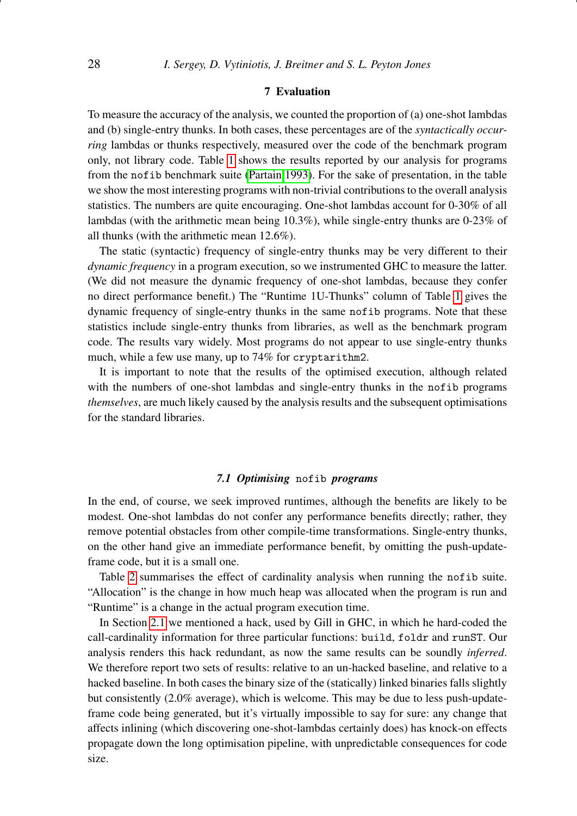# 7 Evaluation

<span id="page-27-0"></span>To measure the accuracy of the analysis, we counted the proportion of (a) one-shot lambdas and (b) single-entry thunks. In both cases, these percentages are of the *syntactically occurring* lambdas or thunks respectively, measured over the code of the benchmark program only, not library code. Table [1](#page-26-0) shows the results reported by our analysis for programs from the nofib benchmark suite [\(Partain 1993\)](#page-41-10). For the sake of presentation, in the table we show the most interesting programs with non-trivial contributions to the overall analysis statistics. The numbers are quite encouraging. One-shot lambdas account for 0-30% of all lambdas (with the arithmetic mean being 10.3%), while single-entry thunks are 0-23% of all thunks (with the arithmetic mean 12.6%).

The static (syntactic) frequency of single-entry thunks may be very different to their *dynamic frequency* in a program execution, so we instrumented GHC to measure the latter. (We did not measure the dynamic frequency of one-shot lambdas, because they confer no direct performance benefit.) The "Runtime 1U-Thunks" column of Table [1](#page-26-0) gives the dynamic frequency of single-entry thunks in the same nofib programs. Note that these statistics include single-entry thunks from libraries, as well as the benchmark program code. The results vary widely. Most programs do not appear to use single-entry thunks much, while a few use many, up to 74% for cryptarithm2.

It is important to note that the results of the optimised execution, although related with the numbers of one-shot lambdas and single-entry thunks in the nofib programs *themselves*, are much likely caused by the analysis results and the subsequent optimisations for the standard libraries.

# *7.1 Optimising* nofib *programs*

<span id="page-27-1"></span>In the end, of course, we seek improved runtimes, although the benefits are likely to be modest. One-shot lambdas do not confer any performance benefits directly; rather, they remove potential obstacles from other compile-time transformations. Single-entry thunks, on the other hand give an immediate performance benefit, by omitting the push-updateframe code, but it is a small one.

Table [2](#page-28-0) summarises the effect of cardinality analysis when running the nofib suite. "Allocation" is the change in how much heap was allocated when the program is run and "Runtime" is a change in the actual program execution time.

In Section [2.1](#page-2-1) we mentioned a hack, used by Gill in GHC, in which he hard-coded the call-cardinality information for three particular functions: build, foldr and runST. Our analysis renders this hack redundant, as now the same results can be soundly *inferred*. We therefore report two sets of results: relative to an un-hacked baseline, and relative to a hacked baseline. In both cases the binary size of the (statically) linked binaries falls slightly but consistently (2.0% average), which is welcome. This may be due to less push-updateframe code being generated, but it's virtually impossible to say for sure: any change that affects inlining (which discovering one-shot-lambdas certainly does) has knock-on effects propagate down the long optimisation pipeline, with unpredictable consequences for code size.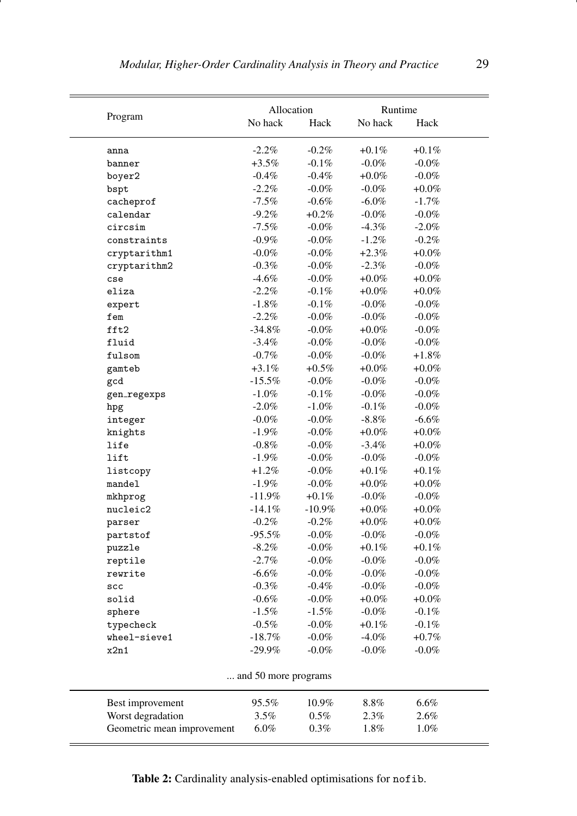<span id="page-28-0"></span>

|                            | Allocation           |           | Runtime  |          |
|----------------------------|----------------------|-----------|----------|----------|
| Program                    | No hack              | Hack      | No hack  | Hack     |
|                            |                      |           |          |          |
| anna                       | $-2.2%$              | $-0.2\%$  | $+0.1\%$ | $+0.1\%$ |
| banner                     | $+3.5\%$             | $-0.1\%$  | $-0.0\%$ | $-0.0\%$ |
| boyer2                     | $-0.4\%$             | $-0.4\%$  | $+0.0\%$ | $-0.0\%$ |
| bspt                       | $-2.2\%$             | $-0.0\%$  | $-0.0\%$ | $+0.0\%$ |
| cacheprof                  | $-7.5\%$             | $-0.6\%$  | $-6.0\%$ | $-1.7\%$ |
| calendar                   | $-9.2%$              | $+0.2\%$  | $-0.0\%$ | $-0.0\%$ |
| circsim                    | $-7.5\%$             | $-0.0\%$  | $-4.3\%$ | $-2.0\%$ |
| constraints                | $-0.9\%$             | $-0.0\%$  | $-1.2\%$ | $-0.2\%$ |
| cryptarithm1               | $-0.0\%$             | $-0.0\%$  | $+2.3\%$ | $+0.0\%$ |
| cryptarithm2               | $-0.3\%$             | $-0.0\%$  | $-2.3\%$ | $-0.0\%$ |
| cse                        | $-4.6%$              | $-0.0\%$  | $+0.0\%$ | $+0.0\%$ |
| eliza                      | $-2.2\%$             | $-0.1\%$  | $+0.0\%$ | $+0.0\%$ |
| expert                     | $-1.8\%$             | $-0.1\%$  | $-0.0\%$ | $-0.0\%$ |
| fem                        | $-2.2\%$             | $-0.0\%$  | $-0.0\%$ | $-0.0\%$ |
| fft2                       | $-34.8%$             | $-0.0\%$  | $+0.0\%$ | $-0.0\%$ |
| fluid                      | $-3.4\%$             | $-0.0\%$  | $-0.0\%$ | $-0.0\%$ |
| fulsom                     | $-0.7\%$             | $-0.0\%$  | $-0.0\%$ | $+1.8\%$ |
| gamteb                     | $+3.1\%$             | $+0.5\%$  | $+0.0\%$ | $+0.0\%$ |
| gcd                        | $-15.5\%$            | $-0.0\%$  | $-0.0\%$ | $-0.0\%$ |
| gen_regexps                | $-1.0\%$             | $-0.1\%$  | $-0.0\%$ | $-0.0\%$ |
| hpg                        | $-2.0\%$             | $-1.0\%$  | $-0.1\%$ | $-0.0\%$ |
| integer                    | $-0.0\%$             | $-0.0\%$  | $-8.8\%$ | $-6.6\%$ |
| knights                    | $-1.9%$              | $-0.0\%$  | $+0.0\%$ | $+0.0\%$ |
| life                       | $-0.8\%$             | $-0.0\%$  | $-3.4\%$ | $+0.0\%$ |
| lift                       | $-1.9\%$             | $-0.0\%$  | $-0.0\%$ | $-0.0\%$ |
| listcopy                   | $+1.2\%$             | $-0.0\%$  | $+0.1\%$ | $+0.1\%$ |
| mandel                     | $-1.9\%$             | $-0.0\%$  | $+0.0\%$ | $+0.0\%$ |
| mkhprog                    | $-11.9\%$            | $+0.1\%$  | $-0.0\%$ | $-0.0\%$ |
| nucleic2                   | $-14.1\%$            | $-10.9\%$ | $+0.0\%$ | $+0.0\%$ |
| parser                     | $-0.2\%$             | $-0.2\%$  | $+0.0\%$ | $+0.0\%$ |
| partstof                   | $-95.5\%$            | -0.0%     | $-0.0\%$ | $-0.0\%$ |
| puzzle                     | $-8.2\%$             | $-0.0\%$  | $+0.1\%$ | $+0.1\%$ |
| reptile                    | $-2.7%$              | $-0.0\%$  | $-0.0\%$ | $-0.0\%$ |
| rewrite                    | $-6.6\%$             | $-0.0\%$  | $-0.0\%$ | $-0.0\%$ |
| scc                        | $-0.3\%$             | $-0.4\%$  | $-0.0\%$ | $-0.0\%$ |
| solid                      | $-0.6%$              | $-0.0\%$  | $+0.0\%$ | $+0.0\%$ |
| sphere                     | $-1.5%$              | $-1.5\%$  | $-0.0\%$ | $-0.1\%$ |
| typecheck                  | $-0.5\%$             | $-0.0\%$  | $+0.1%$  | $-0.1\%$ |
| wheel-sieve1               | $-18.7%$             | $-0.0\%$  | $-4.0\%$ | $+0.7\%$ |
| x2n1                       | $-29.9\%$            | $-0.0\%$  | $-0.0\%$ | $-0.0\%$ |
|                            |                      |           |          |          |
|                            | and 50 more programs |           |          |          |
| Best improvement           | 95.5%                | 10.9%     | $8.8\%$  | $6.6\%$  |
| Worst degradation          | 3.5%                 | $0.5\%$   | $2.3\%$  | 2.6%     |
| Geometric mean improvement | $6.0\%$              | $0.3\%$   | 1.8%     | 1.0%     |
|                            |                      |           |          |          |

Table 2: Cardinality analysis-enabled optimisations for nofib.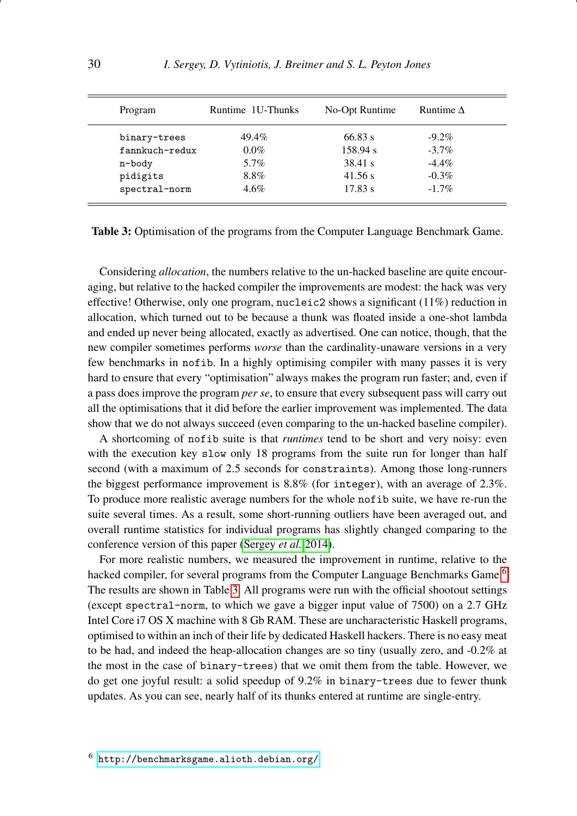<span id="page-29-1"></span>

| Program        | Runtime 1U-Thunks | No-Opt Runtime | Runtime $\Delta$ |  |
|----------------|-------------------|----------------|------------------|--|
| binary-trees   | 49.4%             | 66.83 s        | $-9.2\%$         |  |
| fannkuch-redux | $0.0\%$           | 158.94 s       | $-3.7\%$         |  |
| n-body         | 5.7%              | 38.41 s        | $-4.4\%$         |  |
| pidigits       | 8.8%              | 41.56 s        | $-0.3\%$         |  |
| spectral-norm  | $4.6\%$           | 17.83 s        | $-1.7\%$         |  |

Table 3: Optimisation of the programs from the Computer Language Benchmark Game.

Considering *allocation*, the numbers relative to the un-hacked baseline are quite encouraging, but relative to the hacked compiler the improvements are modest: the hack was very effective! Otherwise, only one program, nucleic2 shows a significant  $(11\%)$  reduction in allocation, which turned out to be because a thunk was floated inside a one-shot lambda and ended up never being allocated, exactly as advertised. One can notice, though, that the new compiler sometimes performs *worse* than the cardinality-unaware versions in a very few benchmarks in nofib. In a highly optimising compiler with many passes it is very hard to ensure that every "optimisation" always makes the program run faster; and, even if a pass does improve the program *per se*, to ensure that every subsequent pass will carry out all the optimisations that it did before the earlier improvement was implemented. The data show that we do not always succeed (even comparing to the un-hacked baseline compiler).

A shortcoming of nofib suite is that *runtimes* tend to be short and very noisy: even with the execution key slow only 18 programs from the suite run for longer than half second (with a maximum of 2.5 seconds for constraints). Among those long-runners the biggest performance improvement is 8.8% (for integer), with an average of 2.3%. To produce more realistic average numbers for the whole nofib suite, we have re-run the suite several times. As a result, some short-running outliers have been averaged out, and overall runtime statistics for individual programs has slightly changed comparing to the conference version of this paper [\(Sergey](#page-41-0) *et al.* [2014\)](#page-41-0).

<span id="page-29-0"></span>For more realistic numbers, we measured the improvement in runtime, relative to the hacked compiler, for several programs from the Computer Language Benchmarks Game.<sup>[6](#page-29-0)</sup> The results are shown in Table [3.](#page-29-1) All programs were run with the official shootout settings (except spectral-norm, to which we gave a bigger input value of 7500) on a 2.7 GHz Intel Core i7 OS X machine with 8 Gb RAM. These are uncharacteristic Haskell programs, optimised to within an inch of their life by dedicated Haskell hackers. There is no easy meat to be had, and indeed the heap-allocation changes are so tiny (usually zero, and -0.2% at the most in the case of binary-trees) that we omit them from the table. However, we do get one joyful result: a solid speedup of 9.2% in binary-trees due to fewer thunk updates. As you can see, nearly half of its thunks entered at runtime are single-entry.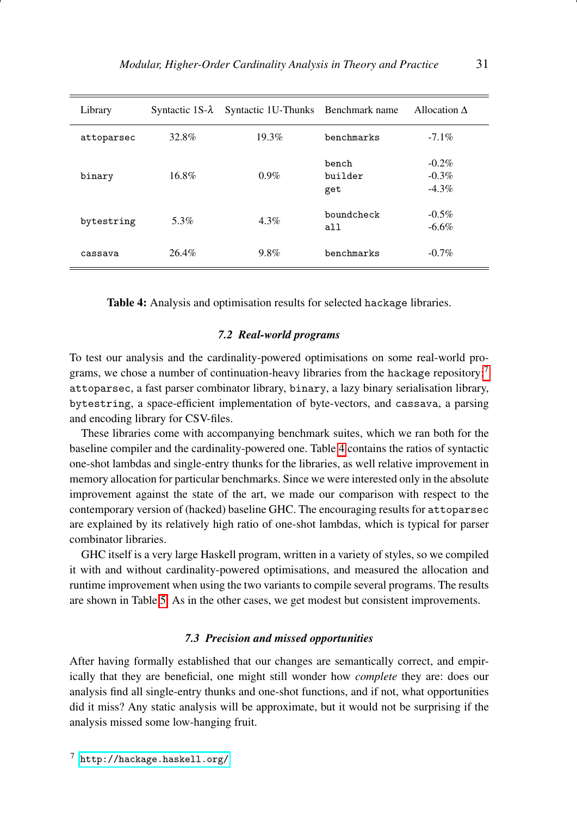<span id="page-30-3"></span>

| Library    |       | Syntactic $1S-\lambda$ Syntactic 1U-Thunks Benchmark name |                         | Allocation $\Delta$              |
|------------|-------|-----------------------------------------------------------|-------------------------|----------------------------------|
| attoparsec | 32.8% | 19.3%                                                     | benchmarks              | $-7.1\%$                         |
| binary     | 16.8% | $0.9\%$                                                   | bench<br>builder<br>get | $-0.2\%$<br>$-0.3\%$<br>$-4.3\%$ |
| bytestring | 5.3%  | 4.3%                                                      | boundcheck<br>all       | $-0.5\%$<br>$-6.6\%$             |
| cassava    | 26.4% | $9.8\%$                                                   | benchmarks              | $-0.7\%$                         |

Table 4: Analysis and optimisation results for selected hackage libraries.

# *7.2 Real-world programs*

<span id="page-30-0"></span>To test our analysis and the cardinality-powered optimisations on some real-world pro-grams, we chose a number of continuation-heavy libraries from the hackage repository:<sup>[7](#page-30-2)</sup> attoparsec, a fast parser combinator library, binary, a lazy binary serialisation library, bytestring, a space-efficient implementation of byte-vectors, and cassava, a parsing and encoding library for CSV-files.

These libraries come with accompanying benchmark suites, which we ran both for the baseline compiler and the cardinality-powered one. Table [4](#page-30-3) contains the ratios of syntactic one-shot lambdas and single-entry thunks for the libraries, as well relative improvement in memory allocation for particular benchmarks. Since we were interested only in the absolute improvement against the state of the art, we made our comparison with respect to the contemporary version of (hacked) baseline GHC. The encouraging results for attoparsec are explained by its relatively high ratio of one-shot lambdas, which is typical for parser combinator libraries.

GHC itself is a very large Haskell program, written in a variety of styles, so we compiled it with and without cardinality-powered optimisations, and measured the allocation and runtime improvement when using the two variants to compile several programs. The results are shown in Table [5.](#page-31-0) As in the other cases, we get modest but consistent improvements.

# *7.3 Precision and missed opportunities*

<span id="page-30-1"></span>After having formally established that our changes are semantically correct, and empirically that they are beneficial, one might still wonder how *complete* they are: does our analysis find all single-entry thunks and one-shot functions, and if not, what opportunities did it miss? Any static analysis will be approximate, but it would not be surprising if the analysis missed some low-hanging fruit.

<span id="page-30-2"></span><sup>7</sup> <http://hackage.haskell.org/>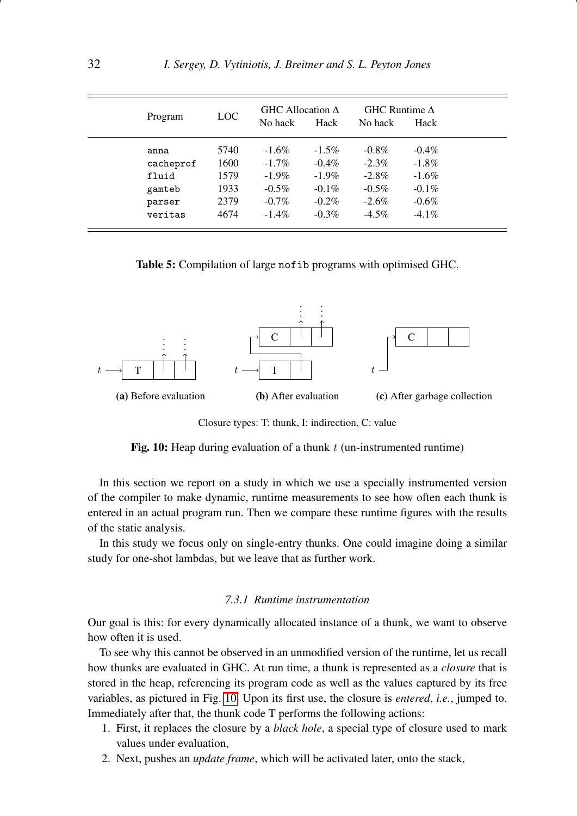<span id="page-31-0"></span>

| Program   | LOC. | GHC Allocation $\Delta$<br>No hack | Hack     | GHC Runtime $\Delta$<br>No hack | Hack     |  |
|-----------|------|------------------------------------|----------|---------------------------------|----------|--|
| anna      | 5740 | $-1.6\%$                           | $-1.5\%$ | $-0.8\%$                        | $-0.4\%$ |  |
| cacheprof | 1600 | $-1.7\%$                           | $-0.4\%$ | $-2.3\%$                        | $-1.8\%$ |  |
| fluid     | 1579 | $-1.9\%$                           | $-1.9\%$ | $-2.8\%$                        | $-1.6%$  |  |
| gamteb    | 1933 | $-0.5\%$                           | $-0.1\%$ | $-0.5\%$                        | $-0.1\%$ |  |
| parser    | 2379 | $-0.7\%$                           | $-0.2\%$ | $-2.6\%$                        | $-0.6%$  |  |
| veritas   | 4674 | $-1.4\%$                           | $-0.3\%$ | $-4.5\%$                        | $-4.1\%$ |  |

Table 5: Compilation of large nofib programs with optimised GHC.

<span id="page-31-1"></span>

Closure types: T: thunk, I: indirection, C: value

Fig. 10: Heap during evaluation of a thunk  $t$  (un-instrumented runtime)

In this section we report on a study in which we use a specially instrumented version of the compiler to make dynamic, runtime measurements to see how often each thunk is entered in an actual program run. Then we compare these runtime figures with the results of the static analysis.

In this study we focus only on single-entry thunks. One could imagine doing a similar study for one-shot lambdas, but we leave that as further work.

# *7.3.1 Runtime instrumentation*

Our goal is this: for every dynamically allocated instance of a thunk, we want to observe how often it is used.

To see why this cannot be observed in an unmodified version of the runtime, let us recall how thunks are evaluated in GHC. At run time, a thunk is represented as a *closure* that is stored in the heap, referencing its program code as well as the values captured by its free variables, as pictured in Fig. [10.](#page-31-1) Upon its first use, the closure is *entered*, *i.e.*, jumped to. Immediately after that, the thunk code T performs the following actions:

- 1. First, it replaces the closure by a *black hole*, a special type of closure used to mark values under evaluation,
- 2. Next, pushes an *update frame*, which will be activated later, onto the stack,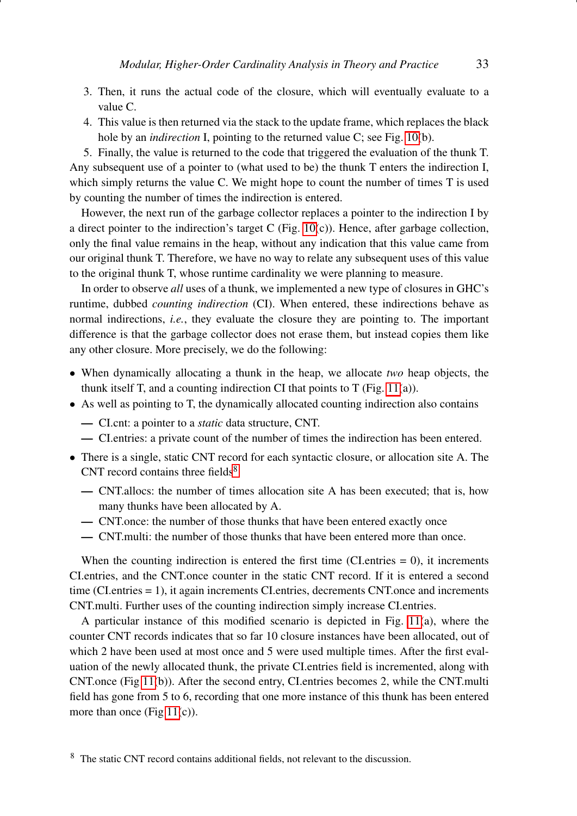- 3. Then, it runs the actual code of the closure, which will eventually evaluate to a value C.
- 4. This value is then returned via the stack to the update frame, which replaces the black hole by an *indirection* I, pointing to the returned value C; see Fig. [10\(](#page-31-1)b).

5. Finally, the value is returned to the code that triggered the evaluation of the thunk T. Any subsequent use of a pointer to (what used to be) the thunk T enters the indirection I, which simply returns the value C. We might hope to count the number of times T is used by counting the number of times the indirection is entered.

However, the next run of the garbage collector replaces a pointer to the indirection I by a direct pointer to the indirection's target C (Fig.  $10(c)$ ). Hence, after garbage collection, only the final value remains in the heap, without any indication that this value came from our original thunk T. Therefore, we have no way to relate any subsequent uses of this value to the original thunk T, whose runtime cardinality we were planning to measure.

In order to observe *all* uses of a thunk, we implemented a new type of closures in GHC's runtime, dubbed *counting indirection* (CI). When entered, these indirections behave as normal indirections, *i.e.*, they evaluate the closure they are pointing to. The important difference is that the garbage collector does not erase them, but instead copies them like any other closure. More precisely, we do the following:

- When dynamically allocating a thunk in the heap, we allocate *two* heap objects, the thunk itself T, and a counting indirection CI that points to T (Fig.  $11(a)$ ).
- As well as pointing to T, the dynamically allocated counting indirection also contains
	- CI.cnt: a pointer to a *static* data structure, CNT.
	- CI.entries: a private count of the number of times the indirection has been entered.
- There is a single, static CNT record for each syntactic closure, or allocation site A. The CNT record contains three fields $8$ 
	- CNT.allocs: the number of times allocation site A has been executed; that is, how many thunks have been allocated by A.
	- CNT.once: the number of those thunks that have been entered exactly once
	- CNT.multi: the number of those thunks that have been entered more than once.

When the counting indirection is entered the first time (CI.entries  $= 0$ ), it increments CI.entries, and the CNT.once counter in the static CNT record. If it is entered a second time (CI.entries = 1), it again increments CI.entries, decrements CNT.once and increments CNT.multi. Further uses of the counting indirection simply increase CI.entries.

<span id="page-32-0"></span>A particular instance of this modified scenario is depicted in Fig. [11\(](#page-33-0)a), where the counter CNT records indicates that so far 10 closure instances have been allocated, out of which 2 have been used at most once and 5 were used multiple times. After the first evaluation of the newly allocated thunk, the private CI.entries field is incremented, along with CNT.once (Fig [11\(](#page-33-0)b)). After the second entry, CI.entries becomes 2, while the CNT.multi field has gone from 5 to 6, recording that one more instance of this thunk has been entered more than once (Fig  $11(c)$ ).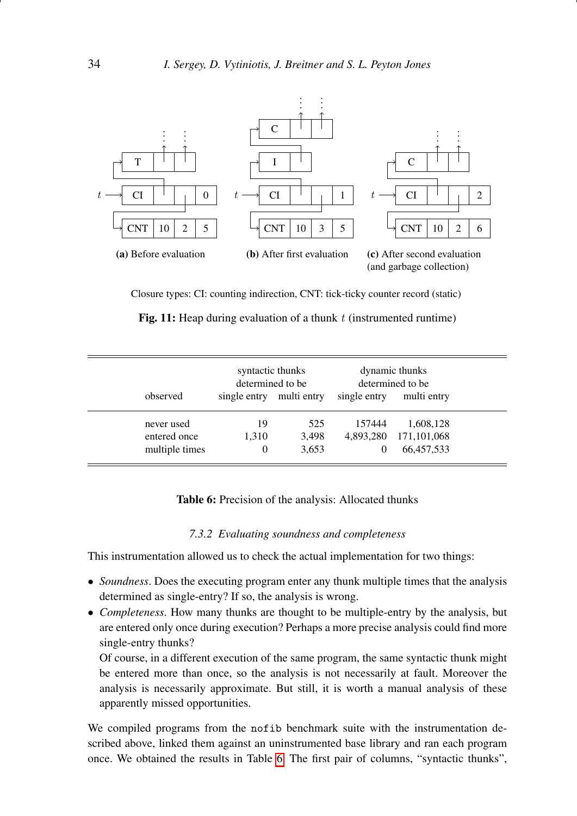<span id="page-33-0"></span>

Closure types: CI: counting indirection, CNT: tick-ticky counter record (static)

|  |  |  |  |  |  | Fig. 11: Heap during evaluation of a thunk $t$ (instrumented runtime) |  |
|--|--|--|--|--|--|-----------------------------------------------------------------------|--|
|--|--|--|--|--|--|-----------------------------------------------------------------------|--|

<span id="page-33-1"></span>

|                                              | syntactic thunks<br>determined to be |                       | dynamic thunks<br>determined to be |                                        |  |
|----------------------------------------------|--------------------------------------|-----------------------|------------------------------------|----------------------------------------|--|
| observed                                     | single entry                         | multi entry           | single entry                       | multi entry                            |  |
| never used<br>entered once<br>multiple times | 19<br>1,310<br>$\Omega$              | 525<br>3,498<br>3,653 | 157444<br>4,893,280<br>$\Omega$    | 1,608,128<br>171,101,068<br>66,457,533 |  |

Table 6: Precision of the analysis: Allocated thunks

# *7.3.2 Evaluating soundness and completeness*

This instrumentation allowed us to check the actual implementation for two things:

- *Soundness*. Does the executing program enter any thunk multiple times that the analysis determined as single-entry? If so, the analysis is wrong.
- *Completeness*. How many thunks are thought to be multiple-entry by the analysis, but are entered only once during execution? Perhaps a more precise analysis could find more single-entry thunks?

Of course, in a different execution of the same program, the same syntactic thunk might be entered more than once, so the analysis is not necessarily at fault. Moreover the analysis is necessarily approximate. But still, it is worth a manual analysis of these apparently missed opportunities.

We compiled programs from the nofib benchmark suite with the instrumentation described above, linked them against an uninstrumented base library and ran each program once. We obtained the results in Table [6.](#page-33-1) The first pair of columns, "syntactic thunks",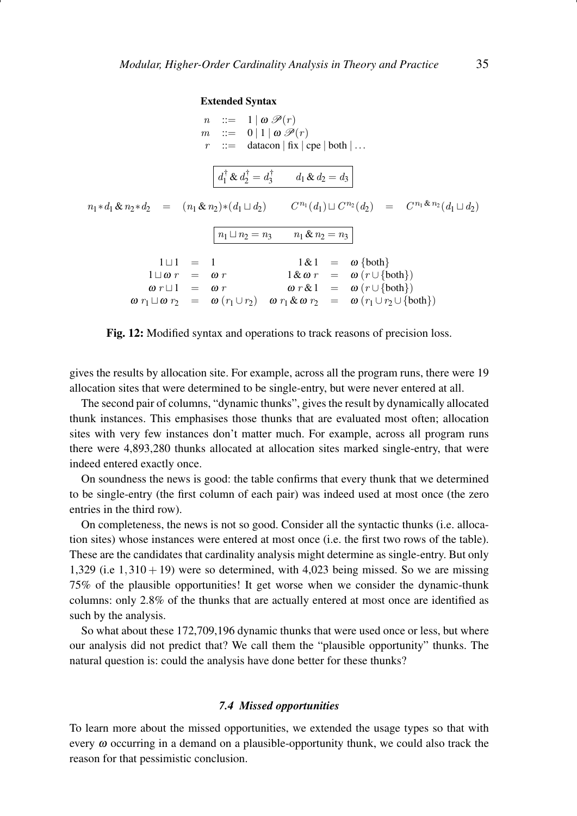#### Extended Syntax

<span id="page-34-0"></span> $n : := 1 | \omega \mathcal{P}(r)$  $m$  ::= 0 | 1 |  $\omega \mathscr{P}(r)$  $r$  ::= datacon | fix | cpe | both | ...  $d_1^{\dagger} \& d_2^{\dagger} = d_3^{\dagger} \qquad d_1 \& d_2 = d_3$  $n_1 * d_1 & n_2 * d_2 = (n_1 & n_2) * (d_1 \sqcup d_2)$   $C^{n_1}(d_1) \sqcup C^{n_2}(d_2) = C^{n_1 & n_2} (d_1 \sqcup d_2)$  $n_1 \sqcup n_2 = n_3$   $n_1 \& n_2 = n_3$  $1 \sqcup 1 = 1$   $1 \& 1 = \omega \{both\}$  $1 \sqcup \omega r = \omega r$   $1 \& \omega r = \omega (r \cup {\text{both}})$  $\omega r \sqcup 1 = \omega r$   $\omega r \& 1 = \omega (r \cup {\text{both}})$  $\omega r_1 \sqcup \omega r_2 = \omega (r_1 \cup r_2) \quad \omega r_1 \& \omega r_2 = \omega (r_1 \cup r_2 \cup \{\text{both}\})$ 

Fig. 12: Modified syntax and operations to track reasons of precision loss.

gives the results by allocation site. For example, across all the program runs, there were 19 allocation sites that were determined to be single-entry, but were never entered at all.

The second pair of columns, "dynamic thunks", gives the result by dynamically allocated thunk instances. This emphasises those thunks that are evaluated most often; allocation sites with very few instances don't matter much. For example, across all program runs there were 4,893,280 thunks allocated at allocation sites marked single-entry, that were indeed entered exactly once.

On soundness the news is good: the table confirms that every thunk that we determined to be single-entry (the first column of each pair) was indeed used at most once (the zero entries in the third row).

On completeness, the news is not so good. Consider all the syntactic thunks (i.e. allocation sites) whose instances were entered at most once (i.e. the first two rows of the table). These are the candidates that cardinality analysis might determine as single-entry. But only 1,329 (i.e  $1,310 + 19$ ) were so determined, with 4,023 being missed. So we are missing 75% of the plausible opportunities! It get worse when we consider the dynamic-thunk columns: only 2.8% of the thunks that are actually entered at most once are identified as such by the analysis.

So what about these 172,709,196 dynamic thunks that were used once or less, but where our analysis did not predict that? We call them the "plausible opportunity" thunks. The natural question is: could the analysis have done better for these thunks?

# *7.4 Missed opportunities*

To learn more about the missed opportunities, we extended the usage types so that with every  $\omega$  occurring in a demand on a plausible-opportunity thunk, we could also track the reason for that pessimistic conclusion.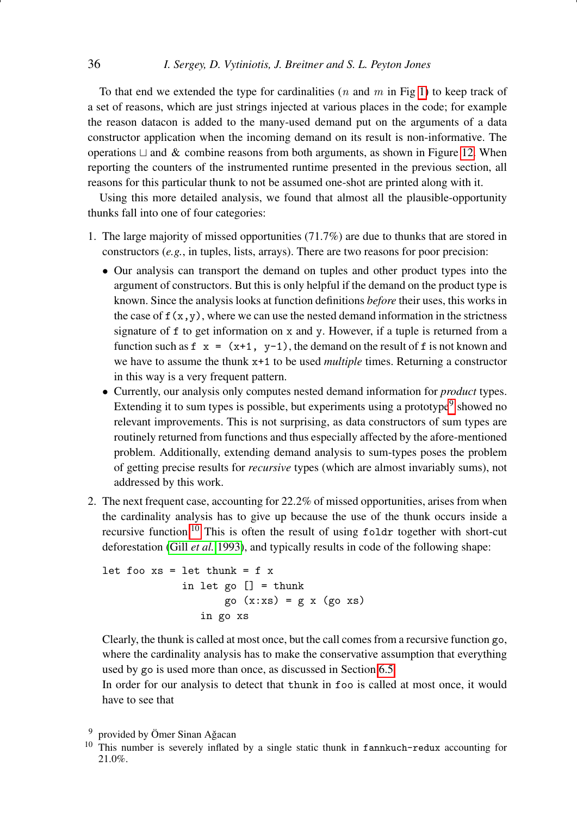To that end we extended the type for cardinalities (*n* and *m* in Fig [1\)](#page-6-0) to keep track of a set of reasons, which are just strings injected at various places in the code; for example the reason datacon is added to the many-used demand put on the arguments of a data constructor application when the incoming demand on its result is non-informative. The operations  $\sqcup$  and  $\&$  combine reasons from both arguments, as shown in Figure [12.](#page-34-0) When reporting the counters of the instrumented runtime presented in the previous section, all reasons for this particular thunk to not be assumed one-shot are printed along with it.

Using this more detailed analysis, we found that almost all the plausible-opportunity thunks fall into one of four categories:

- 1. The large majority of missed opportunities (71.7%) are due to thunks that are stored in constructors (*e.g.*, in tuples, lists, arrays). There are two reasons for poor precision:
	- Our analysis can transport the demand on tuples and other product types into the argument of constructors. But this is only helpful if the demand on the product type is known. Since the analysis looks at function definitions *before* their uses, this works in the case of  $f(x,y)$ , where we can use the nested demand information in the strictness signature of f to get information on x and y. However, if a tuple is returned from a function such as  $f(x) = (x+1, y-1)$ , the demand on the result of f is not known and we have to assume the thunk x+1 to be used *multiple* times. Returning a constructor in this way is a very frequent pattern.
	- Currently, our analysis only computes nested demand information for *product* types. Extending it to sum types is possible, but experiments using a prototype<sup>[9](#page-35-0)</sup> showed no relevant improvements. This is not surprising, as data constructors of sum types are routinely returned from functions and thus especially affected by the afore-mentioned problem. Additionally, extending demand analysis to sum-types poses the problem of getting precise results for *recursive* types (which are almost invariably sums), not addressed by this work.
- 2. The next frequent case, accounting for 22.2% of missed opportunities, arises from when the cardinality analysis has to give up because the use of the thunk occurs inside a recursive function.[10](#page-35-1) This is often the result of using foldr together with short-cut deforestation (Gill *[et al.](#page-40-0)* [1993\)](#page-40-0), and typically results in code of the following shape:

```
let foo xs = let thunk = f x
              in let go [] = \text{thunk}go (x:xs) = g x (go xs)
                 in go xs
```
Clearly, the thunk is called at most once, but the call comes from a recursive function go, where the cardinality analysis has to make the conservative assumption that everything used by go is used more than once, as discussed in Section [6.5.](#page-24-0)

In order for our analysis to detect that thunk in foo is called at most once, it would have to see that

<span id="page-35-0"></span> $9$  provided by Ömer Sinan Ağacan

<span id="page-35-1"></span><sup>&</sup>lt;sup>10</sup> This number is severely inflated by a single static thunk in fannkuch-redux accounting for 21.0%.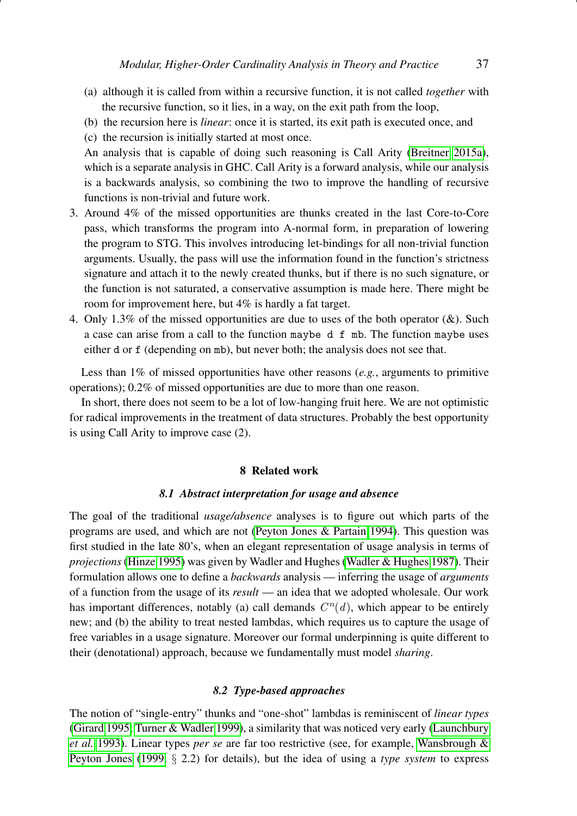- (a) although it is called from within a recursive function, it is not called *together* with the recursive function, so it lies, in a way, on the exit path from the loop,
- (b) the recursion here is *linear*: once it is started, its exit path is executed once, and
- (c) the recursion is initially started at most once.

An analysis that is capable of doing such reasoning is Call Arity [\(Breitner 2015a\)](#page-40-3), which is a separate analysis in GHC. Call Arity is a forward analysis, while our analysis is a backwards analysis, so combining the two to improve the handling of recursive functions is non-trivial and future work.

- 3. Around 4% of the missed opportunities are thunks created in the last Core-to-Core pass, which transforms the program into A-normal form, in preparation of lowering the program to STG. This involves introducing let-bindings for all non-trivial function arguments. Usually, the pass will use the information found in the function's strictness signature and attach it to the newly created thunks, but if there is no such signature, or the function is not saturated, a conservative assumption is made here. There might be room for improvement here, but 4% is hardly a fat target.
- 4. Only 1.3% of the missed opportunities are due to uses of the both operator  $(\&)$ . Such a case can arise from a call to the function maybe d f mb. The function maybe uses either d or f (depending on mb), but never both; the analysis does not see that.

Less than 1% of missed opportunities have other reasons (*e.g.*, arguments to primitive operations); 0.2% of missed opportunities are due to more than one reason.

In short, there does not seem to be a lot of low-hanging fruit here. We are not optimistic for radical improvements in the treatment of data structures. Probably the best opportunity is using Call Arity to improve case (2).

## 8 Related work

# *8.1 Abstract interpretation for usage and absence*

<span id="page-36-0"></span>The goal of the traditional *usage/absence* analyses is to figure out which parts of the programs are used, and which are not [\(Peyton Jones & Partain 1994\)](#page-41-3). This question was first studied in the late 80's, when an elegant representation of usage analysis in terms of *projections* [\(Hinze 1995\)](#page-41-11) was given by Wadler and Hughes [\(Wadler & Hughes 1987\)](#page-42-1). Their formulation allows one to define a *backwards* analysis — inferring the usage of *arguments* of a function from the usage of its *result* — an idea that we adopted wholesale. Our work has important differences, notably (a) call demands  $C<sup>n</sup>(d)$ , which appear to be entirely new; and (b) the ability to treat nested lambdas, which requires us to capture the usage of free variables in a usage signature. Moreover our formal underpinning is quite different to their (denotational) approach, because we fundamentally must model *sharing*.

# *8.2 Type-based approaches*

The notion of "single-entry" thunks and "one-shot" lambdas is reminiscent of *linear types* [\(Girard 1995;](#page-40-4) [Turner & Wadler 1999\)](#page-41-12), a similarity that was noticed very early [\(Launchbury](#page-41-13) *[et al.](#page-41-13)* [1993\)](#page-41-13). Linear types *per se* are far too restrictive (see, for example, [Wansbrough &](#page-42-2) [Peyton Jones](#page-42-2) [\(1999,](#page-42-2) § 2.2) for details), but the idea of using a *type system* to express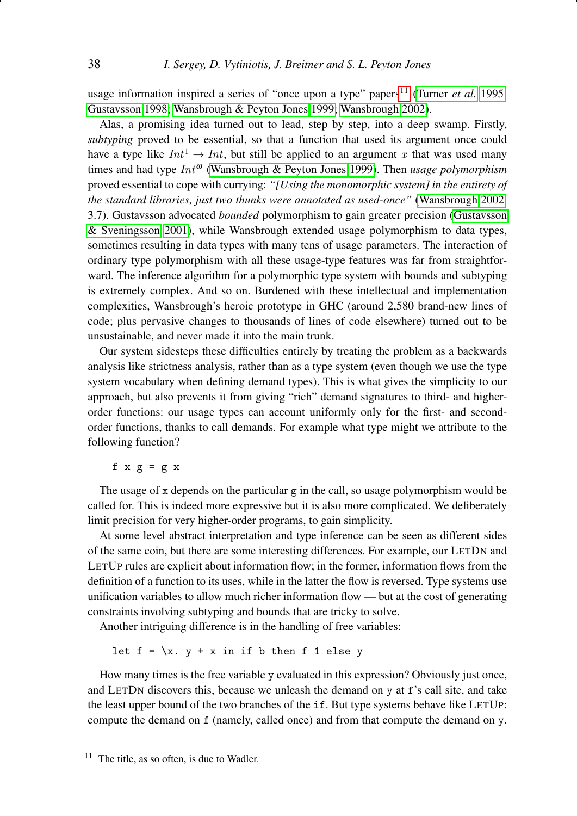usage information inspired a series of "once upon a type" papers<sup>[11](#page-37-0)</sup> [\(Turner](#page-42-3) *et al.* [1995;](#page-42-3) [Gustavsson 1998;](#page-40-5) [Wansbrough & Peyton Jones 1999;](#page-42-2) [Wansbrough 2002\)](#page-42-4).

Alas, a promising idea turned out to lead, step by step, into a deep swamp. Firstly, *subtyping* proved to be essential, so that a function that used its argument once could have a type like  $Int^1 \to Int$ , but still be applied to an argument x that was used many times and had type  $Int^{\omega}$  [\(Wansbrough & Peyton Jones 1999\)](#page-42-2). Then *usage polymorphism* proved essential to cope with currying: *"[Using the monomorphic system] in the entirety of the standard libraries, just two thunks were annotated as used-once"* [\(Wansbrough 2002,](#page-42-4) 3.7). Gustavsson advocated *bounded* polymorphism to gain greater precision [\(Gustavsson](#page-40-6) [& Sveningsson 2001\)](#page-40-6), while Wansbrough extended usage polymorphism to data types, sometimes resulting in data types with many tens of usage parameters. The interaction of ordinary type polymorphism with all these usage-type features was far from straightforward. The inference algorithm for a polymorphic type system with bounds and subtyping is extremely complex. And so on. Burdened with these intellectual and implementation complexities, Wansbrough's heroic prototype in GHC (around 2,580 brand-new lines of code; plus pervasive changes to thousands of lines of code elsewhere) turned out to be unsustainable, and never made it into the main trunk.

Our system sidesteps these difficulties entirely by treating the problem as a backwards analysis like strictness analysis, rather than as a type system (even though we use the type system vocabulary when defining demand types). This is what gives the simplicity to our approach, but also prevents it from giving "rich" demand signatures to third- and higherorder functions: our usage types can account uniformly only for the first- and secondorder functions, thanks to call demands. For example what type might we attribute to the following function?

# f  $x \, g = g \, x$

The usage of x depends on the particular  $g$  in the call, so usage polymorphism would be called for. This is indeed more expressive but it is also more complicated. We deliberately limit precision for very higher-order programs, to gain simplicity.

At some level abstract interpretation and type inference can be seen as different sides of the same coin, but there are some interesting differences. For example, our LETDN and LETUP rules are explicit about information flow; in the former, information flows from the definition of a function to its uses, while in the latter the flow is reversed. Type systems use unification variables to allow much richer information flow — but at the cost of generating constraints involving subtyping and bounds that are tricky to solve.

Another intriguing difference is in the handling of free variables:

let  $f = \{x. y + x \text{ in if } b \text{ then } f 1 \text{ else } y\}$ 

<span id="page-37-0"></span>How many times is the free variable y evaluated in this expression? Obviously just once, and LETDN discovers this, because we unleash the demand on y at f's call site, and take the least upper bound of the two branches of the if. But type systems behave like LETUP: compute the demand on f (namely, called once) and from that compute the demand on y.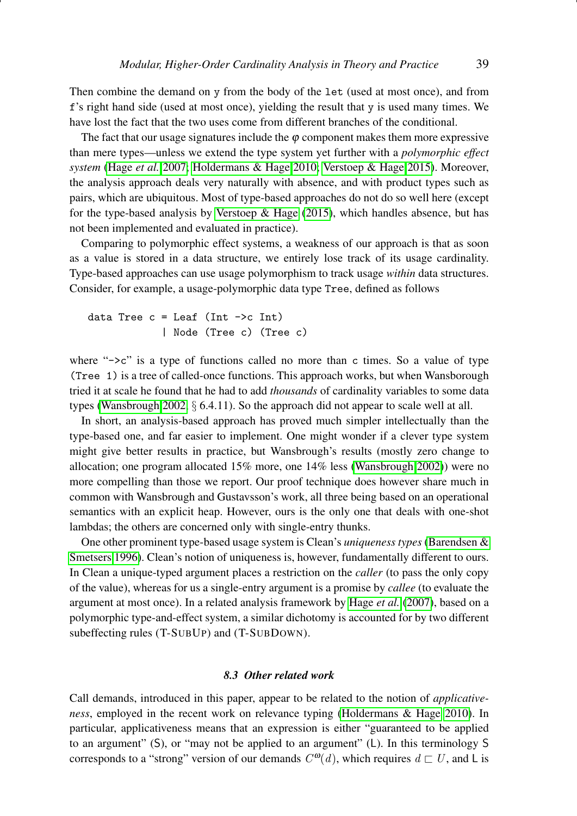Then combine the demand on y from the body of the let (used at most once), and from f's right hand side (used at most once), yielding the result that y is used many times. We have lost the fact that the two uses come from different branches of the conditional.

The fact that our usage signatures include the  $\varphi$  component makes them more expressive than mere types—unless we extend the type system yet further with a *polymorphic effect system* [\(Hage](#page-40-7) *et al.* [2007;](#page-40-7) [Holdermans & Hage 2010;](#page-41-14) [Verstoep & Hage 2015\)](#page-42-5). Moreover, the analysis approach deals very naturally with absence, and with product types such as pairs, which are ubiquitous. Most of type-based approaches do not do so well here (except for the type-based analysis by Verstoep  $\&$  Hage [\(2015\)](#page-42-5), which handles absence, but has not been implemented and evaluated in practice).

Comparing to polymorphic effect systems, a weakness of our approach is that as soon as a value is stored in a data structure, we entirely lose track of its usage cardinality. Type-based approaches can use usage polymorphism to track usage *within* data structures. Consider, for example, a usage-polymorphic data type Tree, defined as follows

```
data Tree c = Leaf (Int \rightarrow c Int)
              | Node (Tree c) (Tree c)
```
where " $\rightarrow$ c" is a type of functions called no more than c times. So a value of type (Tree 1) is a tree of called-once functions. This approach works, but when Wansborough tried it at scale he found that he had to add *thousands* of cardinality variables to some data types [\(Wansbrough 2002,](#page-42-4)  $\S$  6.4.11). So the approach did not appear to scale well at all.

In short, an analysis-based approach has proved much simpler intellectually than the type-based one, and far easier to implement. One might wonder if a clever type system might give better results in practice, but Wansbrough's results (mostly zero change to allocation; one program allocated 15% more, one 14% less [\(Wansbrough 2002\)](#page-42-4)) were no more compelling than those we report. Our proof technique does however share much in common with Wansbrough and Gustavsson's work, all three being based on an operational semantics with an explicit heap. However, ours is the only one that deals with one-shot lambdas; the others are concerned only with single-entry thunks.

One other prominent type-based usage system is Clean's *uniqueness types* [\(Barendsen &](#page-40-8) [Smetsers 1996\)](#page-40-8). Clean's notion of uniqueness is, however, fundamentally different to ours. In Clean a unique-typed argument places a restriction on the *caller* (to pass the only copy of the value), whereas for us a single-entry argument is a promise by *callee* (to evaluate the argument at most once). In a related analysis framework by [Hage](#page-40-7) *et al.* [\(2007\)](#page-40-7), based on a polymorphic type-and-effect system, a similar dichotomy is accounted for by two different subeffecting rules (T-SUBUP) and (T-SUBDOWN).

# *8.3 Other related work*

Call demands, introduced in this paper, appear to be related to the notion of *applicativeness*, employed in the recent work on relevance typing [\(Holdermans & Hage 2010\)](#page-41-14). In particular, applicativeness means that an expression is either "guaranteed to be applied to an argument" (S), or "may not be applied to an argument" (L). In this terminology S corresponds to a "strong" version of our demands  $C^{ \omega}(d)$ , which requires  $d \sqsubset U$ , and L is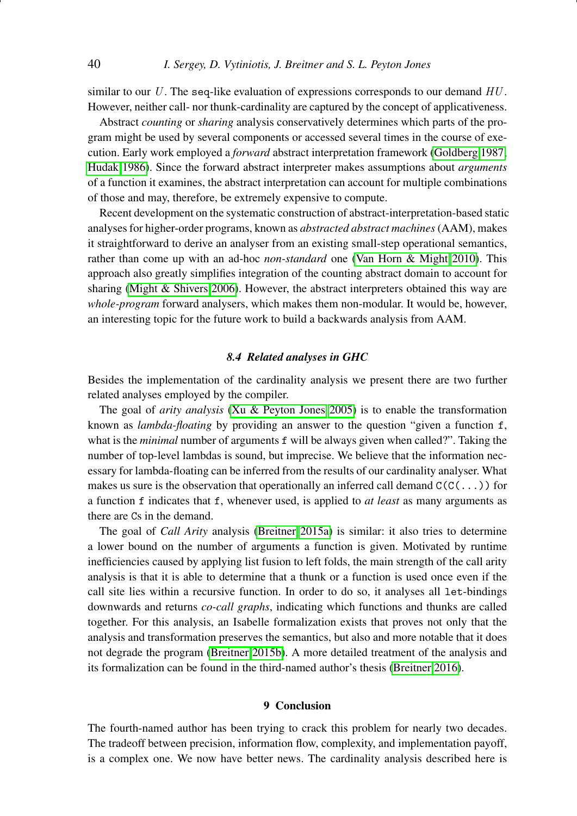similar to our U. The seq-like evaluation of expressions corresponds to our demand  $HU$ . However, neither call- nor thunk-cardinality are captured by the concept of applicativeness.

Abstract *counting* or *sharing* analysis conservatively determines which parts of the program might be used by several components or accessed several times in the course of execution. Early work employed a *forward* abstract interpretation framework [\(Goldberg 1987;](#page-40-9) [Hudak 1986\)](#page-41-15). Since the forward abstract interpreter makes assumptions about *arguments* of a function it examines, the abstract interpretation can account for multiple combinations of those and may, therefore, be extremely expensive to compute.

Recent development on the systematic construction of abstract-interpretation-based static analyses for higher-order programs, known as *abstracted abstract machines*(AAM), makes it straightforward to derive an analyser from an existing small-step operational semantics, rather than come up with an ad-hoc *non-standard* one [\(Van Horn & Might 2010\)](#page-42-6). This approach also greatly simplifies integration of the counting abstract domain to account for sharing [\(Might & Shivers 2006\)](#page-41-16). However, the abstract interpreters obtained this way are *whole-program* forward analysers, which makes them non-modular. It would be, however, an interesting topic for the future work to build a backwards analysis from AAM.

# *8.4 Related analyses in GHC*

Besides the implementation of the cardinality analysis we present there are two further related analyses employed by the compiler.

The goal of *arity analysis* [\(Xu & Peyton Jones 2005\)](#page-42-7) is to enable the transformation known as *lambda-floating* by providing an answer to the question "given a function f, what is the *minimal* number of arguments f will be always given when called?". Taking the number of top-level lambdas is sound, but imprecise. We believe that the information necessary for lambda-floating can be inferred from the results of our cardinality analyser. What makes us sure is the observation that operationally an inferred call demand  $C(C(\ldots))$  for a function f indicates that f, whenever used, is applied to *at least* as many arguments as there are Cs in the demand.

The goal of *Call Arity* analysis [\(Breitner 2015a\)](#page-40-3) is similar: it also tries to determine a lower bound on the number of arguments a function is given. Motivated by runtime inefficiencies caused by applying list fusion to left folds, the main strength of the call arity analysis is that it is able to determine that a thunk or a function is used once even if the call site lies within a recursive function. In order to do so, it analyses all let-bindings downwards and returns *co-call graphs*, indicating which functions and thunks are called together. For this analysis, an Isabelle formalization exists that proves not only that the analysis and transformation preserves the semantics, but also and more notable that it does not degrade the program [\(Breitner 2015b\)](#page-40-10). A more detailed treatment of the analysis and its formalization can be found in the third-named author's thesis [\(Breitner 2016\)](#page-40-11).

# 9 Conclusion

The fourth-named author has been trying to crack this problem for nearly two decades. The tradeoff between precision, information flow, complexity, and implementation payoff, is a complex one. We now have better news. The cardinality analysis described here is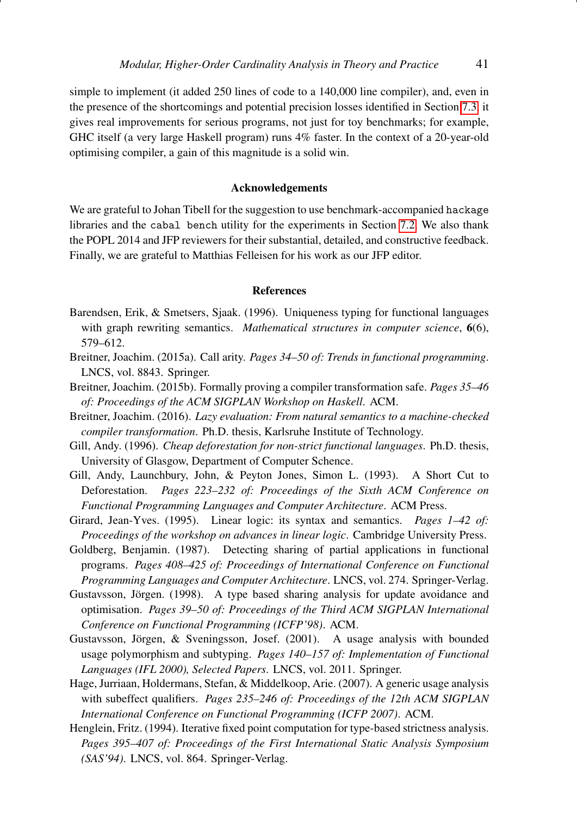simple to implement (it added 250 lines of code to a 140,000 line compiler), and, even in the presence of the shortcomings and potential precision losses identified in Section [7.3,](#page-30-1) it gives real improvements for serious programs, not just for toy benchmarks; for example, GHC itself (a very large Haskell program) runs 4% faster. In the context of a 20-year-old optimising compiler, a gain of this magnitude is a solid win.

# Acknowledgements

We are grateful to Johan Tibell for the suggestion to use benchmark-accompanied hackage libraries and the cabal bench utility for the experiments in Section [7.2.](#page-30-0) We also thank the POPL 2014 and JFP reviewers for their substantial, detailed, and constructive feedback. Finally, we are grateful to Matthias Felleisen for his work as our JFP editor.

## References

- <span id="page-40-8"></span>Barendsen, Erik, & Smetsers, Sjaak. (1996). Uniqueness typing for functional languages with graph rewriting semantics. *Mathematical structures in computer science*, 6(6), 579–612.
- <span id="page-40-3"></span>Breitner, Joachim. (2015a). Call arity. *Pages 34–50 of: Trends in functional programming*. LNCS, vol. 8843. Springer.
- <span id="page-40-10"></span>Breitner, Joachim. (2015b). Formally proving a compiler transformation safe. *Pages 35–46 of: Proceedings of the ACM SIGPLAN Workshop on Haskell*. ACM.
- <span id="page-40-11"></span>Breitner, Joachim. (2016). *Lazy evaluation: From natural semantics to a machine-checked compiler transformation*. Ph.D. thesis, Karlsruhe Institute of Technology.
- <span id="page-40-1"></span>Gill, Andy. (1996). *Cheap deforestation for non-strict functional languages*. Ph.D. thesis, University of Glasgow, Department of Computer Schence.
- <span id="page-40-0"></span>Gill, Andy, Launchbury, John, & Peyton Jones, Simon L. (1993). A Short Cut to Deforestation. *Pages 223–232 of: Proceedings of the Sixth ACM Conference on Functional Programming Languages and Computer Architecture*. ACM Press.
- <span id="page-40-4"></span>Girard, Jean-Yves. (1995). Linear logic: its syntax and semantics. *Pages 1–42 of: Proceedings of the workshop on advances in linear logic*. Cambridge University Press.
- <span id="page-40-9"></span>Goldberg, Benjamin. (1987). Detecting sharing of partial applications in functional programs. *Pages 408–425 of: Proceedings of International Conference on Functional Programming Languages and Computer Architecture*. LNCS, vol. 274. Springer-Verlag.
- <span id="page-40-5"></span>Gustavsson, Jörgen. (1998). A type based sharing analysis for update avoidance and optimisation. *Pages 39–50 of: Proceedings of the Third ACM SIGPLAN International Conference on Functional Programming (ICFP'98)*. ACM.
- <span id="page-40-6"></span>Gustavsson, Jörgen,  $\&$  Sveningsson, Josef. (2001). A usage analysis with bounded usage polymorphism and subtyping. *Pages 140–157 of: Implementation of Functional Languages (IFL 2000), Selected Papers*. LNCS, vol. 2011. Springer.
- <span id="page-40-7"></span>Hage, Jurriaan, Holdermans, Stefan, & Middelkoop, Arie. (2007). A generic usage analysis with subeffect qualifiers. *Pages 235–246 of: Proceedings of the 12th ACM SIGPLAN International Conference on Functional Programming (ICFP 2007)*. ACM.
- <span id="page-40-2"></span>Henglein, Fritz. (1994). Iterative fixed point computation for type-based strictness analysis. *Pages 395–407 of: Proceedings of the First International Static Analysis Symposium (SAS'94)*. LNCS, vol. 864. Springer-Verlag.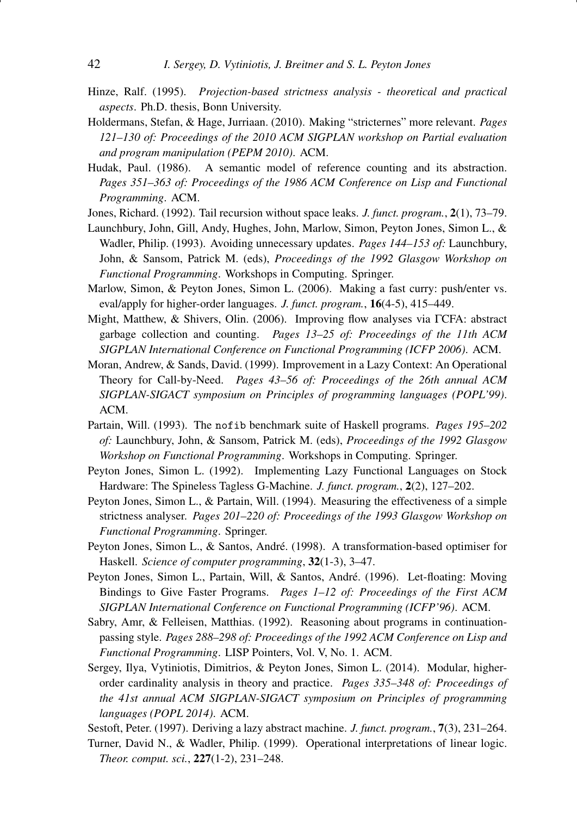- <span id="page-41-11"></span>Hinze, Ralf. (1995). *Projection-based strictness analysis - theoretical and practical aspects*. Ph.D. thesis, Bonn University.
- <span id="page-41-14"></span>Holdermans, Stefan, & Hage, Jurriaan. (2010). Making "stricternes" more relevant. *Pages 121–130 of: Proceedings of the 2010 ACM SIGPLAN workshop on Partial evaluation and program manipulation (PEPM 2010)*. ACM.
- <span id="page-41-15"></span>Hudak, Paul. (1986). A semantic model of reference counting and its abstraction. *Pages 351–363 of: Proceedings of the 1986 ACM Conference on Lisp and Functional Programming*. ACM.
- <span id="page-41-5"></span>Jones, Richard. (1992). Tail recursion without space leaks. *J. funct. program.*, 2(1), 73–79.
- <span id="page-41-13"></span>Launchbury, John, Gill, Andy, Hughes, John, Marlow, Simon, Peyton Jones, Simon L., & Wadler, Philip. (1993). Avoiding unnecessary updates. *Pages 144–153 of:* Launchbury, John, & Sansom, Patrick M. (eds), *Proceedings of the 1992 Glasgow Workshop on Functional Programming*. Workshops in Computing. Springer.
- <span id="page-41-8"></span>Marlow, Simon, & Peyton Jones, Simon L. (2006). Making a fast curry: push/enter vs. eval/apply for higher-order languages. *J. funct. program.*, 16(4-5), 415–449.
- <span id="page-41-16"></span>Might, Matthew, & Shivers, Olin. (2006). Improving flow analyses via ΓCFA: abstract garbage collection and counting. *Pages 13–25 of: Proceedings of the 11th ACM SIGPLAN International Conference on Functional Programming (ICFP 2006)*. ACM.
- <span id="page-41-2"></span>Moran, Andrew, & Sands, David. (1999). Improvement in a Lazy Context: An Operational Theory for Call-by-Need. *Pages 43–56 of: Proceedings of the 26th annual ACM SIGPLAN-SIGACT symposium on Principles of programming languages (POPL'99)*. ACM.
- <span id="page-41-10"></span>Partain, Will. (1993). The nofib benchmark suite of Haskell programs. *Pages 195–202 of:* Launchbury, John, & Sansom, Patrick M. (eds), *Proceedings of the 1992 Glasgow Workshop on Functional Programming*. Workshops in Computing. Springer.
- <span id="page-41-9"></span>Peyton Jones, Simon L. (1992). Implementing Lazy Functional Languages on Stock Hardware: The Spineless Tagless G-Machine. *J. funct. program.*, 2(2), 127–202.
- <span id="page-41-3"></span>Peyton Jones, Simon L., & Partain, Will. (1994). Measuring the effectiveness of a simple strictness analyser. *Pages 201–220 of: Proceedings of the 1993 Glasgow Workshop on Functional Programming*. Springer.
- <span id="page-41-4"></span>Peyton Jones, Simon L., & Santos, Andre. (1998). A transformation-based optimiser for ´ Haskell. *Science of computer programming*, 32(1-3), 3–47.
- <span id="page-41-1"></span>Peyton Jones, Simon L., Partain, Will, & Santos, Andre. (1996). Let-floating: Moving ´ Bindings to Give Faster Programs. *Pages 1–12 of: Proceedings of the First ACM SIGPLAN International Conference on Functional Programming (ICFP'96)*. ACM.
- <span id="page-41-6"></span>Sabry, Amr, & Felleisen, Matthias. (1992). Reasoning about programs in continuationpassing style. *Pages 288–298 of: Proceedings of the 1992 ACM Conference on Lisp and Functional Programming*. LISP Pointers, Vol. V, No. 1. ACM.
- <span id="page-41-0"></span>Sergey, Ilya, Vytiniotis, Dimitrios, & Peyton Jones, Simon L. (2014). Modular, higherorder cardinality analysis in theory and practice. *Pages 335–348 of: Proceedings of the 41st annual ACM SIGPLAN-SIGACT symposium on Principles of programming languages (POPL 2014)*. ACM.
- <span id="page-41-7"></span>Sestoft, Peter. (1997). Deriving a lazy abstract machine. *J. funct. program.*, 7(3), 231–264.
- <span id="page-41-12"></span>Turner, David N., & Wadler, Philip. (1999). Operational interpretations of linear logic. *Theor. comput. sci.*, 227(1-2), 231–248.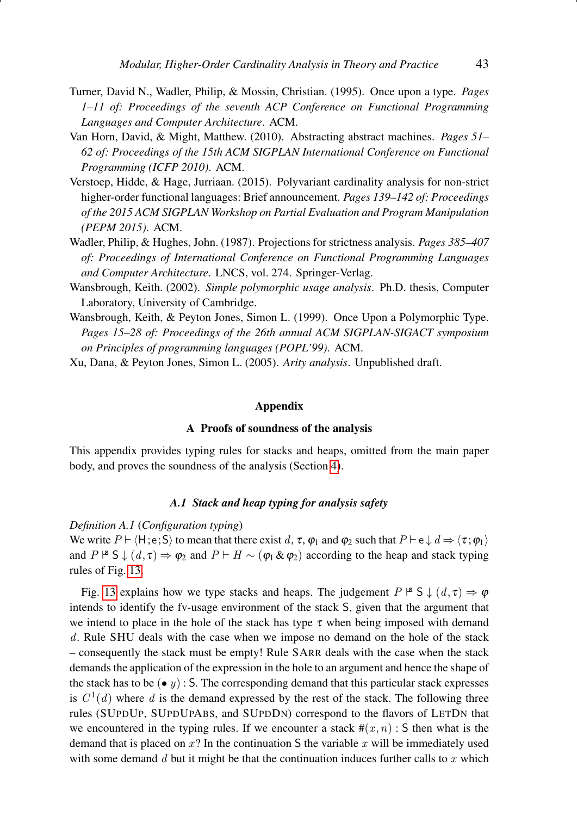- <span id="page-42-3"></span>Turner, David N., Wadler, Philip, & Mossin, Christian. (1995). Once upon a type. *Pages 1–11 of: Proceedings of the seventh ACP Conference on Functional Programming Languages and Computer Architecture*. ACM.
- <span id="page-42-6"></span>Van Horn, David, & Might, Matthew. (2010). Abstracting abstract machines. *Pages 51– 62 of: Proceedings of the 15th ACM SIGPLAN International Conference on Functional Programming (ICFP 2010)*. ACM.
- <span id="page-42-5"></span>Verstoep, Hidde, & Hage, Jurriaan. (2015). Polyvariant cardinality analysis for non-strict higher-order functional languages: Brief announcement. *Pages 139–142 of: Proceedings of the 2015 ACM SIGPLAN Workshop on Partial Evaluation and Program Manipulation (PEPM 2015)*. ACM.
- <span id="page-42-1"></span>Wadler, Philip, & Hughes, John. (1987). Projections for strictness analysis. *Pages 385–407 of: Proceedings of International Conference on Functional Programming Languages and Computer Architecture*. LNCS, vol. 274. Springer-Verlag.
- <span id="page-42-4"></span>Wansbrough, Keith. (2002). *Simple polymorphic usage analysis*. Ph.D. thesis, Computer Laboratory, University of Cambridge.
- <span id="page-42-2"></span>Wansbrough, Keith, & Peyton Jones, Simon L. (1999). Once Upon a Polymorphic Type. *Pages 15–28 of: Proceedings of the 26th annual ACM SIGPLAN-SIGACT symposium on Principles of programming languages (POPL'99)*. ACM.

<span id="page-42-7"></span>Xu, Dana, & Peyton Jones, Simon L. (2005). *Arity analysis*. Unpublished draft.

# Appendix

# A Proofs of soundness of the analysis

<span id="page-42-0"></span>This appendix provides typing rules for stacks and heaps, omitted from the main paper body, and proves the soundness of the analysis (Section [4\)](#page-14-0).

# *A.1 Stack and heap typing for analysis safety*

*Definition A.1* (*Configuration typing*)

We write  $P \vdash \langle H;e;S \rangle$  to mean that there exist d,  $\tau$ ,  $\varphi_1$  and  $\varphi_2$  such that  $P \vdash e \downarrow d \Rightarrow \langle \tau; \varphi_1 \rangle$ and  $P \nightharpoonup S \downarrow (d, \tau) \Rightarrow \varphi_2$  and  $P \vdash H \sim (\varphi_1 \& \varphi_2)$  according to the heap and stack typing rules of Fig. [13.](#page-44-0)

Fig. [13](#page-44-0) explains how we type stacks and heaps. The judgement  $P \nvert^s S \nvert (d, \tau) \Rightarrow \varphi$ intends to identify the fv-usage environment of the stack S, given that the argument that we intend to place in the hole of the stack has type  $\tau$  when being imposed with demand d. Rule SHU deals with the case when we impose no demand on the hole of the stack – consequently the stack must be empty! Rule SARR deals with the case when the stack demands the application of the expression in the hole to an argument and hence the shape of the stack has to be (• y) : S. The corresponding demand that this particular stack expresses is  $C^1(d)$  where d is the demand expressed by the rest of the stack. The following three rules (SUPDUP, SUPDUPABS, and SUPDDN) correspond to the flavors of LETDN that we encountered in the typing rules. If we encounter a stack  $\#(x, n)$ : S then what is the demand that is placed on  $x$ ? In the continuation S the variable  $x$  will be immediately used with some demand  $d$  but it might be that the continuation induces further calls to  $x$  which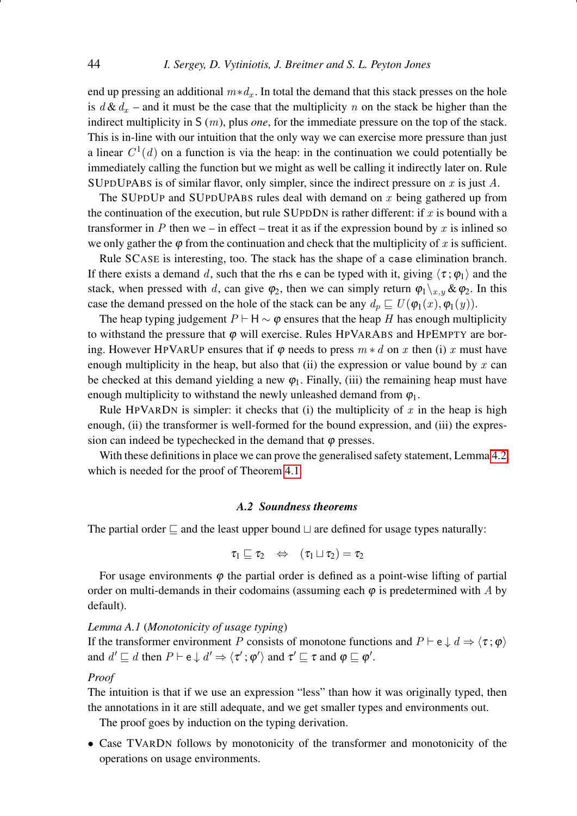end up pressing an additional  $m*d_x$ . In total the demand that this stack presses on the hole is  $d\mathcal{L}d_x$  – and it must be the case that the multiplicity n on the stack be higher than the indirect multiplicity in S (m), plus *one*, for the immediate pressure on the top of the stack. This is in-line with our intuition that the only way we can exercise more pressure than just a linear  $C^1(d)$  on a function is via the heap: in the continuation we could potentially be immediately calling the function but we might as well be calling it indirectly later on. Rule SUPDUPABS is of similar flavor, only simpler, since the indirect pressure on x is just  $A$ .

The SUPDUP and SUPDUPABS rules deal with demand on  $x$  being gathered up from the continuation of the execution, but rule SUPDDN is rather different: if  $x$  is bound with a transformer in P then we – in effect – treat it as if the expression bound by x is inlined so we only gather the  $\varphi$  from the continuation and check that the multiplicity of x is sufficient.

Rule SCASE is interesting, too. The stack has the shape of a case elimination branch. If there exists a demand d, such that the rhs e can be typed with it, giving  $\langle \tau; \varphi_1 \rangle$  and the stack, when pressed with d, can give  $\varphi_2$ , then we can simply return  $\varphi_1\setminus_{x,y} \& \varphi_2$ . In this case the demand pressed on the hole of the stack can be any  $d_p \sqsubseteq U(\varphi_1(x), \varphi_1(y)).$ 

The heap typing judgement  $P \vdash H \sim \varphi$  ensures that the heap H has enough multiplicity to withstand the pressure that  $\varphi$  will exercise. Rules HPVARABS and HPEMPTY are boring. However HPVARUP ensures that if  $\varphi$  needs to press  $m * d$  on x then (i) x must have enough multiplicity in the heap, but also that (ii) the expression or value bound by  $x$  can be checked at this demand yielding a new  $\varphi_1$ . Finally, (iii) the remaining heap must have enough multiplicity to withstand the newly unleashed demand from  $\varphi_1$ .

Rule HPVARDN is simpler: it checks that (i) the multiplicity of x in the heap is high enough, (ii) the transformer is well-formed for the bound expression, and (iii) the expression can indeed be typechecked in the demand that  $\varphi$  presses.

With these definitions in place we can prove the generalised safety statement, Lemma [4.2,](#page-18-1) which is needed for the proof of Theorem [4.1.](#page-17-2)

# *A.2 Soundness theorems*

The partial order  $\sqsubseteq$  and the least upper bound  $\sqcup$  are defined for usage types naturally:

$$
\tau_1 \sqsubseteq \tau_2 \quad \Leftrightarrow \quad (\tau_1 \sqcup \tau_2) = \tau_2
$$

For usage environments  $\varphi$  the partial order is defined as a point-wise lifting of partial order on multi-demands in their codomains (assuming each  $\varphi$  is predetermined with A by default).

## <span id="page-43-0"></span>*Lemma A.1* (*Monotonicity of usage typing*)

If the transformer environment P consists of monotone functions and  $P \vdash e \downarrow d \Rightarrow \langle \tau; \varphi \rangle$ and  $d' \sqsubseteq d$  then  $P \vdash e \downarrow d' \Rightarrow \langle \tau' ; \varphi' \rangle$  and  $\tau' \sqsubseteq \tau$  and  $\varphi \sqsubseteq \varphi'$ .

#### *Proof*

The intuition is that if we use an expression "less" than how it was originally typed, then the annotations in it are still adequate, and we get smaller types and environments out.

The proof goes by induction on the typing derivation.

• Case TVARDN follows by monotonicity of the transformer and monotonicity of the operations on usage environments.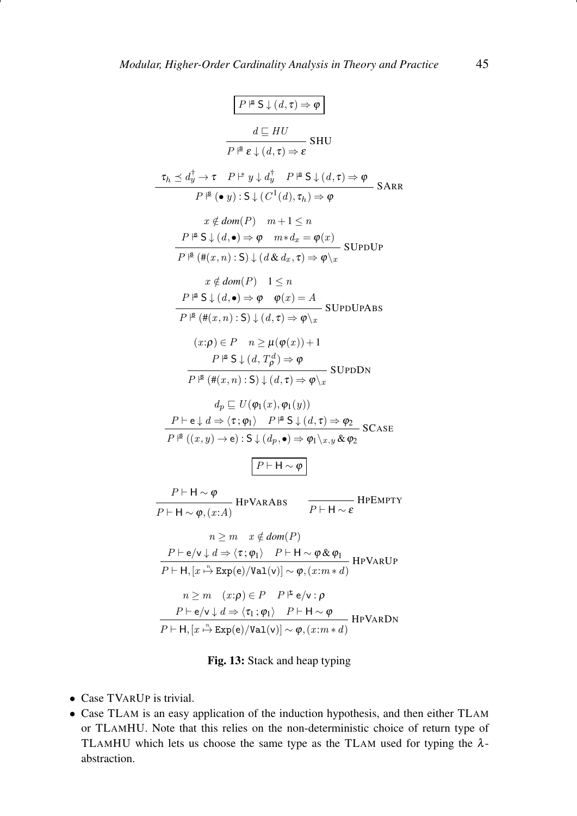<span id="page-44-0"></span>
$$
P^{\beta} S \downarrow (d, \tau) \Rightarrow \varphi
$$
\n
$$
\frac{d \sqsubseteq HU}{P^{\beta} \epsilon \downarrow (d, \tau) \Rightarrow \epsilon} SHU
$$
\n
$$
\frac{d \sqsubseteq HU}{P^{\beta} \epsilon \downarrow (d, \tau) \Rightarrow \epsilon} SHU
$$
\n
$$
\tau_h \preceq d_y^{\dagger} \rightarrow \tau \quad P^{\mu} y \downarrow d_y^{\dagger} \quad P^{\mu} S \downarrow (d, \tau) \Rightarrow \varphi
$$
\n
$$
x \notin dom(P) \quad m+1 \leq n
$$
\n
$$
P^{\beta} S \downarrow (d, \bullet) \Rightarrow \varphi \quad m * d_x = \varphi(x)
$$
\n
$$
P^{\beta} (\#(x, n) : S) \downarrow (d \& d_x, \tau) \Rightarrow \varphi \setminus x
$$
\n
$$
x \notin dom(P) \quad 1 \leq n
$$
\n
$$
P^{\beta} S \downarrow (d, \bullet) \Rightarrow \varphi \quad \varphi(x) = A
$$
\n
$$
P^{\beta} S \downarrow (d, \bullet) \Rightarrow \varphi \quad \varphi(x) = A
$$
\n
$$
P^{\beta} (H(x, n) : S) \downarrow (d, \tau) \Rightarrow \varphi \setminus x
$$
\n
$$
(x : \rho) \in P \quad n \geq \mu(\varphi(x)) + 1
$$
\n
$$
P^{\beta} S \downarrow (d, T_{\rho}^{d}) \Rightarrow \varphi
$$
\n
$$
\frac{d_p \sqsubseteq U(\varphi_1(x), \varphi_1(y))}{P^{\beta} (\#(x, n) : S) \downarrow (d, \tau) \Rightarrow \varphi \setminus x}
$$
\n
$$
SUPDDN
$$
\n
$$
d_p \sqsubseteq U(\varphi_1(x), \varphi_1(y))
$$
\n
$$
P \vdash e \downarrow d \Rightarrow \langle \tau; \varphi_1 \rangle \quad P^{\beta} S \downarrow (d, \tau) \Rightarrow \varphi_2
$$
\n
$$
P^{\beta} ((x, y) \rightarrow e) : S \downarrow (d_p, \bullet) \Rightarrow \varphi_1 \setminus x, y \& \varphi_2
$$
\n
$$
P \vdash H \sim \varphi
$$
\n
$$
n \geq m \quad x \
$$

$$
n \ge m \quad (x:\rho) \in P \quad P \models e/\mathbf{v} : \rho
$$
  

$$
\frac{P \vdash e/\mathbf{v} \downarrow d \Rightarrow \langle \tau_1 : \varphi_1 \rangle \quad P \vdash \mathsf{H} \sim \varphi}{P \vdash \mathsf{H}, [x \stackrel{n}{\rightarrow} \text{Exp}(e)/\text{Val}(v)] \sim \varphi, (x:m*d)} \text{HPVARDN}
$$

# Fig. 13: Stack and heap typing

- Case TVARUP is trivial.
- Case TLAM is an easy application of the induction hypothesis, and then either TLAM or TLAMHU. Note that this relies on the non-deterministic choice of return type of TLAMHU which lets us choose the same type as the TLAM used for typing the  $\lambda$ abstraction.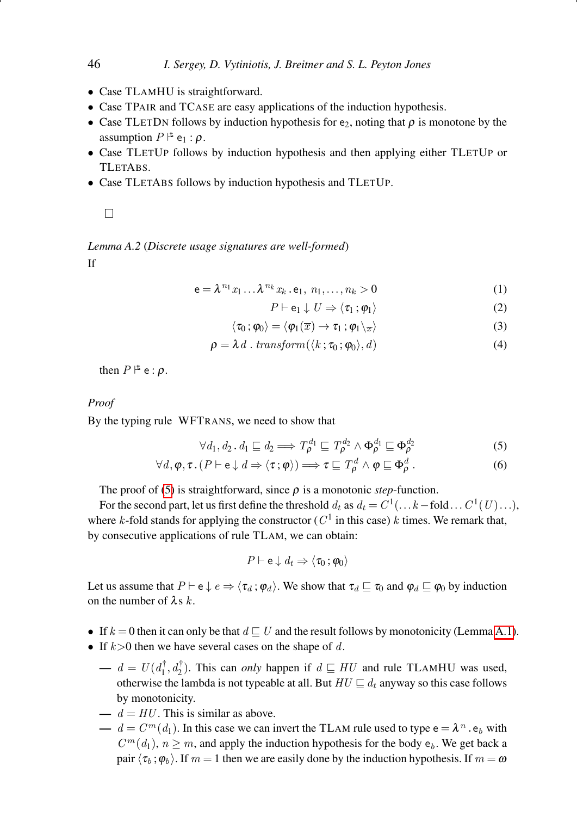- Case TLAMHU is straightforward.
- Case TPAIR and TCASE are easy applications of the induction hypothesis.
- Case TLETDN follows by induction hypothesis for  $e_2$ , noting that  $\rho$  is monotone by the assumption  $P \not\models e_1 : \rho$ .
- Case TLETUP follows by induction hypothesis and then applying either TLETUP or TLETABS.
- Case TLETABS follows by induction hypothesis and TLETUP.

 $\Box$ 

<span id="page-45-1"></span>*Lemma A.2* (*Discrete usage signatures are well-formed*)

If

$$
\mathsf{e} = \lambda^{n_1} x_1 \dots \lambda^{n_k} x_k \cdot \mathsf{e}_1, \ n_1, \dots, n_k > 0 \tag{1}
$$

$$
P \vdash e_1 \downarrow U \Rightarrow \langle \tau_1 : \varphi_1 \rangle \tag{2}
$$

$$
\langle \tau_0; \varphi_0 \rangle = \langle \varphi_1(\overline{x}) \to \tau_1; \varphi_1 \rangle_{\overline{x}} \rangle \tag{3}
$$

$$
\rho = \lambda d \cdot transform(\langle k; \tau_0; \varphi_0 \rangle, d) \tag{4}
$$

then  $P \upharpoonright e : \rho$ .

# *Proof*

By the typing rule WFTRANS, we need to show that

<span id="page-45-0"></span>
$$
\forall d_1, d_2 \ldots d_1 \sqsubseteq d_2 \Longrightarrow T_{\rho}^{d_1} \sqsubseteq T_{\rho}^{d_2} \land \Phi_{\rho}^{d_1} \sqsubseteq \Phi_{\rho}^{d_2} \tag{5}
$$

$$
\forall d, \varphi, \tau. (P \vdash e \downarrow d \Rightarrow \langle \tau, \varphi \rangle) \Longrightarrow \tau \sqsubseteq T^d_\rho \land \varphi \sqsubseteq \Phi^d_\rho.
$$
 (6)

The proof of [\(5\)](#page-45-0) is straightforward, since  $\rho$  is a monotonic *step*-function.

For the second part, let us first define the threshold  $d_t$  as  $d_t = C^1(\ldots k - \text{fold} \ldots C^1(U) \ldots),$ where k-fold stands for applying the constructor ( $C<sup>1</sup>$  in this case) k times. We remark that, by consecutive applications of rule TLAM, we can obtain:

$$
P \vdash e \downarrow d_t \Rightarrow \langle \tau_0 : \varphi_0 \rangle
$$

Let us assume that  $P \vdash e \downarrow e \Rightarrow \langle \tau_d : \varphi_d \rangle$ . We show that  $\tau_d \sqsubseteq \tau_0$  and  $\varphi_d \sqsubseteq \varphi_0$  by induction on the number of  $\lambda s$  k.

- If  $k = 0$  then it can only be that  $d \sqsubset U$  and the result follows by monotonicity (Lemma [A.1\)](#page-43-0).
- If  $k>0$  then we have several cases on the shape of d.
	- $d = U(d_1^{\dagger}, d_2^{\dagger})$ . This can *only* happen if  $d \sqsubseteq HU$  and rule TLAMHU was used, otherwise the lambda is not typeable at all. But  $HU \sqsubseteq d_t$  anyway so this case follows by monotonicity.
	- $d = HU$ . This is similar as above.
	- $\longrightarrow d = C^m(d_1)$ . In this case we can invert the TLAM rule used to type  $e = \lambda^n \cdot e_b$  with  $C<sup>m</sup>(d<sub>1</sub>)$ ,  $n \ge m$ , and apply the induction hypothesis for the body  $e<sub>b</sub>$ . We get back a pair  $\langle \tau_b; \varphi_b \rangle$ . If  $m = 1$  then we are easily done by the induction hypothesis. If  $m = \omega$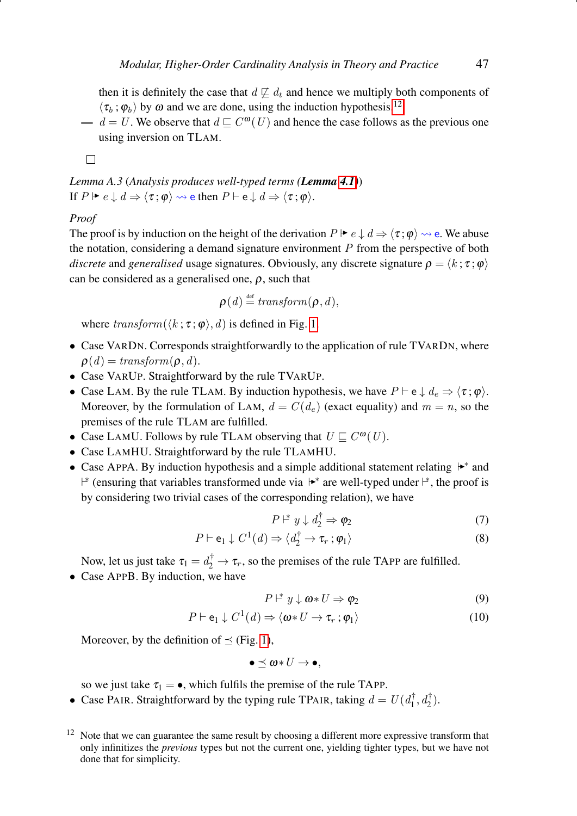then it is definitely the case that  $d \not\sqsubseteq d_t$  and hence we multiply both components of  $\langle \tau_b ; \varphi_b \rangle$  by  $\omega$  and we are done, using the induction hypothesis.<sup>[12](#page-46-0)</sup>

 $\longrightarrow d = U$ . We observe that  $d \sqsubseteq C^{\omega}(U)$  and hence the case follows as the previous one using inversion on TLAM.

 $\Box$ 

*Lemma A.3* (*Analysis produces well-typed terms (Lemma [4.1](#page-17-1))*) If  $P \mapsto e \downarrow d \Rightarrow \langle \tau ; \varphi \rangle \rightsquigarrow$  e then  $P \vdash e \downarrow d \Rightarrow \langle \tau ; \varphi \rangle$ .

## *Proof*

The proof is by induction on the height of the derivation  $P \vDash e \downarrow d \Rightarrow \langle \tau, \varphi \rangle \rightsquigarrow$  e. We abuse the notation, considering a demand signature environment  $P$  from the perspective of both *discrete* and *generalised* usage signatures. Obviously, any discrete signature  $\rho = \langle k; \tau; \varphi \rangle$ can be considered as a generalised one,  $\rho$ , such that

$$
\boldsymbol{\rho}(d) \stackrel{\text{\tiny def}}{=} transform(\boldsymbol{\rho},d),
$$

where  $transform(\langle k; \tau; \varphi \rangle, d)$  is defined in Fig. [1.](#page-6-0)

- Case VARDN. Corresponds straightforwardly to the application of rule TVARDN, where  $\rho(d) = transform(\rho, d).$
- Case VARUP. Straightforward by the rule TVARUP.
- Case LAM. By the rule TLAM. By induction hypothesis, we have  $P \vdash e \downarrow d_e \Rightarrow \langle \tau, \varphi \rangle$ . Moreover, by the formulation of LAM,  $d = C(d_e)$  (exact equality) and  $m = n$ , so the premises of the rule TLAM are fulfilled.
- Case LAMU. Follows by rule TLAM observing that  $U \sqsubseteq C^{\omega}(U)$ .
- Case LAMHU. Straightforward by the rule TLAMHU.
- Case APPA. By induction hypothesis and a simple additional statement relating  $\vert \bullet \rangle^*$  and <sup>\*</sup> (ensuring that variables transformed unde via  $\downarrow^*$  are well-typed under  $\downarrow^*$ , the proof is by considering two trivial cases of the corresponding relation), we have

$$
P \rvert^* y \downarrow d_2^{\dagger} \Rightarrow \varphi_2 \tag{7}
$$

$$
P \vdash e_1 \downarrow C^1(d) \Rightarrow \langle d_2^{\dagger} \to \tau_r \, ; \varphi_1 \rangle \tag{8}
$$

Now, let us just take  $\tau_1 = d_2^{\dagger} \rightarrow \tau_r$ , so the premises of the rule TAPP are fulfilled.

• Case APPB. By induction, we have

$$
P \n\vert^* y \downarrow \omega * U \Rightarrow \varphi_2 \tag{9}
$$

$$
P \vdash e_1 \downarrow C^1(d) \Rightarrow \langle \omega * U \to \tau_r : \varphi_1 \rangle \tag{10}
$$

Moreover, by the definition of  $\preceq$  (Fig. [1\)](#page-6-0),

$$
\bullet\preceq\omega\!\ast\! U\rightarrow\bullet,
$$

so we just take  $\tau_1 = \bullet$ , which fulfils the premise of the rule TAPP.

• Case PAIR. Straightforward by the typing rule TPAIR, taking  $d = U(d_1^{\dagger}, d_2^{\dagger})$ .

<span id="page-46-0"></span> $12$  Note that we can guarantee the same result by choosing a different more expressive transform that only infinitizes the *previous* types but not the current one, yielding tighter types, but we have not done that for simplicity.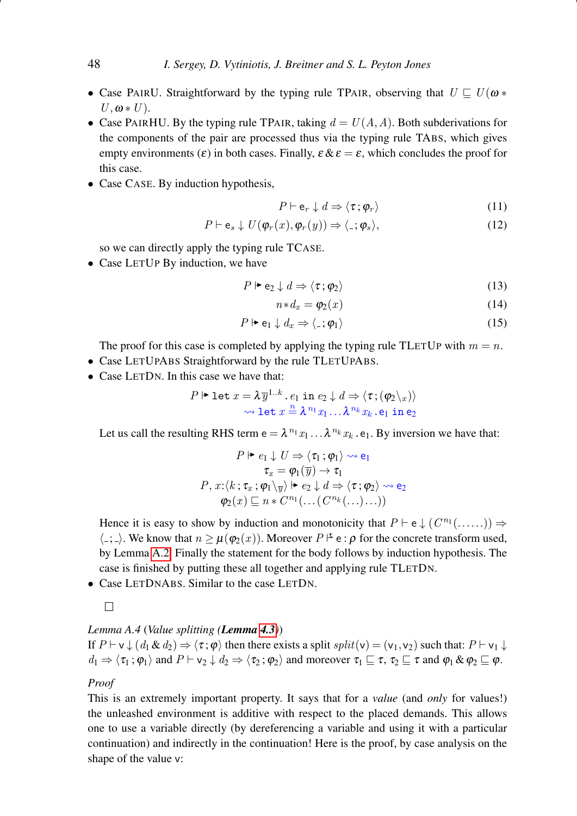- Case PAIRU. Straightforward by the typing rule TPAIR, observing that  $U \nightharpoonup U(\omega \ast$  $U, \omega * U$ ).
- Case PAIRHU. By the typing rule TPAIR, taking  $d = U(A, A)$ . Both subderivations for the components of the pair are processed thus via the typing rule TABS, which gives empty environments ( $\varepsilon$ ) in both cases. Finally,  $\varepsilon \& \varepsilon = \varepsilon$ , which concludes the proof for this case.
- Case CASE. By induction hypothesis,

$$
P \vdash e_r \downarrow d \Rightarrow \langle \tau, \varphi_r \rangle \tag{11}
$$

$$
P \vdash e_s \downarrow U(\varphi_r(x), \varphi_r(y)) \Rightarrow \langle \underline{\cdot}; \varphi_s \rangle, \tag{12}
$$

so we can directly apply the typing rule TCASE.

• Case LETUP By induction, we have

$$
P \Vdash e_2 \downarrow d \Rightarrow \langle \tau, \varphi_2 \rangle \tag{13}
$$

$$
n * d_x = \varphi_2(x) \tag{14}
$$

$$
P \Vdash \mathsf{e}_1 \downarrow d_x \Rightarrow \langle \mathsf{.} ; \varphi_1 \rangle \tag{15}
$$

The proof for this case is completed by applying the typing rule TLETUP with  $m = n$ .

- Case LETUPABS Straightforward by the rule TLETUPABS.
- Case LETDN. In this case we have that:

$$
P \Vdash \text{let } x = \lambda \overline{y}^{1..k} \cdot e_1 \text{ in } e_2 \downarrow d \Rightarrow \langle \tau; (\varphi_2 \setminus x) \rangle
$$
  

$$
\leadsto \text{let } x \stackrel{n}{=} \lambda^{n_1} x_1 \dots \lambda^{n_k} x_k \cdot e_1 \text{ in } e_2
$$

Let us call the resulting RHS term  $e = \lambda^{n_1} x_1 \dots \lambda^{n_k} x_k$ .  $e_1$ . By inversion we have that:

$$
P \Vdash e_1 \downarrow U \Rightarrow \langle \tau_1; \varphi_1 \rangle \rightsquigarrow e_1
$$

$$
\tau_x = \varphi_1(\overline{y}) \rightarrow \tau_1
$$

$$
P, x: \langle k; \tau_x; \varphi_1 \rangle_{\overline{y}} \rangle \Vdash e_2 \downarrow d \Rightarrow \langle \tau; \varphi_2 \rangle \rightsquigarrow e_2
$$

$$
\varphi_2(x) \sqsubseteq n * C^{n_1}(\dots(C^{n_k}(\dots)\dots))
$$

Hence it is easy to show by induction and monotonicity that  $P \vdash e \downarrow (C^{n_1}(\ldots)) \Rightarrow$  $\langle \_; \_ \rangle$ . We know that  $n \geq \mu(\varphi_2(x))$ . Moreover  $P \uplus \epsilon : \rho$  for the concrete transform used, by Lemma [A.2.](#page-45-1) Finally the statement for the body follows by induction hypothesis. The case is finished by putting these all together and applying rule TLETDN.

- Case LETDNABS. Similar to the case LETDN.
	- $\Box$

# <span id="page-47-0"></span>*Lemma A.4* (*Value splitting (Lemma [4.3](#page-18-2))*)

If  $P \vdash v \downarrow (d_1 \& d_2) \Rightarrow \langle \tau, \varphi \rangle$  then there exists a split  $split(v) = (v_1, v_2)$  such that:  $P \vdash v_1 \downarrow$  $d_1 \Rightarrow \langle \tau_1 ; \varphi_1 \rangle$  and  $P \vdash v_2 \downarrow d_2 \Rightarrow \langle \tau_2 ; \varphi_2 \rangle$  and moreover  $\tau_1 \sqsubseteq \tau$ ,  $\tau_2 \sqsubseteq \tau$  and  $\varphi_1 \& \varphi_2 \sqsubseteq \varphi$ .

# *Proof*

This is an extremely important property. It says that for a *value* (and *only* for values!) the unleashed environment is additive with respect to the placed demands. This allows one to use a variable directly (by dereferencing a variable and using it with a particular continuation) and indirectly in the continuation! Here is the proof, by case analysis on the shape of the value v: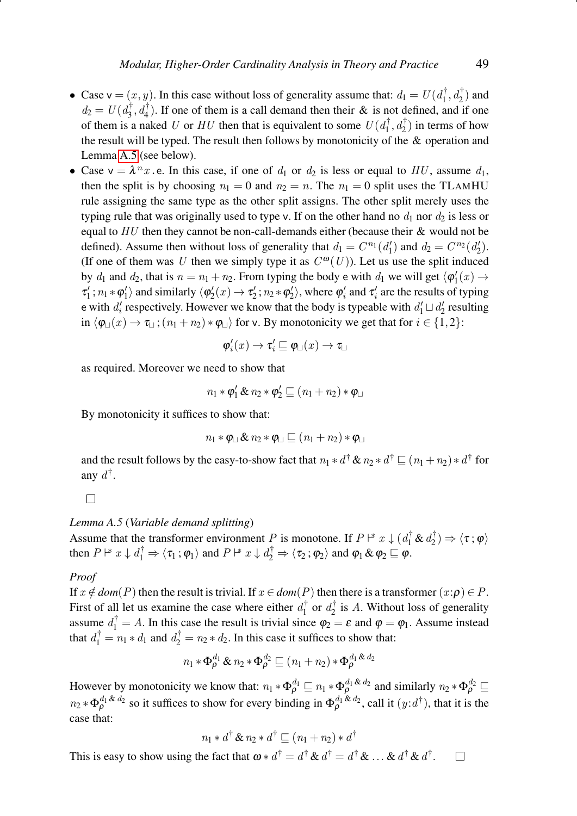- Case  $\mathsf{v} = (x, y)$ . In this case without loss of generality assume that:  $d_1 = U(d_1^{\dagger}, d_2^{\dagger})$  and  $d_2 = U(d_3^{\dagger}, d_4^{\dagger})$ . If one of them is a call demand then their & is not defined, and if one of them is a naked U or HU then that is equivalent to some  $U(d_1^{\dagger}, d_2^{\dagger})$  in terms of how the result will be typed. The result then follows by monotonicity of the & operation and Lemma [A.5](#page-48-0) (see below).
- Case  $v = \lambda^n x$ . e. In this case, if one of  $d_1$  or  $d_2$  is less or equal to HU, assume  $d_1$ , then the split is by choosing  $n_1 = 0$  and  $n_2 = n$ . The  $n_1 = 0$  split uses the TLAMHU rule assigning the same type as the other split assigns. The other split merely uses the typing rule that was originally used to type v. If on the other hand no  $d_1$  nor  $d_2$  is less or equal to  $HU$  then they cannot be non-call-demands either (because their  $&$  would not be defined). Assume then without loss of generality that  $d_1 = C^{n_1}(d'_1)$  and  $d_2 = C^{n_2}(d'_2)$ . (If one of them was U then we simply type it as  $C^{0}(U)$ ). Let us use the split induced by  $d_1$  and  $d_2$ , that is  $n = n_1 + n_2$ . From typing the body e with  $d_1$  we will get  $\langle \varphi'_1(x) \rightarrow$  $\tau_1'$ ;  $n_1 * \varphi_1'$  and similarly  $\langle \varphi_2'(x) \rightarrow \tau_2'$ ;  $n_2 * \varphi_2' \rangle$ , where  $\varphi_i'$  and  $\tau_i'$  are the results of typing e with  $d'_i$  respectively. However we know that the body is typeable with  $d'_1 \sqcup d'_2$  resulting in  $\langle \varphi_{\perp}(x) \rightarrow \tau_{\perp}$ ;  $(n_1 + n_2) * \varphi_{\perp}$  for v. By monotonicity we get that for  $i \in \{1,2\}$ :

$$
\pmb{\varphi}_i'(x)\to \pmb{\tau}_i'\sqsubseteq \pmb{\varphi}_\sqcup(x)\to \pmb{\tau}_\sqcup
$$

as required. Moreover we need to show that

$$
n_1 * \varphi_1' \& n_2 * \varphi_2' \sqsubseteq (n_1 + n_2) * \varphi \sqcup
$$

By monotonicity it suffices to show that:

$$
n_1 * \varphi \text{ s} n_2 * \varphi \text{ s} (n_1 + n_2) * \varphi \text{ s}
$$

and the result follows by the easy-to-show fact that  $n_1 * d^{\dagger} \& n_2 * d^{\dagger} \sqsubseteq (n_1 + n_2) * d^{\dagger}$  for any  $d^{\dagger}$ .

 $\Box$ 

# <span id="page-48-0"></span>*Lemma A.5* (*Variable demand splitting*)

Assume that the transformer environment P is monotone. If  $P \nightharpoonup^* x \downarrow (d_1^{\dagger} \& d_2^{\dagger}) \Rightarrow \langle \tau, \varphi \rangle$ then  $P \rvert^* x \downarrow d_1^{\dagger} \Rightarrow \langle \tau_1 ; \varphi_1 \rangle$  and  $P \rvert^* x \downarrow d_2^{\dagger} \Rightarrow \langle \tau_2 ; \varphi_2 \rangle$  and  $\varphi_1 \& \varphi_2 \sqsubseteq \varphi$ .

#### *Proof*

If  $x \notin dom(P)$  then the result is trivial. If  $x \in dom(P)$  then there is a transformer  $(x:\rho) \in P$ . First of all let us examine the case where either  $d_1^{\dagger}$  or  $d_2^{\dagger}$  is A. Without loss of generality assume  $d_1^{\dagger} = A$ . In this case the result is trivial since  $\varphi_2 = \varepsilon$  and  $\varphi = \varphi_1$ . Assume instead that  $d_1^{\dagger} = n_1 * d_1$  and  $d_2^{\dagger} = n_2 * d_2$ . In this case it suffices to show that:

$$
n_1 \ast \Phi_{\rho}^{d_1} \& n_2 \ast \Phi_{\rho}^{d_2} \sqsubseteq (n_1 + n_2) \ast \Phi_{\rho}^{d_1 \& d_2}
$$

However by monotonicity we know that:  $n_1 * \Phi_{\rho}^{d_1} \sqsubseteq n_1 * \Phi_{\rho}^{d_1} \& d_2$  and similarly  $n_2 * \Phi_{\rho}^{d_2} \sqsubseteq$  $n_2 \ast \Phi_\rho^{d_1 \& d_2}$  so it suffices to show for every binding in  $\Phi_\rho^{d_1 \& d_2}$ , call it  $(y:d^\dagger)$ , that it is the case that:

$$
n_1 * d^{\dagger} \& n_2 * d^{\dagger} \sqsubseteq (n_1 + n_2) * d^{\dagger}
$$
  
This is easy to show using the fact that  $\omega * d^{\dagger} = d^{\dagger} \& d^{\dagger} = d^{\dagger} \& \dots \& d^{\dagger} \& d^{\dagger}$ .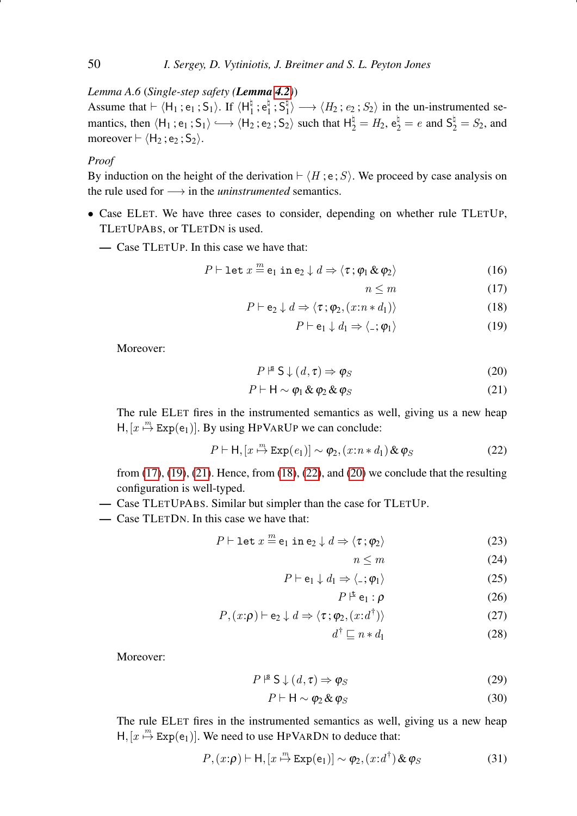*Lemma A.6* (*Single-step safety (Lemma [4.2](#page-18-1))*)

Assume that  $\vdash \langle H_1 ; e_1 ; S_1 \rangle$ . If  $\langle H_1^{\natural}$  $\frac{1}{1}$ ;  $e_1^{\natural}$  $\frac{1}{1}$  ;  $\mathsf{S_{1}^{\natural}}$  $\langle H_1 \rangle \longrightarrow \langle H_2; e_2; S_2 \rangle$  in the un-instrumented semantics, then  $\langle H_1; e_1; S_1 \rangle \longrightarrow \langle H_2; e_2; S_2 \rangle$  such that  $H_2^{\natural} = H_2$ ,  $e_2^{\natural} = e$  and  $S_2^{\natural} = S_2$ , and moreover  $\vdash \langle H_2; e_2; S_2 \rangle$ .

# *Proof*

By induction on the height of the derivation  $\vdash \langle H; e ; S \rangle$ . We proceed by case analysis on the rule used for −→ in the *uninstrumented* semantics.

- Case ELET. We have three cases to consider, depending on whether rule TLETUP, TLETUPABS, or TLETDN is used.
	- Case TLETUP. In this case we have that:

<span id="page-49-0"></span>
$$
P \vdash \text{let } x \stackrel{m}{=} e_1 \text{ in } e_2 \downarrow d \Rightarrow \langle \tau; \varphi_1 \& \varphi_2 \rangle \tag{16}
$$

$$
n \le m \tag{17}
$$

$$
P \vdash e_2 \downarrow d \Rightarrow \langle \tau; \varphi_2, (x : n * d_1) \rangle \tag{18}
$$

$$
P \vdash e_1 \downarrow d_1 \Rightarrow \langle \_, \varphi_1 \rangle \tag{19}
$$

Moreover:

<span id="page-49-1"></span>
$$
P \rvert^{\mathbf{S}} \mathsf{S} \downarrow (d, \tau) \Rightarrow \varphi_{S} \tag{20}
$$

$$
P \vdash \mathsf{H} \sim \varphi_1 \& \varphi_2 \& \varphi_S \tag{21}
$$

The rule ELET fires in the instrumented semantics as well, giving us a new heap  $H$ ,  $[x \stackrel{m}{\mapsto} Exp(e_1)]$ . By using HPVARUP we can conclude:

<span id="page-49-2"></span>
$$
P \vdash \mathsf{H}, [x \stackrel{m}{\mapsto} \mathtt{Exp}(e_1)] \sim \varphi_2, (x : n * d_1) \& \varphi_S \tag{22}
$$

from [\(17\)](#page-49-0), [\(19\)](#page-49-0), [\(21\)](#page-49-1). Hence, from [\(18\)](#page-49-0), [\(22\)](#page-49-2), and [\(20\)](#page-49-1) we conclude that the resulting configuration is well-typed.

— Case TLETUPABS. Similar but simpler than the case for TLETUP.

— Case TLETDN. In this case we have that:

<span id="page-49-4"></span>
$$
P \vdash \text{let } x \stackrel{m}{=} \mathsf{e}_1 \text{ in } \mathsf{e}_2 \downarrow d \Rightarrow \langle \tau, \varphi_2 \rangle \tag{23}
$$

$$
n \le m \tag{24}
$$

$$
P \vdash e_1 \downarrow d_1 \Rightarrow \langle \cdot \, ; \varphi_1 \rangle \tag{25}
$$

$$
P \rvert^{\pm} e_1 : \rho \tag{26}
$$

$$
P, (x:\rho) \vdash e_2 \downarrow d \Rightarrow \langle \tau; \varphi_2, (x:d^{\dagger}) \rangle \tag{27}
$$

$$
d^{\dagger} \sqsubseteq n * d_1 \tag{28}
$$

Moreover:

<span id="page-49-3"></span>
$$
P \rightharpoonup^{\mathbf{s}} \mathsf{S} \downarrow (d, \tau) \Rightarrow \varphi_S \tag{29}
$$

$$
P \vdash \mathsf{H} \sim \varphi_2 \& \varphi_S \tag{30}
$$

The rule ELET fires in the instrumented semantics as well, giving us a new heap  $H$ ,  $[x \stackrel{m}{\mapsto} \text{Exp}(e_1)]$ . We need to use HPVARDN to deduce that:

<span id="page-49-5"></span>
$$
P,(x:\rho) \vdash \mathsf{H}, [x \stackrel{m}{\mapsto} \mathtt{Exp}(e_1)] \sim \varphi_2, (x:d^{\dagger}) \& \varphi_S \tag{31}
$$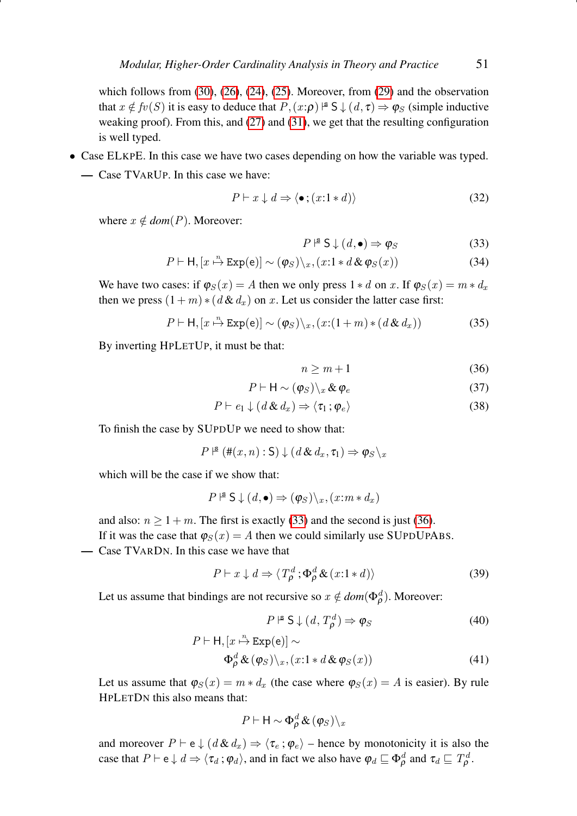which follows from  $(30)$ ,  $(26)$ ,  $(24)$ ,  $(25)$ . Moreover, from  $(29)$  and the observation that  $x \notin fv(S)$  it is easy to deduce that  $P, (x:\rho) \models S \downarrow (d, \tau) \Rightarrow \varphi_S$  (simple inductive weaking proof). From this, and [\(27\)](#page-49-4) and [\(31\)](#page-49-5), we get that the resulting configuration is well typed.

- Case ELKPE. In this case we have two cases depending on how the variable was typed.
	- Case TVARUP. In this case we have:

$$
P \vdash x \downarrow d \Rightarrow \langle \bullet \, ; (x \colon 1 * d) \rangle \tag{32}
$$

where  $x \notin dom(P)$ . Moreover:

<span id="page-50-0"></span>
$$
P \rvert^{\mathbf{S}} \mathsf{S} \downarrow (d, \bullet) \Rightarrow \varphi_{S} \tag{33}
$$

$$
P \vdash \mathsf{H}, [x \stackrel{n}{\mapsto} \mathtt{Exp}(e)] \sim (\varphi_S) \setminus_x, (x \colon 1 * d \& \varphi_S(x)) \tag{34}
$$

We have two cases: if  $\varphi_S(x) = A$  then we only press  $1 * d$  on x. If  $\varphi_S(x) = m * d_x$ then we press  $(1 + m) * (d \& d_x)$  on x. Let us consider the latter case first:

$$
P \vdash \mathsf{H}, [x \xrightarrow{n} \mathtt{Exp}(e)] \sim (\varphi_S) \setminus_x, (x \colon (1+m) * (d \& d_x))
$$
\n(35)

By inverting HPLETUP, it must be that:

<span id="page-50-1"></span> $n > m + 1$  (36)

$$
P \vdash \mathsf{H} \sim (\varphi_S) \backslash_x \& \varphi_e \tag{37}
$$

$$
P \vdash e_1 \downarrow (d \& d_x) \Rightarrow \langle \tau_1 \, ; \varphi_e \rangle \tag{38}
$$

To finish the case by SUPDUP we need to show that:

 $P \nightharpoonup^{\mathbf{S}} (\#(x, n) : \mathsf{S}) \downarrow (d \& d_x, \tau_1) \Rightarrow \varphi_S \setminus x$ 

which will be the case if we show that:

$$
P \rvert^{\mathbf{S}} \mathsf{S} \downarrow (d, \bullet) \Rightarrow (\varphi_S) \backslash_x, (x : m * d_x)
$$

and also:  $n \ge 1 + m$ . The first is exactly [\(33\)](#page-50-0) and the second is just [\(36\)](#page-50-1). If it was the case that  $\varphi_S(x) = A$  then we could similarly use SUPDUPABS.

— Case TVARDN. In this case we have that

$$
P \vdash x \downarrow d \Rightarrow \langle T^d_{\rho}; \Phi^d_{\rho} \& (x:1 * d) \rangle \tag{39}
$$

Let us assume that bindings are not recursive so  $x \notin dom(\Phi_{\rho}^d)$ . Moreover:

$$
P \rvert^{\mathbf{S}} \mathsf{S} \downarrow (d, T^d_{\rho}) \Rightarrow \varphi_S \tag{40}
$$

$$
P \vdash H, [x \xrightarrow{\text{n}} \text{Exp}(e)] \sim
$$
  
\n
$$
\Phi_{\rho}^d \& (\varphi_S) \backslash_x, (x:1 * d \& \varphi_S(x))
$$
\n(41)

Let us assume that  $\varphi_S(x) = m * d_x$  (the case where  $\varphi_S(x) = A$  is easier). By rule HPLETDN this also means that:

$$
P \vdash \mathsf{H} \sim \Phi_{\rho}^{d} \& (\varphi_{S}) \backslash_{x}
$$

and moreover  $P \vdash e \downarrow (d \& d_x) \Rightarrow \langle \tau_e : \varphi_e \rangle$  – hence by monotonicity it is also the case that  $P \vdash e \downarrow d \Rightarrow \langle \tau_d : \varphi_d \rangle$ , and in fact we also have  $\varphi_d \sqsubseteq \Phi_\rho^d$  and  $\tau_d \sqsubseteq T_\rho^d$ .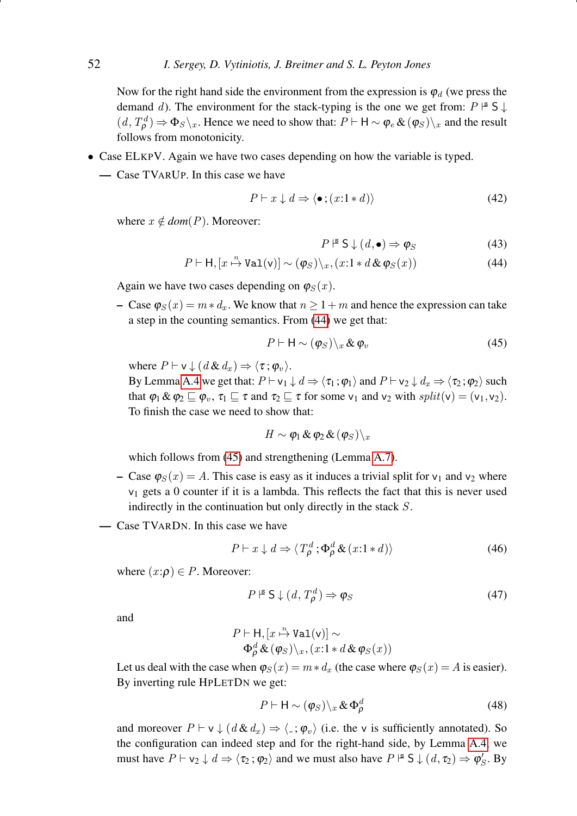Now for the right hand side the environment from the expression is  $\varphi_d$  (we press the demand d). The environment for the stack-typing is the one we get from:  $P \nightharpoonup S \downarrow$  $(d, T^d_\rho) \Rightarrow \Phi_S \setminus_x$ . Hence we need to show that:  $P \vdash H \sim \phi_e \& (\phi_S) \setminus_x$  and the result follows from monotonicity.

- Case ELKPV. Again we have two cases depending on how the variable is typed.
	- Case TVARUP. In this case we have

$$
P \vdash x \downarrow d \Rightarrow \langle \bullet \, ; (x:1*d) \rangle \tag{42}
$$

where  $x \notin dom(P)$ . Moreover:

<span id="page-51-0"></span>
$$
P \rvert^{\mathbf{s}} \mathsf{S} \downarrow (d, \bullet) \Rightarrow \varphi_{S} \tag{43}
$$

$$
P \vdash \mathsf{H}, [x \stackrel{n}{\mapsto} \mathtt{Val}(v)] \sim (\varphi_S) \setminus_x, (x \colon 1 * d \& \varphi_S(x)) \tag{44}
$$

Again we have two cases depending on  $\varphi_S(x)$ .

– Case  $\varphi_S(x) = m * d_x$ . We know that  $n \geq 1+m$  and hence the expression can take a step in the counting semantics. From [\(44\)](#page-51-0) we get that:

<span id="page-51-1"></span>
$$
P \vdash \mathsf{H} \sim (\varphi_S) \backslash_x \& \varphi_v \tag{45}
$$

where  $P \vdash v \downarrow (d \& d_x) \Rightarrow \langle \tau; \varphi_v \rangle$ .

By Lemma [A.4](#page-47-0) we get that:  $P \vdash v_1 \downarrow d \Rightarrow \langle \tau_1; \varphi_1 \rangle$  and  $P \vdash v_2 \downarrow d_x \Rightarrow \langle \tau_2; \varphi_2 \rangle$  such that  $\varphi_1 \& \varphi_2 \sqsubseteq \varphi_v$ ,  $\tau_1 \sqsubseteq \tau$  and  $\tau_2 \sqsubseteq \tau$  for some  $v_1$  and  $v_2$  with  $split(v) = (v_1, v_2)$ . To finish the case we need to show that:

$$
H \sim \pmb{\varphi}_1 \pmb{\&} \pmb{\varphi}_2 \pmb{\&} (\pmb{\varphi}_S) \backslash_x
$$

which follows from [\(45\)](#page-51-1) and strengthening (Lemma [A.7\)](#page-52-0).

- Case  $\varphi_S(x) = A$ . This case is easy as it induces a trivial split for  $v_1$  and  $v_2$  where  $v_1$  gets a 0 counter if it is a lambda. This reflects the fact that this is never used indirectly in the continuation but only directly in the stack S.
- Case TVARDN. In this case we have

$$
P \vdash x \downarrow d \Rightarrow \langle T^d_{\rho}; \Phi^d_{\rho} \& (x:1*d) \rangle \tag{46}
$$

where  $(x:\rho) \in P$ . Moreover:

$$
P \rvert^{\mathbf{S}} \mathsf{S} \downarrow (d, T^d_{\rho}) \Rightarrow \varphi_S \tag{47}
$$

and

$$
P \vdash \mathsf{H}, [x \xrightarrow{\mathsf{A}} \mathtt{Val}(v)] \sim
$$
  

$$
\Phi_{\rho}^{d} \& (\varphi_{S}) \backslash_{x}, (x \mathbf{1} * d \& \varphi_{S}(x))
$$

Let us deal with the case when  $\varphi_S(x) = m * d_x$  (the case where  $\varphi_S(x) = A$  is easier). By inverting rule HPLETDN we get:

<span id="page-51-2"></span>
$$
P \vdash \mathsf{H} \sim (\varphi_S) \backslash_x \& \Phi_\rho^d \tag{48}
$$

and moreover  $P \vdash v \downarrow (d \& d_x) \Rightarrow \langle \cdot, \varphi_v \rangle$  (i.e. the v is sufficiently annotated). So the configuration can indeed step and for the right-hand side, by Lemma [A.4,](#page-47-0) we must have  $P \vdash v_2 \downarrow d \Rightarrow \langle \tau_2 : \varphi_2 \rangle$  and we must also have  $P \rvert^s \rvert S \downarrow (d, \tau_2) \Rightarrow \varphi_S'$ . By